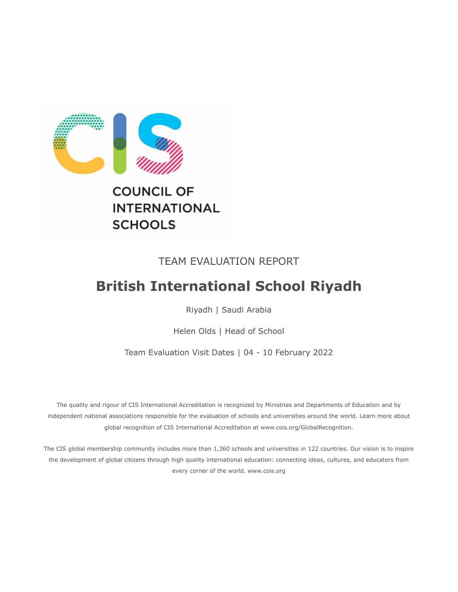

# **INTERNATIONAL SCHOOLS**

# TEAM EVALUATION REPORT

# **British International School Riyadh**

Riyadh | Saudi Arabia

Helen Olds | Head of School

Team Evaluation Visit Dates | 04 - 10 February 2022

The quality and rigour of CIS International Accreditation is recognized by Ministries and Departments of Education and by independent national associations responsible for the evaluation of schools and universities around the world. Learn more about global recognition of CIS International Accreditation at www.cois.org/GlobalRecognition.

The CIS global membership community includes more than 1,360 schools and universities in 122 countries. Our vision is to inspire the development of global citizens through high quality international education: connecting ideas, cultures, and educators from every corner of the world. www.cois.org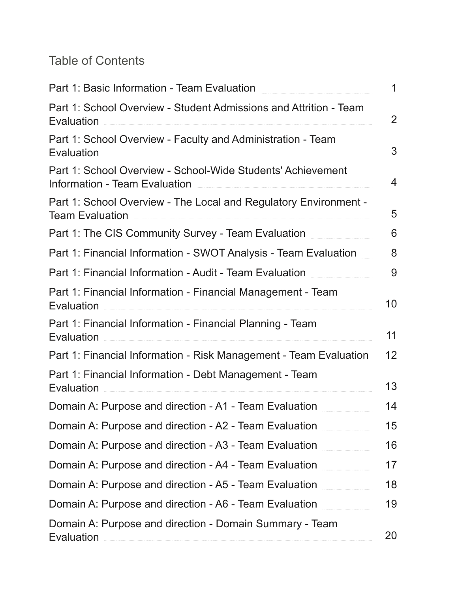# Table of Contents

| Part 1: Basic Information - Team Evaluation                                                         | $\mathbf 1$       |
|-----------------------------------------------------------------------------------------------------|-------------------|
| Part 1: School Overview - Student Admissions and Attrition - Team<br>Evaluation                     | $\overline{2}$    |
| Part 1: School Overview - Faculty and Administration - Team<br>Evaluation                           | 3                 |
| Part 1: School Overview - School-Wide Students' Achievement<br><b>Information - Team Evaluation</b> | 4                 |
| Part 1: School Overview - The Local and Regulatory Environment -<br><b>Team Evaluation</b>          | 5                 |
| Part 1: The CIS Community Survey - Team Evaluation                                                  | 6                 |
| Part 1: Financial Information - SWOT Analysis - Team Evaluation                                     | 8                 |
| Part 1: Financial Information - Audit - Team Evaluation                                             | 9                 |
| Part 1: Financial Information - Financial Management - Team<br>Evaluation                           | 10                |
| Part 1: Financial Information - Financial Planning - Team<br>Evaluation                             | 11                |
| Part 1: Financial Information - Risk Management - Team Evaluation                                   | $12 \overline{ }$ |
| Part 1: Financial Information - Debt Management - Team<br>Evaluation                                | 13                |
| Domain A: Purpose and direction - A1 - Team Evaluation                                              | 14                |
| Domain A: Purpose and direction - A2 - Team Evaluation                                              | 15                |
| Domain A: Purpose and direction - A3 - Team Evaluation                                              | 16                |
| Domain A: Purpose and direction - A4 - Team Evaluation                                              | 17                |
| Domain A: Purpose and direction - A5 - Team Evaluation                                              | 18                |
| Domain A: Purpose and direction - A6 - Team Evaluation                                              | 19                |
| Domain A: Purpose and direction - Domain Summary - Team<br>Evaluation                               | 20                |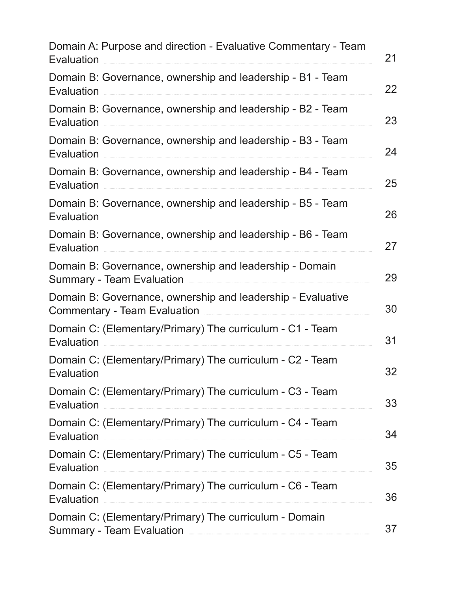| Evaluation        | Domain A: Purpose and direction - Evaluative Commentary - Team                                     |
|-------------------|----------------------------------------------------------------------------------------------------|
| Evaluation        | Domain B: Governance, ownership and leadership - B1 - Team                                         |
| Evaluation        | Domain B: Governance, ownership and leadership - B2 - Team                                         |
| Evaluation        | Domain B: Governance, ownership and leadership - B3 - Team                                         |
| Evaluation        | Domain B: Governance, ownership and leadership - B4 - Team                                         |
| Evaluation        | Domain B: Governance, ownership and leadership - B5 - Team                                         |
| Evaluation        | Domain B: Governance, ownership and leadership - B6 - Team                                         |
|                   | Domain B: Governance, ownership and leadership - Domain<br><b>Summary - Team Evaluation</b>        |
|                   | Domain B: Governance, ownership and leadership - Evaluative<br><b>Commentary - Team Evaluation</b> |
| Evaluation        | Domain C: (Elementary/Primary) The curriculum - C1 - Team                                          |
| Evaluation        | Domain C: (Elementary/Primary) The curriculum - C2 - Team                                          |
| Evaluation        | Domain C: (Elementary/Primary) The curriculum - C3 - Team                                          |
| Evaluation        | Domain C: (Elementary/Primary) The curriculum - C4 - Team                                          |
| <b>Evaluation</b> | Domain C: (Elementary/Primary) The curriculum - C5 - Team                                          |
| <b>Evaluation</b> | Domain C: (Elementary/Primary) The curriculum - C6 - Team                                          |
|                   | Domain C: (Elementary/Primary) The curriculum - Domain<br><b>Summary - Team Evaluation</b>         |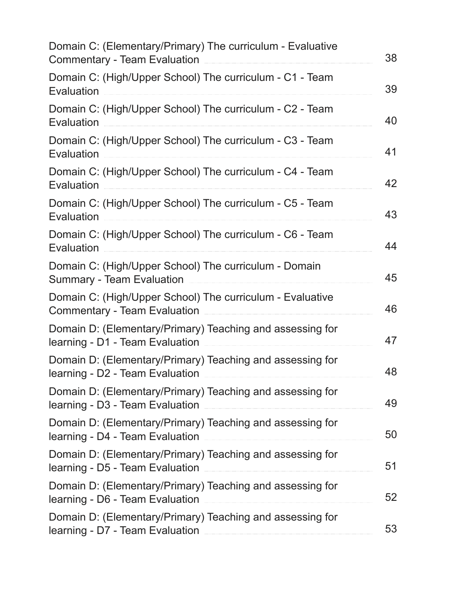| Domain C: (Elementary/Primary) The curriculum - Evaluative<br><b>Commentary - Team Evaluation</b>                                                                                   | 38 |
|-------------------------------------------------------------------------------------------------------------------------------------------------------------------------------------|----|
| Domain C: (High/Upper School) The curriculum - C1 - Team<br>Evaluation                                                                                                              | 39 |
| Domain C: (High/Upper School) The curriculum - C2 - Team<br>Evaluation                                                                                                              | 40 |
| Domain C: (High/Upper School) The curriculum - C3 - Team<br>Evaluation                                                                                                              | 41 |
| Domain C: (High/Upper School) The curriculum - C4 - Team<br>Evaluation                                                                                                              | 42 |
| Domain C: (High/Upper School) The curriculum - C5 - Team<br>Evaluation                                                                                                              | 43 |
| Domain C: (High/Upper School) The curriculum - C6 - Team<br>Evaluation                                                                                                              | 44 |
| Domain C: (High/Upper School) The curriculum - Domain<br><b>Summary - Team Evaluation</b>                                                                                           | 45 |
| Domain C: (High/Upper School) The curriculum - Evaluative<br><b>Commentary - Team Evaluation</b>                                                                                    | 46 |
| Domain D: (Elementary/Primary) Teaching and assessing for<br>learning - D1 - Team Evaluation                                                                                        | 47 |
| Domain D: (Elementary/Primary) Teaching and assessing for<br>learning - D2 - Team Evaluation <b>Manual Accord Contract Contract Contract Contract Contract Contract Contract Co</b> | 48 |
| Domain D: (Elementary/Primary) Teaching and assessing for<br>learning - D3 - Team Evaluation                                                                                        | 49 |
| Domain D: (Elementary/Primary) Teaching and assessing for<br>learning - D4 - Team Evaluation                                                                                        | 50 |
| Domain D: (Elementary/Primary) Teaching and assessing for<br>learning - D5 - Team Evaluation                                                                                        | 51 |
| Domain D: (Elementary/Primary) Teaching and assessing for<br>learning - D6 - Team Evaluation                                                                                        | 52 |
| Domain D: (Elementary/Primary) Teaching and assessing for<br>learning - D7 - Team Evaluation                                                                                        | 53 |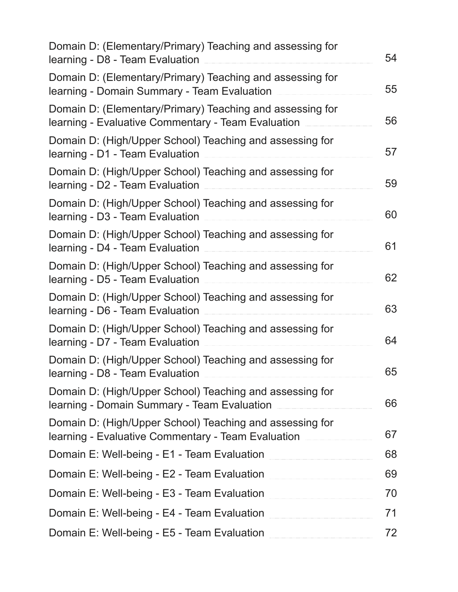| Domain D: (Elementary/Primary) Teaching and assessing for<br>learning - D8 - Team Evaluation                                                                     | 54 |
|------------------------------------------------------------------------------------------------------------------------------------------------------------------|----|
| Domain D: (Elementary/Primary) Teaching and assessing for<br>learning - Domain Summary - Team Evaluation                                                         | 55 |
| Domain D: (Elementary/Primary) Teaching and assessing for<br>learning - Evaluative Commentary - Team Evaluation                                                  | 56 |
| Domain D: (High/Upper School) Teaching and assessing for<br>learning - D1 - Team Evaluation                                                                      | 57 |
| Domain D: (High/Upper School) Teaching and assessing for<br>learning - D2 - Team Evaluation                                                                      | 59 |
| Domain D: (High/Upper School) Teaching and assessing for<br>learning - D3 - Team Evaluation                                                                      | 60 |
| Domain D: (High/Upper School) Teaching and assessing for<br>learning - D4 - Team Evaluation                                                                      | 61 |
| Domain D: (High/Upper School) Teaching and assessing for<br>learning - D5 - Team Evaluation                                                                      | 62 |
| Domain D: (High/Upper School) Teaching and assessing for<br>learning - D6 - Team Evaluation                                                                      | 63 |
| Domain D: (High/Upper School) Teaching and assessing for<br>learning - D7 - Team Evaluation                                                                      | 64 |
| Domain D: (High/Upper School) Teaching and assessing for<br>learning - D8 - Team Evaluation <b>Exam Examiliar and Examilian Contract Contract and Evaluation</b> | 65 |
| Domain D: (High/Upper School) Teaching and assessing for<br>learning - Domain Summary - Team Evaluation                                                          | 66 |
| Domain D: (High/Upper School) Teaching and assessing for<br>Iearning - Evaluative Commentary - Team Evaluation                                                   | 67 |
| Domain E: Well-being - E1 - Team Evaluation                                                                                                                      | 68 |
| Domain E: Well-being - E2 - Team Evaluation                                                                                                                      | 69 |
| Domain E: Well-being - E3 - Team Evaluation                                                                                                                      | 70 |
| Domain E: Well-being - E4 - Team Evaluation                                                                                                                      | 71 |
| Domain E: Well-being - E5 - Team Evaluation                                                                                                                      | 72 |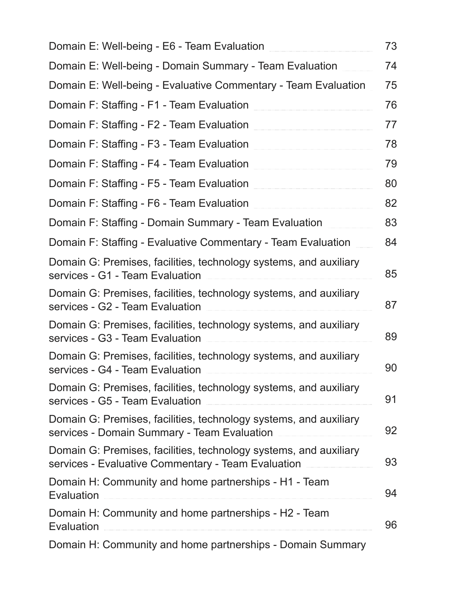| Domain E: Well-being - E6 - Team Evaluation                                                                             | 73 |
|-------------------------------------------------------------------------------------------------------------------------|----|
| Domain E: Well-being - Domain Summary - Team Evaluation                                                                 | 74 |
| Domain E: Well-being - Evaluative Commentary - Team Evaluation                                                          | 75 |
| Domain F: Staffing - F1 - Team Evaluation                                                                               | 76 |
| Domain F: Staffing - F2 - Team Evaluation                                                                               | 77 |
| Domain F: Staffing - F3 - Team Evaluation                                                                               | 78 |
| Domain F: Staffing - F4 - Team Evaluation                                                                               | 79 |
| Domain F: Staffing - F5 - Team Evaluation                                                                               | 80 |
| Domain F: Staffing - F6 - Team Evaluation                                                                               | 82 |
| Domain F: Staffing - Domain Summary - Team Evaluation                                                                   | 83 |
| Domain F: Staffing - Evaluative Commentary - Team Evaluation                                                            | 84 |
| Domain G: Premises, facilities, technology systems, and auxiliary<br>services - G1 - Team Evaluation                    | 85 |
| Domain G: Premises, facilities, technology systems, and auxiliary<br>services - G2 - Team Evaluation                    | 87 |
| Domain G: Premises, facilities, technology systems, and auxiliary<br>services - G3 - Team Evaluation                    | 89 |
| Domain G: Premises, facilities, technology systems, and auxiliary<br>services - G4 - Team Evaluation                    | 90 |
| Domain G: Premises, facilities, technology systems, and auxiliary<br>services - G5 - Team Evaluation                    | 91 |
| Domain G: Premises, facilities, technology systems, and auxiliary<br>services - Domain Summary - Team Evaluation        | 92 |
| Domain G: Premises, facilities, technology systems, and auxiliary<br>services - Evaluative Commentary - Team Evaluation | 93 |
| Domain H: Community and home partnerships - H1 - Team<br>Evaluation                                                     | 94 |
| Domain H: Community and home partnerships - H2 - Team<br>Evaluation                                                     | 96 |
| Domain H: Community and home partnerships - Domain Summary                                                              |    |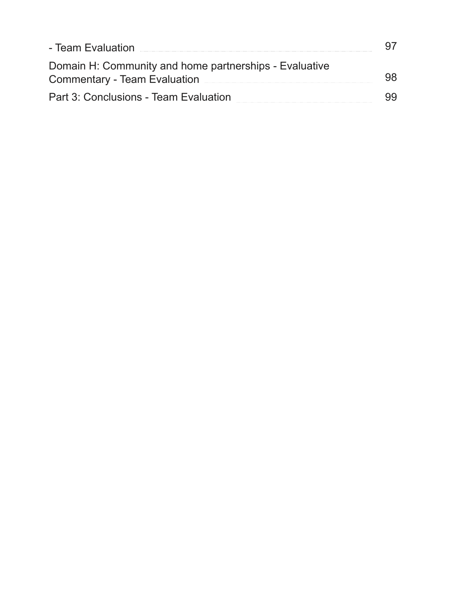| - Team Evaluation                                                                             |  |
|-----------------------------------------------------------------------------------------------|--|
| Domain H: Community and home partnerships - Evaluative<br><b>Commentary - Team Evaluation</b> |  |
| Part 3: Conclusions - Team Evaluation                                                         |  |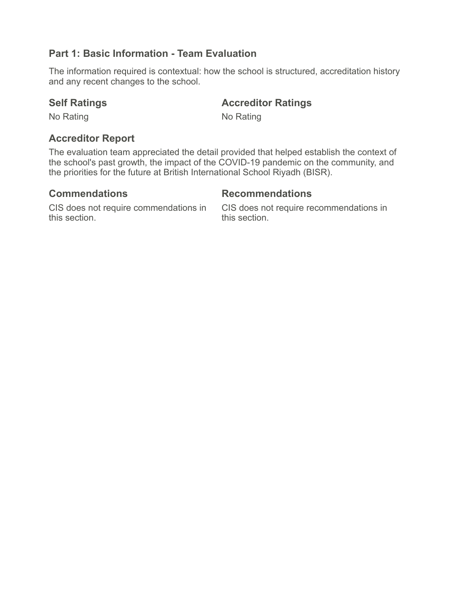# **Part 1: Basic Information - Team Evaluation**

The information required is contextual: how the school is structured, accreditation history and any recent changes to the school.

## **Self Ratings <b>Accreditor Ratings Accredition Accredition Ratings**

No Rating No Rating No.

# **Accreditor Report**

The evaluation team appreciated the detail provided that helped establish the context of the school's past growth, the impact of the COVID-19 pandemic on the community, and the priorities for the future at British International School Riyadh (BISR).

# **Commendations Recommendations**

CIS does not require commendations in this section.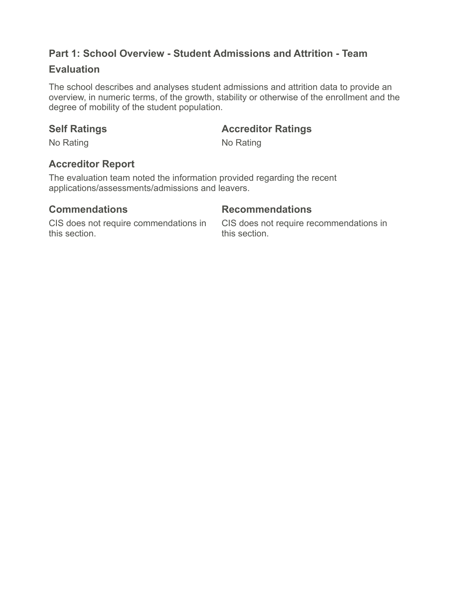# **Part 1: School Overview - Student Admissions and Attrition - Team**

## **Evaluation**

The school describes and analyses student admissions and attrition data to provide an overview, in numeric terms, of the growth, stability or otherwise of the enrollment and the degree of mobility of the student population.

### **Self Ratings <b>Accreditor Ratings Accreditor Ratings**

No Rating No Rating No.

# **Accreditor Report**

The evaluation team noted the information provided regarding the recent applications/assessments/admissions and leavers.

### **Commendations Recommendations**

CIS does not require commendations in this section.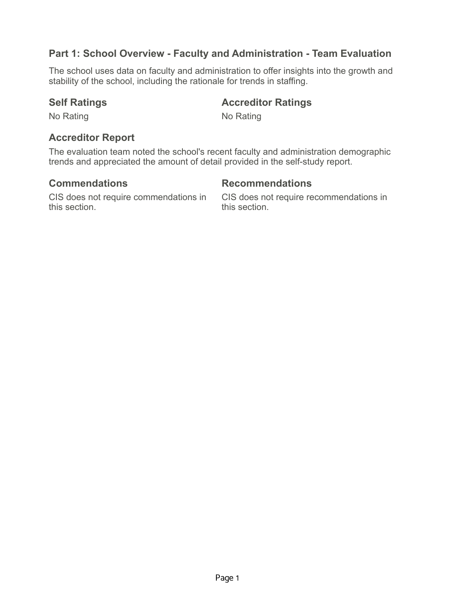# **Part 1: School Overview - Faculty and Administration - Team Evaluation**

The school uses data on faculty and administration to offer insights into the growth and stability of the school, including the rationale for trends in staffing.

# **Self Ratings <b>Accreditor Ratings Accredition Accredition Ratings**

No Rating No Rating No.

### **Accreditor Report**

The evaluation team noted the school's recent faculty and administration demographic trends and appreciated the amount of detail provided in the self-study report.

### **Commendations Recommendations**

CIS does not require commendations in this section.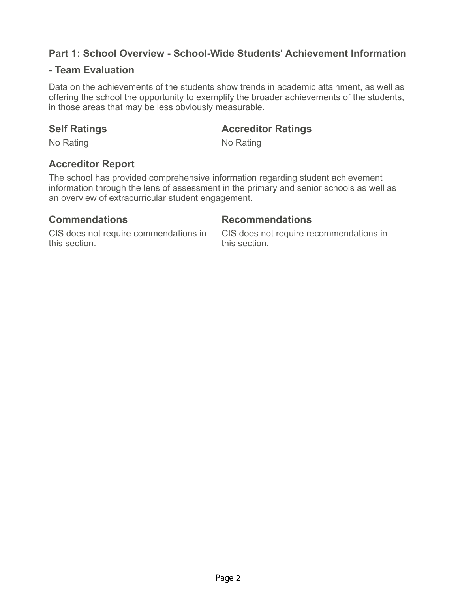# **Part 1: School Overview - School-Wide Students' Achievement Information**

### **- Team Evaluation**

Data on the achievements of the students show trends in academic attainment, as well as offering the school the opportunity to exemplify the broader achievements of the students, in those areas that may be less obviously measurable.

### **Self Ratings Accreditor Ratings**

No Rating No Rating No.

## **Accreditor Report**

The school has provided comprehensive information regarding student achievement information through the lens of assessment in the primary and senior schools as well as an overview of extracurricular student engagement.

### **Commendations Recommendations**

CIS does not require commendations in this section.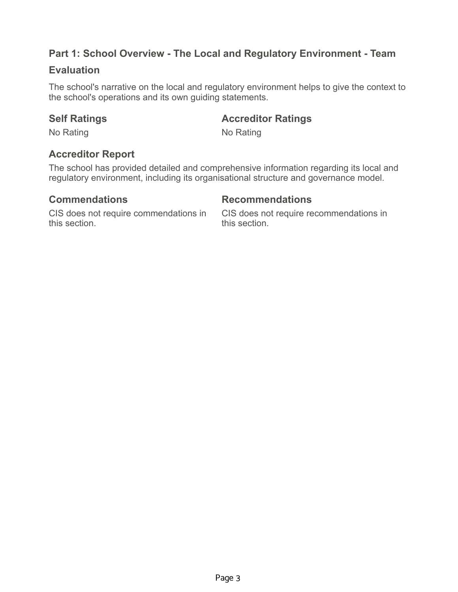# **Part 1: School Overview - The Local and Regulatory Environment - Team**

### **Evaluation**

The school's narrative on the local and regulatory environment helps to give the context to the school's operations and its own guiding statements.

### **Self Ratings <b>Accreditor Ratings Accredition Accredition Ratings**

No Rating No Rating No.

# **Accreditor Report**

The school has provided detailed and comprehensive information regarding its local and regulatory environment, including its organisational structure and governance model.

# **Commendations Recommendations**

CIS does not require commendations in this section.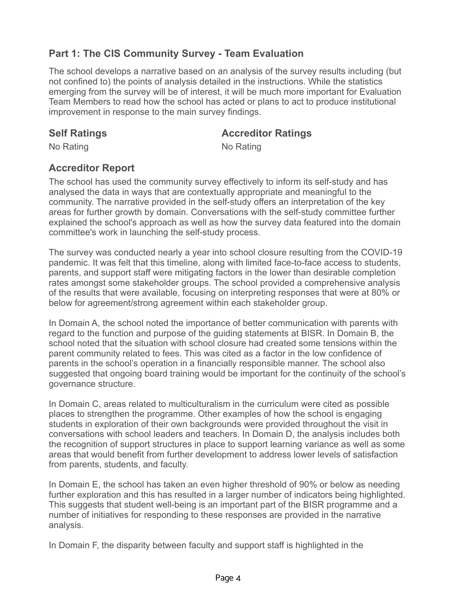# **Part 1: The CIS Community Survey - Team Evaluation**

The school develops a narrative based on an analysis of the survey results including (but not confined to) the points of analysis detailed in the instructions. While the statistics emerging from the survey will be of interest, it will be much more important for Evaluation Team Members to read how the school has acted or plans to act to produce institutional improvement in response to the main survey findings.

### **Self Ratings Accreditor Ratings**

No Rating No Rating No.

# **Accreditor Report**

The school has used the community survey effectively to inform its self-study and has analysed the data in ways that are contextually appropriate and meaningful to the community. The narrative provided in the self-study offers an interpretation of the key areas for further growth by domain. Conversations with the self-study committee further explained the school's approach as well as how the survey data featured into the domain committee's work in launching the self-study process.

The survey was conducted nearly a year into school closure resulting from the COVID-19 pandemic. It was felt that this timeline, along with limited face-to-face access to students, parents, and support staff were mitigating factors in the lower than desirable completion rates amongst some stakeholder groups. The school provided a comprehensive analysis of the results that were available, focusing on interpreting responses that were at 80% or below for agreement/strong agreement within each stakeholder group.

In Domain A, the school noted the importance of better communication with parents with regard to the function and purpose of the guiding statements at BISR. In Domain B, the school noted that the situation with school closure had created some tensions within the parent community related to fees. This was cited as a factor in the low confidence of parents in the school's operation in a financially responsible manner. The school also suggested that ongoing board training would be important for the continuity of the school's governance structure.

In Domain C, areas related to multiculturalism in the curriculum were cited as possible places to strengthen the programme. Other examples of how the school is engaging students in exploration of their own backgrounds were provided throughout the visit in conversations with school leaders and teachers. In Domain D, the analysis includes both the recognition of support structures in place to support learning variance as well as some areas that would benefit from further development to address lower levels of satisfaction from parents, students, and faculty.

In Domain E, the school has taken an even higher threshold of 90% or below as needing further exploration and this has resulted in a larger number of indicators being highlighted. This suggests that student well-being is an important part of the BISR programme and a number of initiatives for responding to these responses are provided in the narrative analysis.

In Domain F, the disparity between faculty and support staff is highlighted in the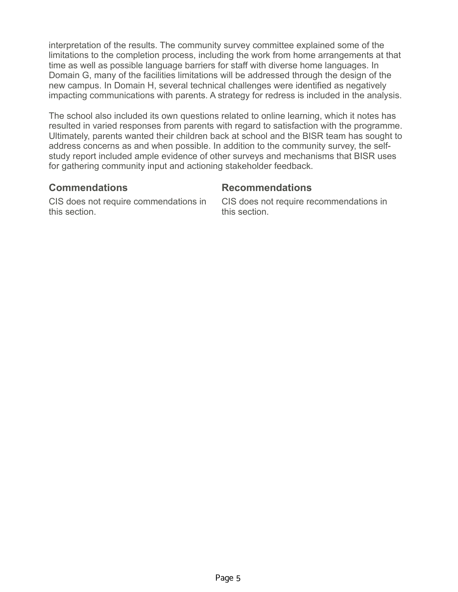interpretation of the results. The community survey committee explained some of the limitations to the completion process, including the work from home arrangements at that time as well as possible language barriers for staff with diverse home languages. In Domain G, many of the facilities limitations will be addressed through the design of the new campus. In Domain H, several technical challenges were identified as negatively impacting communications with parents. A strategy for redress is included in the analysis.

The school also included its own questions related to online learning, which it notes has resulted in varied responses from parents with regard to satisfaction with the programme. Ultimately, parents wanted their children back at school and the BISR team has sought to address concerns as and when possible. In addition to the community survey, the selfstudy report included ample evidence of other surveys and mechanisms that BISR uses for gathering community input and actioning stakeholder feedback.

### **Commendations Recommendations**

CIS does not require commendations in this section.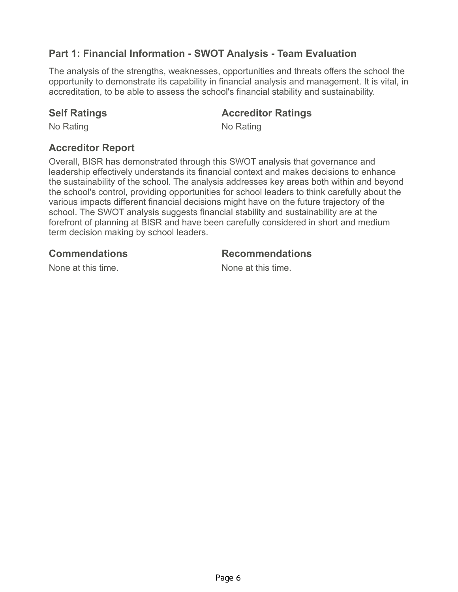# **Part 1: Financial Information - SWOT Analysis - Team Evaluation**

The analysis of the strengths, weaknesses, opportunities and threats offers the school the opportunity to demonstrate its capability in financial analysis and management. It is vital, in accreditation, to be able to assess the school's financial stability and sustainability.

### **Self Ratings Accreditor Ratings**

No Rating No Rating No.

## **Accreditor Report**

Overall, BISR has demonstrated through this SWOT analysis that governance and leadership effectively understands its financial context and makes decisions to enhance the sustainability of the school. The analysis addresses key areas both within and beyond the school's control, providing opportunities for school leaders to think carefully about the various impacts different financial decisions might have on the future trajectory of the school. The SWOT analysis suggests financial stability and sustainability are at the forefront of planning at BISR and have been carefully considered in short and medium term decision making by school leaders.

### **Commendations Recommendations**

None at this time. None at this time.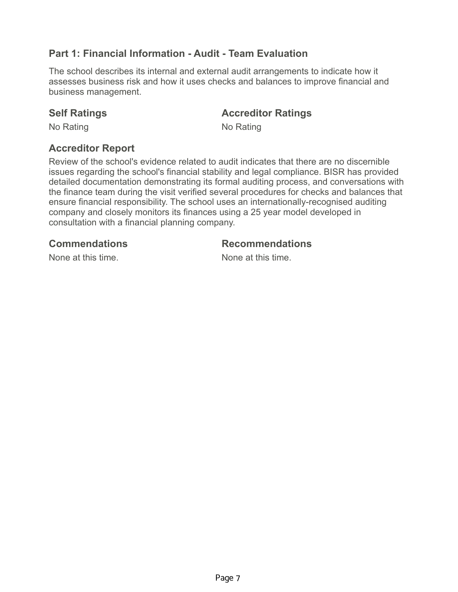# **Part 1: Financial Information - Audit - Team Evaluation**

The school describes its internal and external audit arrangements to indicate how it assesses business risk and how it uses checks and balances to improve financial and business management.

### **Self Ratings Accreditor Ratings**

No Rating No Rating No.

# **Accreditor Report**

Review of the school's evidence related to audit indicates that there are no discernible issues regarding the school's financial stability and legal compliance. BISR has provided detailed documentation demonstrating its formal auditing process, and conversations with the finance team during the visit verified several procedures for checks and balances that ensure financial responsibility. The school uses an internationally-recognised auditing company and closely monitors its finances using a 25 year model developed in consultation with a financial planning company.

### **Commendations Recommendations**

None at this time. The same is not a None at this time.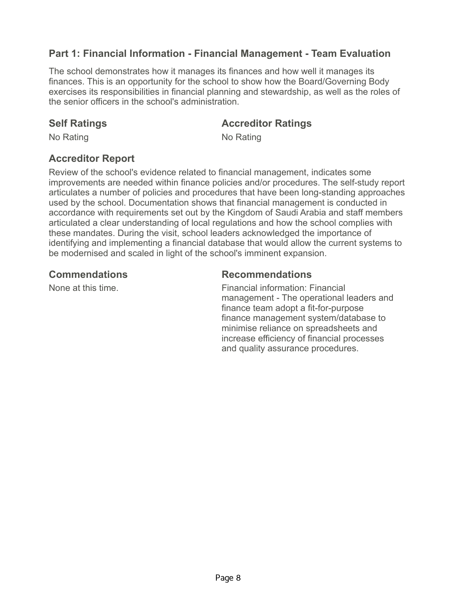# **Part 1: Financial Information - Financial Management - Team Evaluation**

The school demonstrates how it manages its finances and how well it manages its finances. This is an opportunity for the school to show how the Board/Governing Body exercises its responsibilities in financial planning and stewardship, as well as the roles of the senior officers in the school's administration.

### **Self Ratings Accreditor Ratings**

No Rating No Rating No.

## **Accreditor Report**

Review of the school's evidence related to financial management, indicates some improvements are needed within finance policies and/or procedures. The self-study report articulates a number of policies and procedures that have been long-standing approaches used by the school. Documentation shows that financial management is conducted in accordance with requirements set out by the Kingdom of Saudi Arabia and staff members articulated a clear understanding of local regulations and how the school complies with these mandates. During the visit, school leaders acknowledged the importance of identifying and implementing a financial database that would allow the current systems to be modernised and scaled in light of the school's imminent expansion.

### **Commendations Recommendations**

None at this time. The same section of Financial information: Financial management - The operational leaders and finance team adopt a fit-for-purpose finance management system/database to minimise reliance on spreadsheets and increase efficiency of financial processes and quality assurance procedures.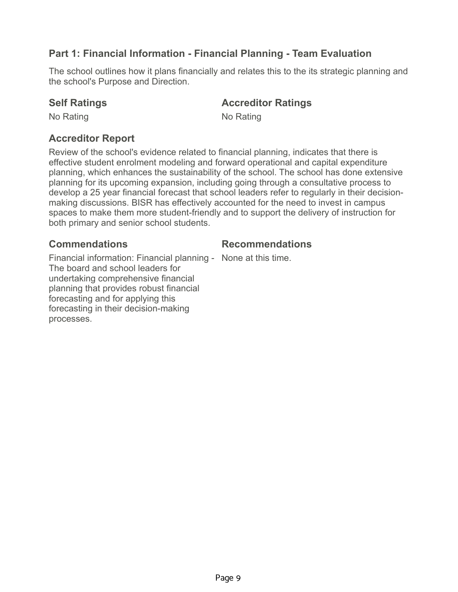# **Part 1: Financial Information - Financial Planning - Team Evaluation**

The school outlines how it plans financially and relates this to the its strategic planning and the school's Purpose and Direction.

### **Self Ratings Accreditor Ratings**

No Rating No Rating No.

# **Accreditor Report**

Review of the school's evidence related to financial planning, indicates that there is effective student enrolment modeling and forward operational and capital expenditure planning, which enhances the sustainability of the school. The school has done extensive planning for its upcoming expansion, including going through a consultative process to develop a 25 year financial forecast that school leaders refer to regularly in their decisionmaking discussions. BISR has effectively accounted for the need to invest in campus spaces to make them more student-friendly and to support the delivery of instruction for both primary and senior school students.

### **Commendations Recommendations**

Financial information: Financial planning - None at this time.

The board and school leaders for undertaking comprehensive financial planning that provides robust financial forecasting and for applying this forecasting in their decision-making processes.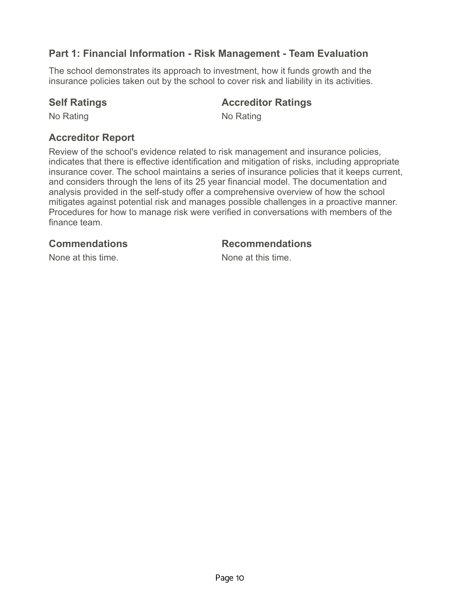# **Part 1: Financial Information - Risk Management - Team Evaluation**

The school demonstrates its approach to investment, how it funds growth and the insurance policies taken out by the school to cover risk and liability in its activities.

## **Self Ratings Accreditor Ratings**

No Rating No Rating No.

## **Accreditor Report**

Review of the school's evidence related to risk management and insurance policies, indicates that there is effective identification and mitigation of risks, including appropriate insurance cover. The school maintains a series of insurance policies that it keeps current, and considers through the lens of its 25 year financial model. The documentation and analysis provided in the self-study offer a comprehensive overview of how the school mitigates against potential risk and manages possible challenges in a proactive manner. Procedures for how to manage risk were verified in conversations with members of the finance team.

### **Commendations Recommendations**

None at this time. None at this time.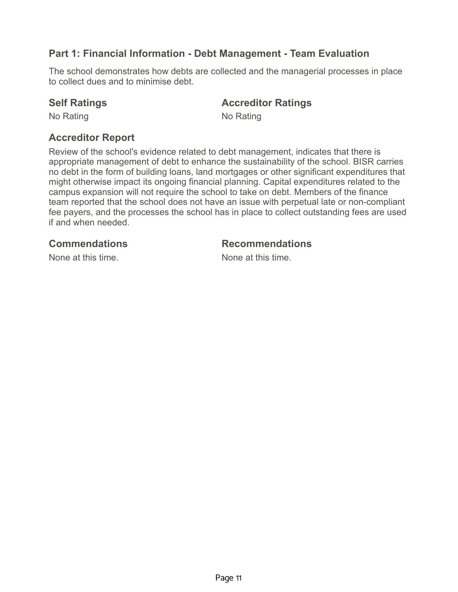# **Part 1: Financial Information - Debt Management - Team Evaluation**

The school demonstrates how debts are collected and the managerial processes in place to collect dues and to minimise debt.

### **Self Ratings <b>Accreditor Ratings Accredition Accredition Ratings**

No Rating No Rating No.

# **Accreditor Report**

Review of the school's evidence related to debt management, indicates that there is appropriate management of debt to enhance the sustainability of the school. BISR carries no debt in the form of building loans, land mortgages or other significant expenditures that might otherwise impact its ongoing financial planning. Capital expenditures related to the campus expansion will not require the school to take on debt. Members of the finance team reported that the school does not have an issue with perpetual late or non-compliant fee payers, and the processes the school has in place to collect outstanding fees are used if and when needed.

**Commendations Recommendations**

None at this time. None at this time.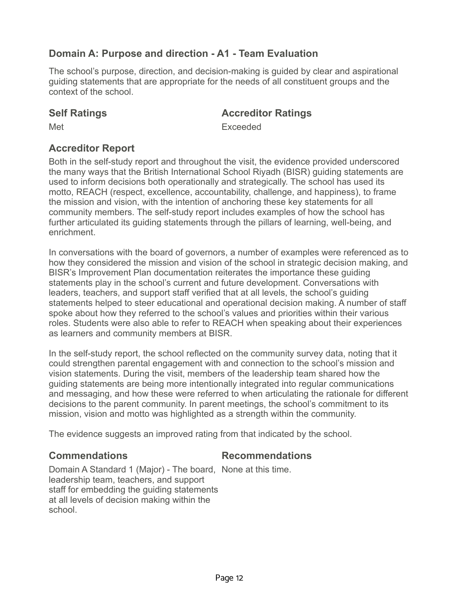# **Domain A: Purpose and direction - A1 - Team Evaluation**

The school's purpose, direction, and decision-making is guided by clear and aspirational guiding statements that are appropriate for the needs of all constituent groups and the context of the school.

### **Self Ratings Accreditor Ratings**

Met **Exceeded** 

# **Accreditor Report**

Both in the self-study report and throughout the visit, the evidence provided underscored the many ways that the British International School Riyadh (BISR) guiding statements are used to inform decisions both operationally and strategically. The school has used its motto, REACH (respect, excellence, accountability, challenge, and happiness), to frame the mission and vision, with the intention of anchoring these key statements for all community members. The self-study report includes examples of how the school has further articulated its guiding statements through the pillars of learning, well-being, and enrichment.

In conversations with the board of governors, a number of examples were referenced as to how they considered the mission and vision of the school in strategic decision making, and BISR's Improvement Plan documentation reiterates the importance these guiding statements play in the school's current and future development. Conversations with leaders, teachers, and support staff verified that at all levels, the school's guiding statements helped to steer educational and operational decision making. A number of staff spoke about how they referred to the school's values and priorities within their various roles. Students were also able to refer to REACH when speaking about their experiences as learners and community members at BISR.

In the self-study report, the school reflected on the community survey data, noting that it could strengthen parental engagement with and connection to the school's mission and vision statements. During the visit, members of the leadership team shared how the guiding statements are being more intentionally integrated into regular communications and messaging, and how these were referred to when articulating the rationale for different decisions to the parent community. In parent meetings, the school's commitment to its mission, vision and motto was highlighted as a strength within the community.

The evidence suggests an improved rating from that indicated by the school.

## **Commendations Recommendations**

Domain A Standard 1 (Major) - The board, None at this time. leadership team, teachers, and support staff for embedding the guiding statements at all levels of decision making within the school.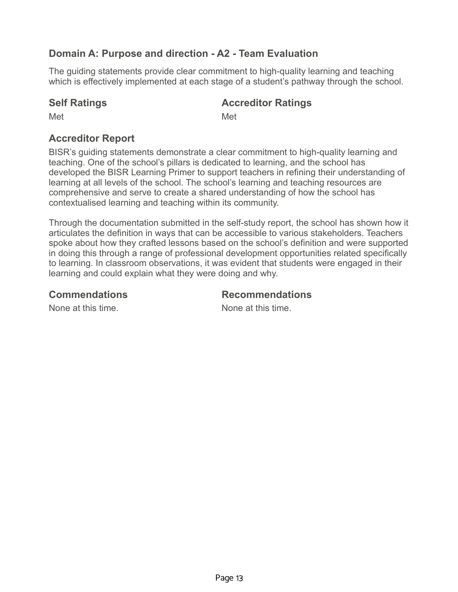# **Domain A: Purpose and direction - A2 - Team Evaluation**

The guiding statements provide clear commitment to high-quality learning and teaching which is effectively implemented at each stage of a student's pathway through the school.

# **Self Ratings Accreditor Ratings**

Met **Met** Met

# **Accreditor Report**

BISR's guiding statements demonstrate a clear commitment to high-quality learning and teaching. One of the school's pillars is dedicated to learning, and the school has developed the BISR Learning Primer to support teachers in refining their understanding of learning at all levels of the school. The school's learning and teaching resources are comprehensive and serve to create a shared understanding of how the school has contextualised learning and teaching within its community.

Through the documentation submitted in the self-study report, the school has shown how it articulates the definition in ways that can be accessible to various stakeholders. Teachers spoke about how they crafted lessons based on the school's definition and were supported in doing this through a range of professional development opportunities related specifically to learning. In classroom observations, it was evident that students were engaged in their learning and could explain what they were doing and why.

### **Commendations Recommendations**

None at this time. None at this time.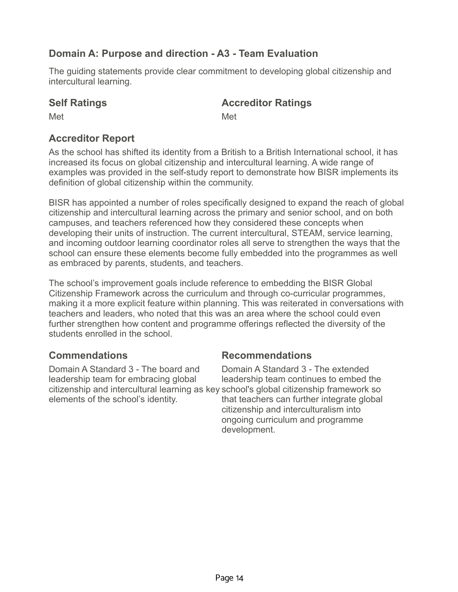# **Domain A: Purpose and direction - A3 - Team Evaluation**

The guiding statements provide clear commitment to developing global citizenship and intercultural learning.

# **Self Ratings <b>Accreditor Ratings Accredition Accredition Ratings**

Met **Met** Met

# **Accreditor Report**

As the school has shifted its identity from a British to a British International school, it has increased its focus on global citizenship and intercultural learning. A wide range of examples was provided in the self-study report to demonstrate how BISR implements its definition of global citizenship within the community.

BISR has appointed a number of roles specifically designed to expand the reach of global citizenship and intercultural learning across the primary and senior school, and on both campuses, and teachers referenced how they considered these concepts when developing their units of instruction. The current intercultural, STEAM, service learning, and incoming outdoor learning coordinator roles all serve to strengthen the ways that the school can ensure these elements become fully embedded into the programmes as well as embraced by parents, students, and teachers.

The school's improvement goals include reference to embedding the BISR Global Citizenship Framework across the curriculum and through co-curricular programmes, making it a more explicit feature within planning. This was reiterated in conversations with teachers and leaders, who noted that this was an area where the school could even further strengthen how content and programme offerings reflected the diversity of the students enrolled in the school.

Domain A Standard 3 - The board and leadership team for embracing global citizenship and intercultural learning as key school's global citizenship framework so elements of the school's identity.

## **Commendations Recommendations**

Domain A Standard 3 - The extended leadership team continues to embed the that teachers can further integrate global citizenship and interculturalism into ongoing curriculum and programme development.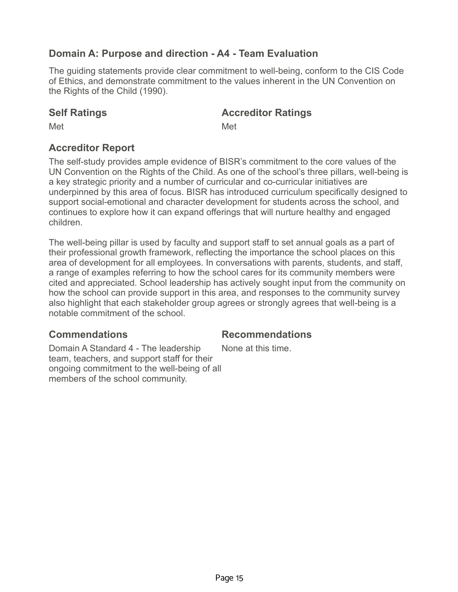# **Domain A: Purpose and direction - A4 - Team Evaluation**

The guiding statements provide clear commitment to well-being, conform to the CIS Code of Ethics, and demonstrate commitment to the values inherent in the UN Convention on the Rights of the Child (1990).

### **Self Ratings Accreditor Ratings**

Met **Met** Met

# **Accreditor Report**

The self-study provides ample evidence of BISR's commitment to the core values of the UN Convention on the Rights of the Child. As one of the school's three pillars, well-being is a key strategic priority and a number of curricular and co-curricular initiatives are underpinned by this area of focus. BISR has introduced curriculum specifically designed to support social-emotional and character development for students across the school, and continues to explore how it can expand offerings that will nurture healthy and engaged children.

The well-being pillar is used by faculty and support staff to set annual goals as a part of their professional growth framework, reflecting the importance the school places on this area of development for all employees. In conversations with parents, students, and staff, a range of examples referring to how the school cares for its community members were cited and appreciated. School leadership has actively sought input from the community on how the school can provide support in this area, and responses to the community survey also highlight that each stakeholder group agrees or strongly agrees that well-being is a notable commitment of the school.

### **Commendations Recommendations**

Domain A Standard 4 - The leadership team, teachers, and support staff for their ongoing commitment to the well-being of all members of the school community.

None at this time.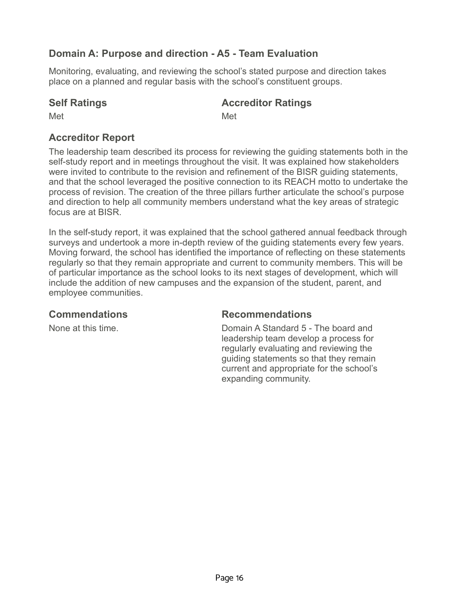# **Domain A: Purpose and direction - A5 - Team Evaluation**

Monitoring, evaluating, and reviewing the school's stated purpose and direction takes place on a planned and regular basis with the school's constituent groups.

## **Self Ratings Accreditor Ratings**

Met **Met** Met

# **Accreditor Report**

The leadership team described its process for reviewing the guiding statements both in the self-study report and in meetings throughout the visit. It was explained how stakeholders were invited to contribute to the revision and refinement of the BISR guiding statements, and that the school leveraged the positive connection to its REACH motto to undertake the process of revision. The creation of the three pillars further articulate the school's purpose and direction to help all community members understand what the key areas of strategic focus are at BISR.

In the self-study report, it was explained that the school gathered annual feedback through surveys and undertook a more in-depth review of the guiding statements every few years. Moving forward, the school has identified the importance of reflecting on these statements regularly so that they remain appropriate and current to community members. This will be of particular importance as the school looks to its next stages of development, which will include the addition of new campuses and the expansion of the student, parent, and employee communities.

**Commendations Recommendations**

None at this time. Domain A Standard 5 - The board and leadership team develop a process for regularly evaluating and reviewing the guiding statements so that they remain current and appropriate for the school's expanding community.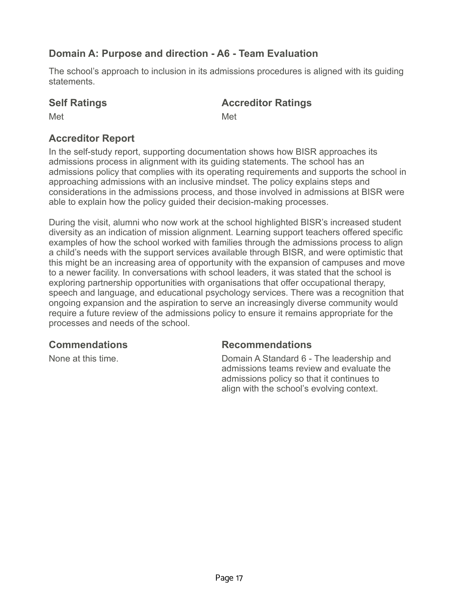# **Domain A: Purpose and direction - A6 - Team Evaluation**

The school's approach to inclusion in its admissions procedures is aligned with its guiding statements.

# **Self Ratings Accreditor Ratings**

Met **Met** Met

# **Accreditor Report**

In the self-study report, supporting documentation shows how BISR approaches its admissions process in alignment with its guiding statements. The school has an admissions policy that complies with its operating requirements and supports the school in approaching admissions with an inclusive mindset. The policy explains steps and considerations in the admissions process, and those involved in admissions at BISR were able to explain how the policy guided their decision-making processes.

During the visit, alumni who now work at the school highlighted BISR's increased student diversity as an indication of mission alignment. Learning support teachers offered specific examples of how the school worked with families through the admissions process to align a child's needs with the support services available through BISR, and were optimistic that this might be an increasing area of opportunity with the expansion of campuses and move to a newer facility. In conversations with school leaders, it was stated that the school is exploring partnership opportunities with organisations that offer occupational therapy, speech and language, and educational psychology services. There was a recognition that ongoing expansion and the aspiration to serve an increasingly diverse community would require a future review of the admissions policy to ensure it remains appropriate for the processes and needs of the school.

## **Commendations Recommendations**

None at this time. Domain A Standard 6 - The leadership and admissions teams review and evaluate the admissions policy so that it continues to align with the school's evolving context.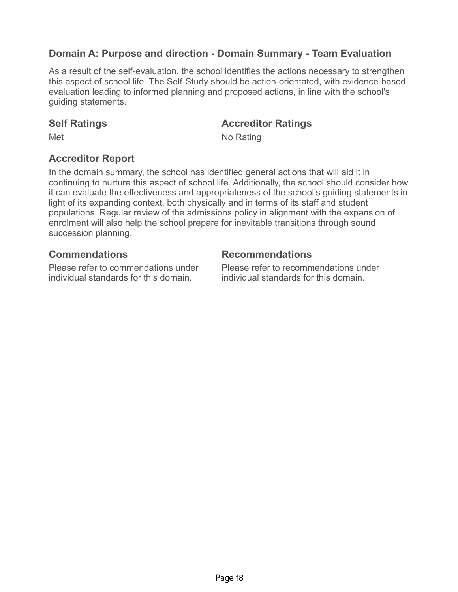# **Domain A: Purpose and direction - Domain Summary - Team Evaluation**

As a result of the self-evaluation, the school identifies the actions necessary to strengthen this aspect of school life. The Self-Study should be action-orientated, with evidence-based evaluation leading to informed planning and proposed actions, in line with the school's guiding statements.

### **Self Ratings Accreditor Ratings**

Met No Rating

## **Accreditor Report**

In the domain summary, the school has identified general actions that will aid it in continuing to nurture this aspect of school life. Additionally, the school should consider how it can evaluate the effectiveness and appropriateness of the school's guiding statements in light of its expanding context, both physically and in terms of its staff and student populations. Regular review of the admissions policy in alignment with the expansion of enrolment will also help the school prepare for inevitable transitions through sound succession planning.

## **Commendations Recommendations**

Please refer to commendations under individual standards for this domain.

Please refer to recommendations under individual standards for this domain.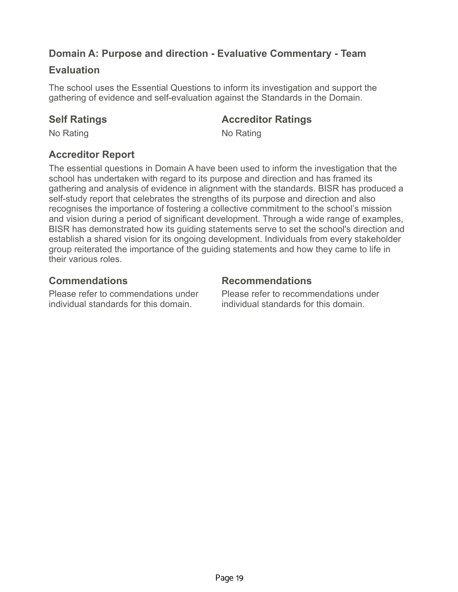# **Domain A: Purpose and direction - Evaluative Commentary - Team**

### **Evaluation**

The school uses the Essential Questions to inform its investigation and support the gathering of evidence and self-evaluation against the Standards in the Domain.

### **Self Ratings Accreditor Ratings**

No Rating No Rating No.

# **Accreditor Report**

The essential questions in Domain A have been used to inform the investigation that the school has undertaken with regard to its purpose and direction and has framed its gathering and analysis of evidence in alignment with the standards. BISR has produced a self-study report that celebrates the strengths of its purpose and direction and also recognises the importance of fostering a collective commitment to the school's mission and vision during a period of significant development. Through a wide range of examples, BISR has demonstrated how its guiding statements serve to set the school's direction and establish a shared vision for its ongoing development. Individuals from every stakeholder group reiterated the importance of the guiding statements and how they came to life in their various roles.

# **Commendations Recommendations**

Please refer to commendations under individual standards for this domain.

Please refer to recommendations under individual standards for this domain.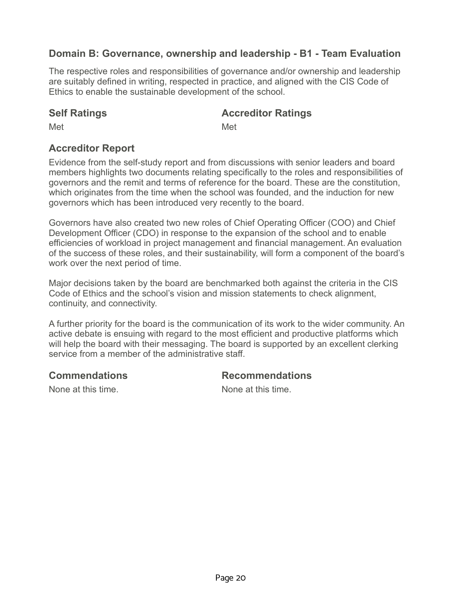# **Domain B: Governance, ownership and leadership - B1 - Team Evaluation**

The respective roles and responsibilities of governance and/or ownership and leadership are suitably defined in writing, respected in practice, and aligned with the CIS Code of Ethics to enable the sustainable development of the school.

### **Self Ratings Accreditor Ratings**

Met **Met** Met

# **Accreditor Report**

Evidence from the self-study report and from discussions with senior leaders and board members highlights two documents relating specifically to the roles and responsibilities of governors and the remit and terms of reference for the board. These are the constitution, which originates from the time when the school was founded, and the induction for new governors which has been introduced very recently to the board.

Governors have also created two new roles of Chief Operating Officer (COO) and Chief Development Officer (CDO) in response to the expansion of the school and to enable efficiencies of workload in project management and financial management. An evaluation of the success of these roles, and their sustainability, will form a component of the board's work over the next period of time.

Major decisions taken by the board are benchmarked both against the criteria in the CIS Code of Ethics and the school's vision and mission statements to check alignment, continuity, and connectivity.

A further priority for the board is the communication of its work to the wider community. An active debate is ensuing with regard to the most efficient and productive platforms which will help the board with their messaging. The board is supported by an excellent clerking service from a member of the administrative staff.

## **Commendations Recommendations**

None at this time. None at this time.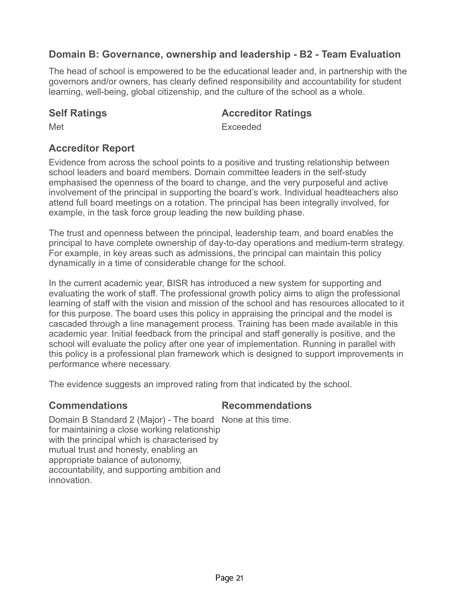# **Domain B: Governance, ownership and leadership - B2 - Team Evaluation**

The head of school is empowered to be the educational leader and, in partnership with the governors and/or owners, has clearly defined responsibility and accountability for student learning, well-being, global citizenship, and the culture of the school as a whole.

### **Self Ratings Accreditor Ratings**

Met **Exceeded** 

# **Accreditor Report**

Evidence from across the school points to a positive and trusting relationship between school leaders and board members. Domain committee leaders in the self-study emphasised the openness of the board to change, and the very purposeful and active involvement of the principal in supporting the board's work. Individual headteachers also attend full board meetings on a rotation. The principal has been integrally involved, for example, in the task force group leading the new building phase.

The trust and openness between the principal, leadership team, and board enables the principal to have complete ownership of day-to-day operations and medium-term strategy. For example, in key areas such as admissions, the principal can maintain this policy dynamically in a time of considerable change for the school.

In the current academic year, BISR has introduced a new system for supporting and evaluating the work of staff. The professional growth policy aims to align the professional learning of staff with the vision and mission of the school and has resources allocated to it for this purpose. The board uses this policy in appraising the principal and the model is cascaded through a line management process. Training has been made available in this academic year. Initial feedback from the principal and staff generally is positive, and the school will evaluate the policy after one year of implementation. Running in parallel with this policy is a professional plan framework which is designed to support improvements in performance where necessary.

The evidence suggests an improved rating from that indicated by the school.

## **Commendations Recommendations**

Domain B Standard 2 (Major) - The board None at this time. for maintaining a close working relationship with the principal which is characterised by mutual trust and honesty, enabling an appropriate balance of autonomy, accountability, and supporting ambition and innovation.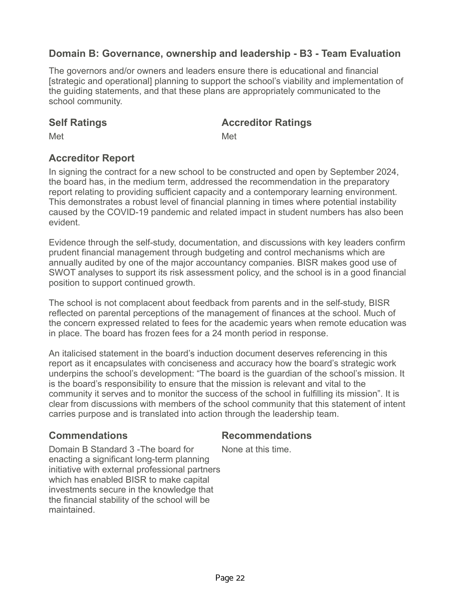# **Domain B: Governance, ownership and leadership - B3 - Team Evaluation**

The governors and/or owners and leaders ensure there is educational and financial [strategic and operational] planning to support the school's viability and implementation of the guiding statements, and that these plans are appropriately communicated to the school community.

### **Self Ratings Accreditor Ratings**

Met **Met** Met

# **Accreditor Report**

In signing the contract for a new school to be constructed and open by September 2024, the board has, in the medium term, addressed the recommendation in the preparatory report relating to providing sufficient capacity and a contemporary learning environment. This demonstrates a robust level of financial planning in times where potential instability caused by the COVID-19 pandemic and related impact in student numbers has also been evident.

Evidence through the self-study, documentation, and discussions with key leaders confirm prudent financial management through budgeting and control mechanisms which are annually audited by one of the major accountancy companies. BISR makes good use of SWOT analyses to support its risk assessment policy, and the school is in a good financial position to support continued growth.

The school is not complacent about feedback from parents and in the self-study, BISR reflected on parental perceptions of the management of finances at the school. Much of the concern expressed related to fees for the academic years when remote education was in place. The board has frozen fees for a 24 month period in response.

An italicised statement in the board's induction document deserves referencing in this report as it encapsulates with conciseness and accuracy how the board's strategic work underpins the school's development: "The board is the guardian of the school's mission. It is the board's responsibility to ensure that the mission is relevant and vital to the community it serves and to monitor the success of the school in fulfilling its mission". It is clear from discussions with members of the school community that this statement of intent carries purpose and is translated into action through the leadership team.

### **Commendations Recommendations**

Domain B Standard 3 -The board for enacting a significant long-term planning initiative with external professional partners which has enabled BISR to make capital investments secure in the knowledge that the financial stability of the school will be maintained.

None at this time.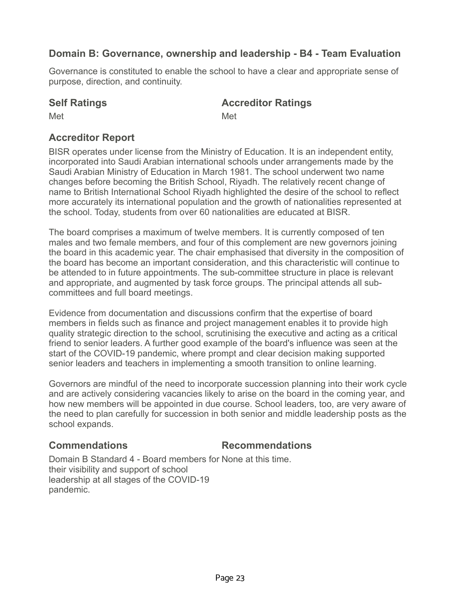# **Domain B: Governance, ownership and leadership - B4 - Team Evaluation**

Governance is constituted to enable the school to have a clear and appropriate sense of purpose, direction, and continuity.

# **Self Ratings Accreditor Ratings**

Met **Met** Met

# **Accreditor Report**

BISR operates under license from the Ministry of Education. It is an independent entity, incorporated into Saudi Arabian international schools under arrangements made by the Saudi Arabian Ministry of Education in March 1981. The school underwent two name changes before becoming the British School, Riyadh. The relatively recent change of name to British International School Riyadh highlighted the desire of the school to reflect more accurately its international population and the growth of nationalities represented at the school. Today, students from over 60 nationalities are educated at BISR.

The board comprises a maximum of twelve members. It is currently composed of ten males and two female members, and four of this complement are new governors joining the board in this academic year. The chair emphasised that diversity in the composition of the board has become an important consideration, and this characteristic will continue to be attended to in future appointments. The sub-committee structure in place is relevant and appropriate, and augmented by task force groups. The principal attends all subcommittees and full board meetings.

Evidence from documentation and discussions confirm that the expertise of board members in fields such as finance and project management enables it to provide high quality strategic direction to the school, scrutinising the executive and acting as a critical friend to senior leaders. A further good example of the board's influence was seen at the start of the COVID-19 pandemic, where prompt and clear decision making supported senior leaders and teachers in implementing a smooth transition to online learning.

Governors are mindful of the need to incorporate succession planning into their work cycle and are actively considering vacancies likely to arise on the board in the coming year, and how new members will be appointed in due course. School leaders, too, are very aware of the need to plan carefully for succession in both senior and middle leadership posts as the school expands.

## **Commendations Recommendations**

Domain B Standard 4 - Board members for None at this time. their visibility and support of school leadership at all stages of the COVID-19 pandemic.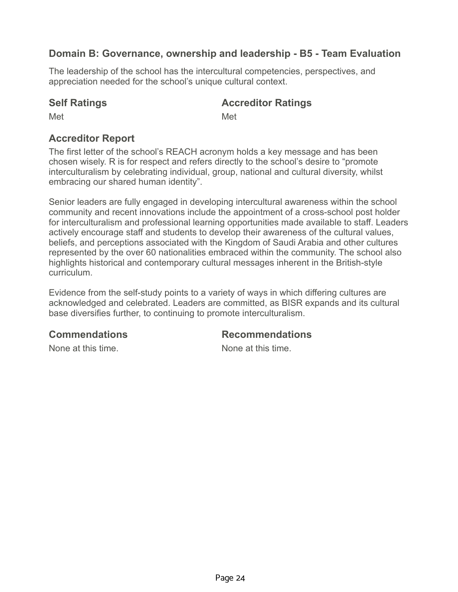# **Domain B: Governance, ownership and leadership - B5 - Team Evaluation**

The leadership of the school has the intercultural competencies, perspectives, and appreciation needed for the school's unique cultural context.

# **Self Ratings Accreditor Ratings**

Met **Met** Met

# **Accreditor Report**

The first letter of the school's REACH acronym holds a key message and has been chosen wisely. R is for respect and refers directly to the school's desire to "promote interculturalism by celebrating individual, group, national and cultural diversity, whilst embracing our shared human identity".

Senior leaders are fully engaged in developing intercultural awareness within the school community and recent innovations include the appointment of a cross-school post holder for interculturalism and professional learning opportunities made available to staff. Leaders actively encourage staff and students to develop their awareness of the cultural values, beliefs, and perceptions associated with the Kingdom of Saudi Arabia and other cultures represented by the over 60 nationalities embraced within the community. The school also highlights historical and contemporary cultural messages inherent in the British-style curriculum.

Evidence from the self-study points to a variety of ways in which differing cultures are acknowledged and celebrated. Leaders are committed, as BISR expands and its cultural base diversifies further, to continuing to promote interculturalism.

**Commendations Recommendations**

None at this time. None at this time.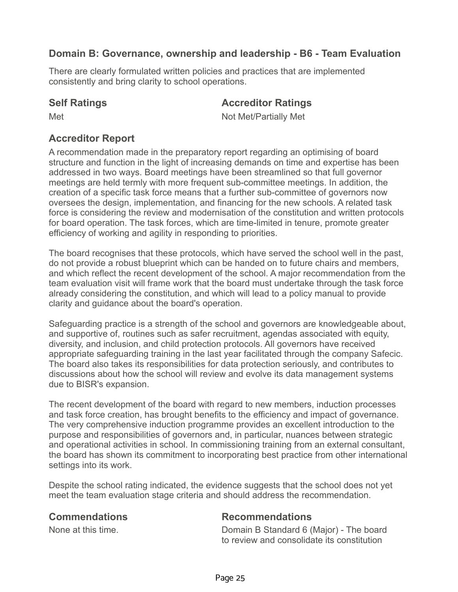# **Domain B: Governance, ownership and leadership - B6 - Team Evaluation**

There are clearly formulated written policies and practices that are implemented consistently and bring clarity to school operations.

### **Self Ratings Accreditor Ratings**

Met Not Met/Partially Met

# **Accreditor Report**

A recommendation made in the preparatory report regarding an optimising of board structure and function in the light of increasing demands on time and expertise has been addressed in two ways. Board meetings have been streamlined so that full governor meetings are held termly with more frequent sub-committee meetings. In addition, the creation of a specific task force means that a further sub-committee of governors now oversees the design, implementation, and financing for the new schools. A related task force is considering the review and modernisation of the constitution and written protocols for board operation. The task forces, which are time-limited in tenure, promote greater efficiency of working and agility in responding to priorities.

The board recognises that these protocols, which have served the school well in the past, do not provide a robust blueprint which can be handed on to future chairs and members, and which reflect the recent development of the school. A major recommendation from the team evaluation visit will frame work that the board must undertake through the task force already considering the constitution, and which will lead to a policy manual to provide clarity and guidance about the board's operation.

Safeguarding practice is a strength of the school and governors are knowledgeable about, and supportive of, routines such as safer recruitment, agendas associated with equity, diversity, and inclusion, and child protection protocols. All governors have received appropriate safeguarding training in the last year facilitated through the company Safecic. The board also takes its responsibilities for data protection seriously, and contributes to discussions about how the school will review and evolve its data management systems due to BISR's expansion.

The recent development of the board with regard to new members, induction processes and task force creation, has brought benefits to the efficiency and impact of governance. The very comprehensive induction programme provides an excellent introduction to the purpose and responsibilities of governors and, in particular, nuances between strategic and operational activities in school. In commissioning training from an external consultant, the board has shown its commitment to incorporating best practice from other international settings into its work.

Despite the school rating indicated, the evidence suggests that the school does not yet meet the team evaluation stage criteria and should address the recommendation.

**Commendations Recommendations**

None at this time. Domain B Standard 6 (Major) - The board to review and consolidate its constitution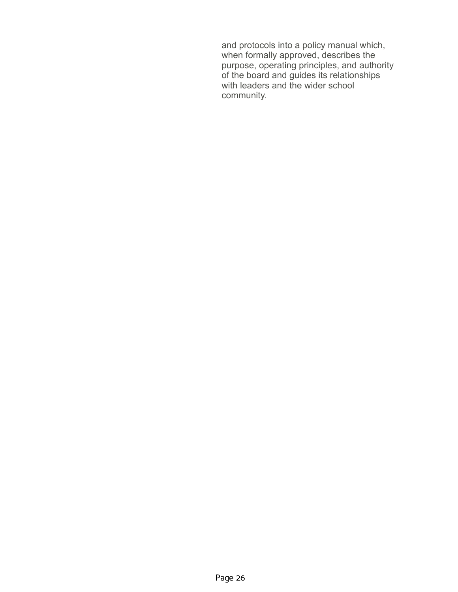and protocols into a policy manual which, when formally approved, describes the purpose, operating principles, and authority of the board and guides its relationships with leaders and the wider school community.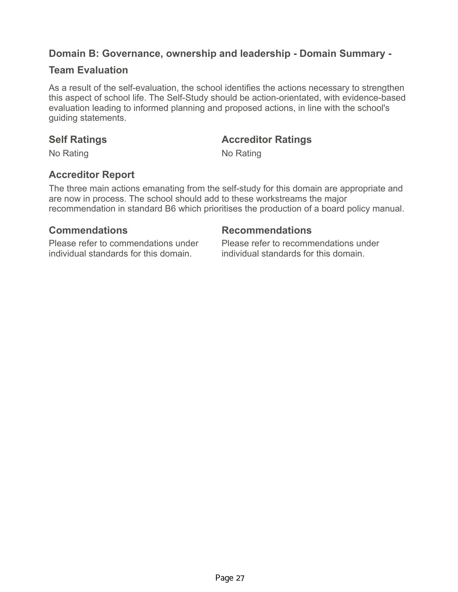## **Domain B: Governance, ownership and leadership - Domain Summary -**

### **Team Evaluation**

As a result of the self-evaluation, the school identifies the actions necessary to strengthen this aspect of school life. The Self-Study should be action-orientated, with evidence-based evaluation leading to informed planning and proposed actions, in line with the school's guiding statements.

### **Self Ratings Accreditor Ratings**

No Rating No Rating No.

# **Accreditor Report**

The three main actions emanating from the self-study for this domain are appropriate and are now in process. The school should add to these workstreams the major recommendation in standard B6 which prioritises the production of a board policy manual.

### **Commendations Recommendations**

Please refer to commendations under individual standards for this domain.

Please refer to recommendations under individual standards for this domain.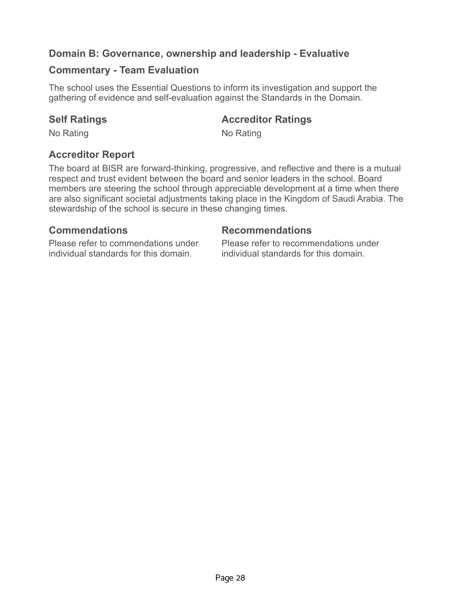## **Domain B: Governance, ownership and leadership - Evaluative**

### **Commentary - Team Evaluation**

The school uses the Essential Questions to inform its investigation and support the gathering of evidence and self-evaluation against the Standards in the Domain.

### **Self Ratings Accreditor Ratings**

No Rating No Rating No.

## **Accreditor Report**

The board at BISR are forward-thinking, progressive, and reflective and there is a mutual respect and trust evident between the board and senior leaders in the school. Board members are steering the school through appreciable development at a time when there are also significant societal adjustments taking place in the Kingdom of Saudi Arabia. The stewardship of the school is secure in these changing times.

### **Commendations Recommendations**

Please refer to commendations under individual standards for this domain.

Please refer to recommendations under individual standards for this domain.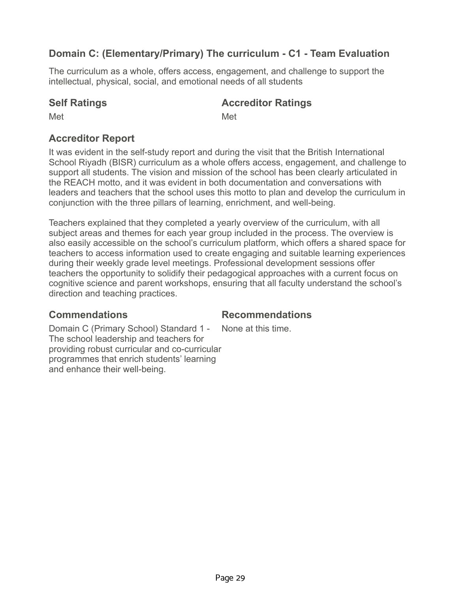## **Domain C: (Elementary/Primary) The curriculum - C1 - Team Evaluation**

The curriculum as a whole, offers access, engagement, and challenge to support the intellectual, physical, social, and emotional needs of all students

## **Self Ratings Accreditor Ratings**

Met **Met** Met

## **Accreditor Report**

It was evident in the self-study report and during the visit that the British International School Riyadh (BISR) curriculum as a whole offers access, engagement, and challenge to support all students. The vision and mission of the school has been clearly articulated in the REACH motto, and it was evident in both documentation and conversations with leaders and teachers that the school uses this motto to plan and develop the curriculum in conjunction with the three pillars of learning, enrichment, and well-being.

Teachers explained that they completed a yearly overview of the curriculum, with all subject areas and themes for each year group included in the process. The overview is also easily accessible on the school's curriculum platform, which offers a shared space for teachers to access information used to create engaging and suitable learning experiences during their weekly grade level meetings. Professional development sessions offer teachers the opportunity to solidify their pedagogical approaches with a current focus on cognitive science and parent workshops, ensuring that all faculty understand the school's direction and teaching practices.

## **Commendations Recommendations**

None at this time.

Domain C (Primary School) Standard 1 - The school leadership and teachers for providing robust curricular and co-curricular programmes that enrich students' learning and enhance their well-being.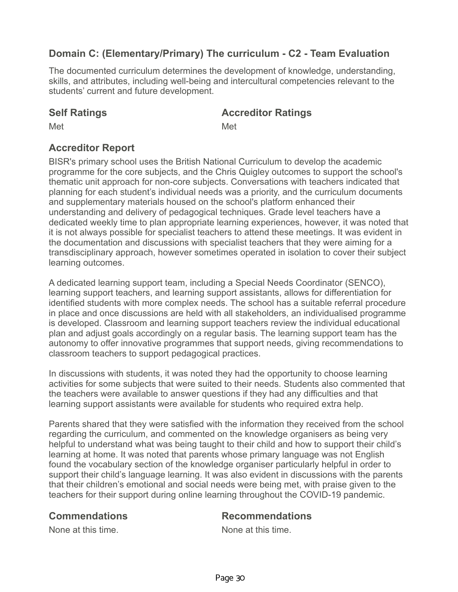## **Domain C: (Elementary/Primary) The curriculum - C2 - Team Evaluation**

The documented curriculum determines the development of knowledge, understanding, skills, and attributes, including well-being and intercultural competencies relevant to the students' current and future development.

### **Self Ratings Accreditor Ratings**

Met **Met** Met

## **Accreditor Report**

BISR's primary school uses the British National Curriculum to develop the academic programme for the core subjects, and the Chris Quigley outcomes to support the school's thematic unit approach for non-core subjects. Conversations with teachers indicated that planning for each student's individual needs was a priority, and the curriculum documents and supplementary materials housed on the school's platform enhanced their understanding and delivery of pedagogical techniques. Grade level teachers have a dedicated weekly time to plan appropriate learning experiences, however, it was noted that it is not always possible for specialist teachers to attend these meetings. It was evident in the documentation and discussions with specialist teachers that they were aiming for a transdisciplinary approach, however sometimes operated in isolation to cover their subject learning outcomes.

A dedicated learning support team, including a Special Needs Coordinator (SENCO), learning support teachers, and learning support assistants, allows for differentiation for identified students with more complex needs. The school has a suitable referral procedure in place and once discussions are held with all stakeholders, an individualised programme is developed. Classroom and learning support teachers review the individual educational plan and adjust goals accordingly on a regular basis. The learning support team has the autonomy to offer innovative programmes that support needs, giving recommendations to classroom teachers to support pedagogical practices.

In discussions with students, it was noted they had the opportunity to choose learning activities for some subjects that were suited to their needs. Students also commented that the teachers were available to answer questions if they had any difficulties and that learning support assistants were available for students who required extra help.

Parents shared that they were satisfied with the information they received from the school regarding the curriculum, and commented on the knowledge organisers as being very helpful to understand what was being taught to their child and how to support their child's learning at home. It was noted that parents whose primary language was not English found the vocabulary section of the knowledge organiser particularly helpful in order to support their child's language learning. It was also evident in discussions with the parents that their children's emotional and social needs were being met, with praise given to the teachers for their support during online learning throughout the COVID-19 pandemic.

## **Commendations Recommendations**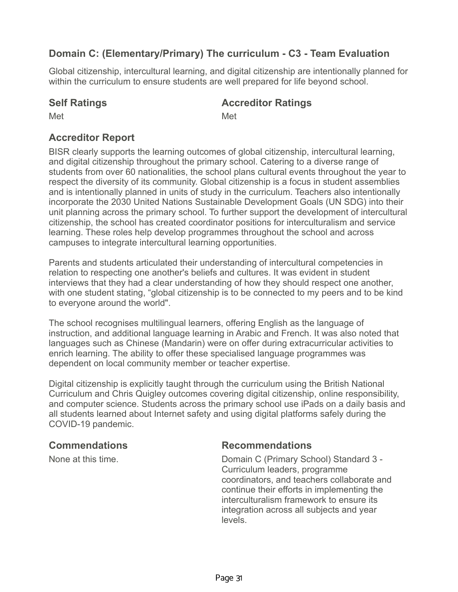## **Domain C: (Elementary/Primary) The curriculum - C3 - Team Evaluation**

Global citizenship, intercultural learning, and digital citizenship are intentionally planned for within the curriculum to ensure students are well prepared for life beyond school.

### **Self Ratings Accreditor Ratings**

Met **Met** Met

## **Accreditor Report**

BISR clearly supports the learning outcomes of global citizenship, intercultural learning, and digital citizenship throughout the primary school. Catering to a diverse range of students from over 60 nationalities, the school plans cultural events throughout the year to respect the diversity of its community. Global citizenship is a focus in student assemblies and is intentionally planned in units of study in the curriculum. Teachers also intentionally incorporate the 2030 United Nations Sustainable Development Goals (UN SDG) into their unit planning across the primary school. To further support the development of intercultural citizenship, the school has created coordinator positions for interculturalism and service learning. These roles help develop programmes throughout the school and across campuses to integrate intercultural learning opportunities.

Parents and students articulated their understanding of intercultural competencies in relation to respecting one another's beliefs and cultures. It was evident in student interviews that they had a clear understanding of how they should respect one another, with one student stating, "global citizenship is to be connected to my peers and to be kind to everyone around the world".

The school recognises multilingual learners, offering English as the language of instruction, and additional language learning in Arabic and French. It was also noted that languages such as Chinese (Mandarin) were on offer during extracurricular activities to enrich learning. The ability to offer these specialised language programmes was dependent on local community member or teacher expertise.

Digital citizenship is explicitly taught through the curriculum using the British National Curriculum and Chris Quigley outcomes covering digital citizenship, online responsibility, and computer science. Students across the primary school use iPads on a daily basis and all students learned about Internet safety and using digital platforms safely during the COVID-19 pandemic.

## **Commendations Recommendations**

None at this time. Domain C (Primary School) Standard 3 - Curriculum leaders, programme coordinators, and teachers collaborate and continue their efforts in implementing the interculturalism framework to ensure its integration across all subjects and year levels.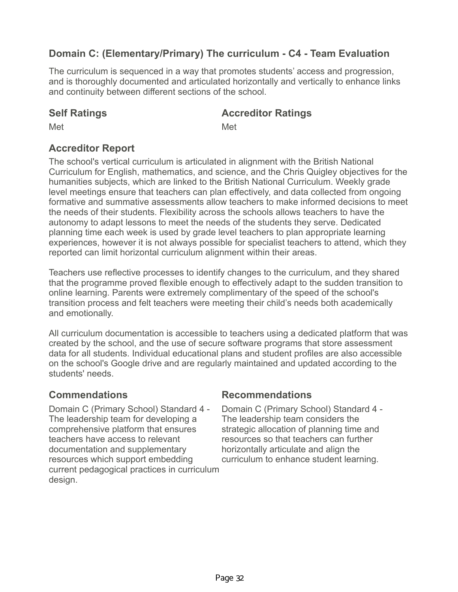# **Domain C: (Elementary/Primary) The curriculum - C4 - Team Evaluation**

The curriculum is sequenced in a way that promotes students' access and progression, and is thoroughly documented and articulated horizontally and vertically to enhance links and continuity between different sections of the school.

### **Self Ratings Accreditor Ratings**

Met **Met** Met

## **Accreditor Report**

The school's vertical curriculum is articulated in alignment with the British National Curriculum for English, mathematics, and science, and the Chris Quigley objectives for the humanities subjects, which are linked to the British National Curriculum. Weekly grade level meetings ensure that teachers can plan effectively, and data collected from ongoing formative and summative assessments allow teachers to make informed decisions to meet the needs of their students. Flexibility across the schools allows teachers to have the autonomy to adapt lessons to meet the needs of the students they serve. Dedicated planning time each week is used by grade level teachers to plan appropriate learning experiences, however it is not always possible for specialist teachers to attend, which they reported can limit horizontal curriculum alignment within their areas.

Teachers use reflective processes to identify changes to the curriculum, and they shared that the programme proved flexible enough to effectively adapt to the sudden transition to online learning. Parents were extremely complimentary of the speed of the school's transition process and felt teachers were meeting their child's needs both academically and emotionally.

All curriculum documentation is accessible to teachers using a dedicated platform that was created by the school, and the use of secure software programs that store assessment data for all students. Individual educational plans and student profiles are also accessible on the school's Google drive and are regularly maintained and updated according to the students' needs.

Domain C (Primary School) Standard 4 - The leadership team for developing a comprehensive platform that ensures teachers have access to relevant documentation and supplementary resources which support embedding current pedagogical practices in curriculum design.

## **Commendations Recommendations**

Domain C (Primary School) Standard 4 - The leadership team considers the strategic allocation of planning time and resources so that teachers can further horizontally articulate and align the curriculum to enhance student learning.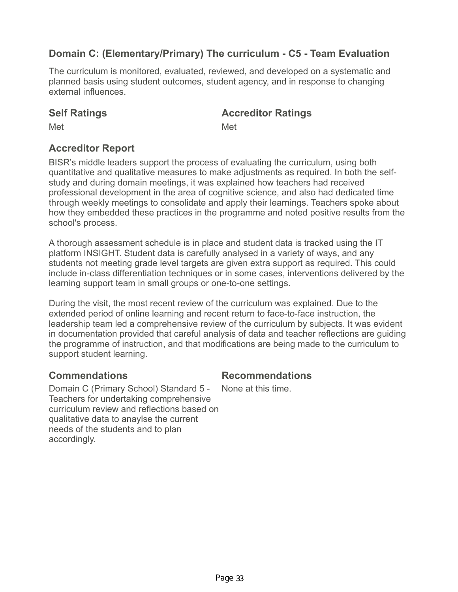## **Domain C: (Elementary/Primary) The curriculum - C5 - Team Evaluation**

The curriculum is monitored, evaluated, reviewed, and developed on a systematic and planned basis using student outcomes, student agency, and in response to changing external influences.

### **Self Ratings Accreditor Ratings**

Met **Met** Met

## **Accreditor Report**

BISR's middle leaders support the process of evaluating the curriculum, using both quantitative and qualitative measures to make adjustments as required. In both the selfstudy and during domain meetings, it was explained how teachers had received professional development in the area of cognitive science, and also had dedicated time through weekly meetings to consolidate and apply their learnings. Teachers spoke about how they embedded these practices in the programme and noted positive results from the school's process.

A thorough assessment schedule is in place and student data is tracked using the IT platform INSIGHT. Student data is carefully analysed in a variety of ways, and any students not meeting grade level targets are given extra support as required. This could include in-class differentiation techniques or in some cases, interventions delivered by the learning support team in small groups or one-to-one settings.

During the visit, the most recent review of the curriculum was explained. Due to the extended period of online learning and recent return to face-to-face instruction, the leadership team led a comprehensive review of the curriculum by subjects. It was evident in documentation provided that careful analysis of data and teacher reflections are guiding the programme of instruction, and that modifications are being made to the curriculum to support student learning.

## **Commendations Recommendations**

Domain C (Primary School) Standard 5 - Teachers for undertaking comprehensive curriculum review and reflections based on qualitative data to anaylse the current needs of the students and to plan accordingly. None at this time.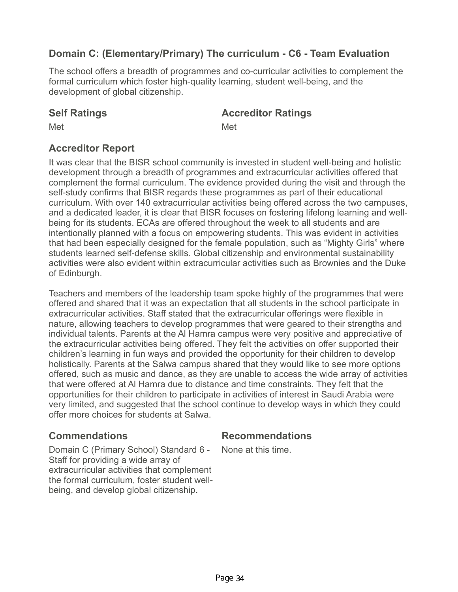## **Domain C: (Elementary/Primary) The curriculum - C6 - Team Evaluation**

The school offers a breadth of programmes and co-curricular activities to complement the formal curriculum which foster high-quality learning, student well-being, and the development of global citizenship.

### **Self Ratings Accreditor Ratings**

Met **Met** Met

## **Accreditor Report**

It was clear that the BISR school community is invested in student well-being and holistic development through a breadth of programmes and extracurricular activities offered that complement the formal curriculum. The evidence provided during the visit and through the self-study confirms that BISR regards these programmes as part of their educational curriculum. With over 140 extracurricular activities being offered across the two campuses, and a dedicated leader, it is clear that BISR focuses on fostering lifelong learning and wellbeing for its students. ECAs are offered throughout the week to all students and are intentionally planned with a focus on empowering students. This was evident in activities that had been especially designed for the female population, such as "Mighty Girls" where students learned self-defense skills. Global citizenship and environmental sustainability activities were also evident within extracurricular activities such as Brownies and the Duke of Edinburgh.

Teachers and members of the leadership team spoke highly of the programmes that were offered and shared that it was an expectation that all students in the school participate in extracurricular activities. Staff stated that the extracurricular offerings were flexible in nature, allowing teachers to develop programmes that were geared to their strengths and individual talents. Parents at the Al Hamra campus were very positive and appreciative of the extracurricular activities being offered. They felt the activities on offer supported their children's learning in fun ways and provided the opportunity for their children to develop holistically. Parents at the Salwa campus shared that they would like to see more options offered, such as music and dance, as they are unable to access the wide array of activities that were offered at Al Hamra due to distance and time constraints. They felt that the opportunities for their children to participate in activities of interest in Saudi Arabia were very limited, and suggested that the school continue to develop ways in which they could offer more choices for students at Salwa.

### **Commendations Recommendations**

Domain C (Primary School) Standard 6 - Staff for providing a wide array of extracurricular activities that complement the formal curriculum, foster student wellbeing, and develop global citizenship.

None at this time.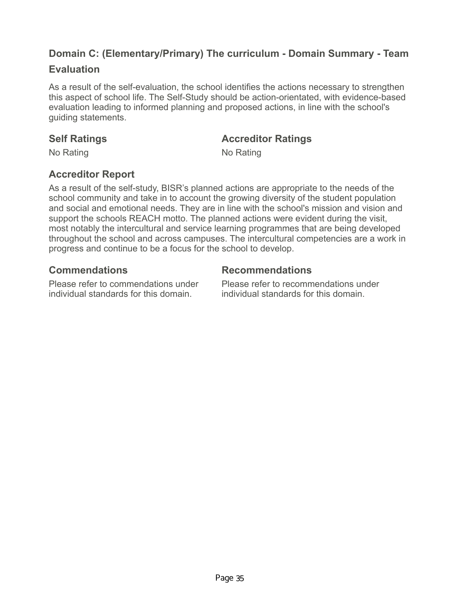# **Domain C: (Elementary/Primary) The curriculum - Domain Summary - Team**

## **Evaluation**

As a result of the self-evaluation, the school identifies the actions necessary to strengthen this aspect of school life. The Self-Study should be action-orientated, with evidence-based evaluation leading to informed planning and proposed actions, in line with the school's guiding statements.

## **Self Ratings Accreditor Ratings**

No Rating No Rating No.

## **Accreditor Report**

As a result of the self-study, BISR's planned actions are appropriate to the needs of the school community and take in to account the growing diversity of the student population and social and emotional needs. They are in line with the school's mission and vision and support the schools REACH motto. The planned actions were evident during the visit, most notably the intercultural and service learning programmes that are being developed throughout the school and across campuses. The intercultural competencies are a work in progress and continue to be a focus for the school to develop.

## **Commendations Recommendations**

Please refer to commendations under individual standards for this domain.

Please refer to recommendations under individual standards for this domain.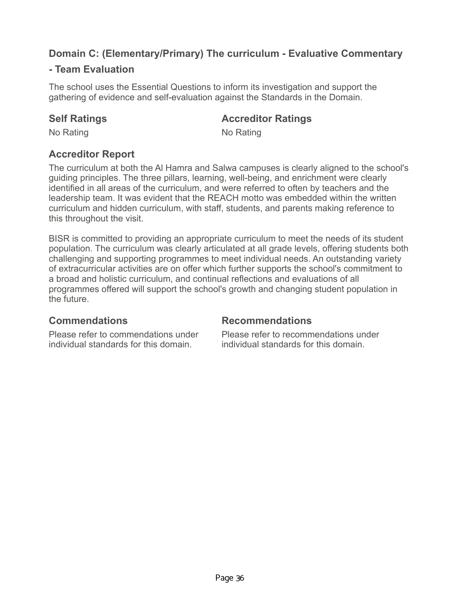# **Domain C: (Elementary/Primary) The curriculum - Evaluative Commentary**

## **- Team Evaluation**

The school uses the Essential Questions to inform its investigation and support the gathering of evidence and self-evaluation against the Standards in the Domain.

## **Self Ratings Accreditor Ratings**

No Rating No Rating No.

## **Accreditor Report**

The curriculum at both the Al Hamra and Salwa campuses is clearly aligned to the school's guiding principles. The three pillars, learning, well-being, and enrichment were clearly identified in all areas of the curriculum, and were referred to often by teachers and the leadership team. It was evident that the REACH motto was embedded within the written curriculum and hidden curriculum, with staff, students, and parents making reference to this throughout the visit.

BISR is committed to providing an appropriate curriculum to meet the needs of its student population. The curriculum was clearly articulated at all grade levels, offering students both challenging and supporting programmes to meet individual needs. An outstanding variety of extracurricular activities are on offer which further supports the school's commitment to a broad and holistic curriculum, and continual reflections and evaluations of all programmes offered will support the school's growth and changing student population in the future.

## **Commendations Recommendations**

Please refer to commendations under individual standards for this domain.

Please refer to recommendations under individual standards for this domain.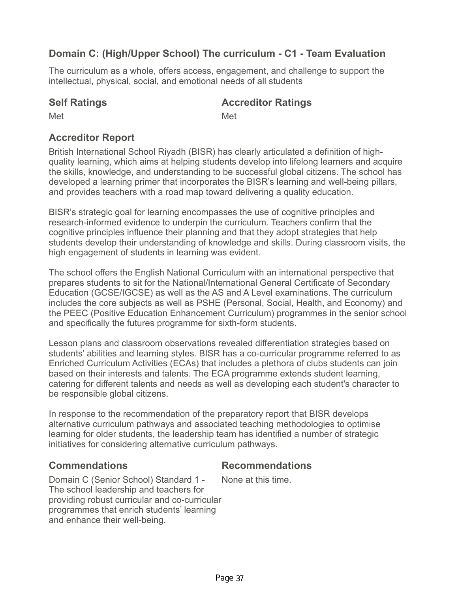## **Domain C: (High/Upper School) The curriculum - C1 - Team Evaluation**

The curriculum as a whole, offers access, engagement, and challenge to support the intellectual, physical, social, and emotional needs of all students

## **Self Ratings Accreditor Ratings**

Met **Met** Met

## **Accreditor Report**

British International School Riyadh (BISR) has clearly articulated a definition of highquality learning, which aims at helping students develop into lifelong learners and acquire the skills, knowledge, and understanding to be successful global citizens. The school has developed a learning primer that incorporates the BISR's learning and well-being pillars, and provides teachers with a road map toward delivering a quality education.

BISR's strategic goal for learning encompasses the use of cognitive principles and research-informed evidence to underpin the curriculum. Teachers confirm that the cognitive principles influence their planning and that they adopt strategies that help students develop their understanding of knowledge and skills. During classroom visits, the high engagement of students in learning was evident.

The school offers the English National Curriculum with an international perspective that prepares students to sit for the National/International General Certificate of Secondary Education (GCSE/IGCSE) as well as the AS and A Level examinations. The curriculum includes the core subjects as well as PSHE (Personal, Social, Health, and Economy) and the PEEC (Positive Education Enhancement Curriculum) programmes in the senior school and specifically the futures programme for sixth-form students.

Lesson plans and classroom observations revealed differentiation strategies based on students' abilities and learning styles. BISR has a co-curricular programme referred to as Enriched Curriculum Activities (ECAs) that includes a plethora of clubs students can join based on their interests and talents. The ECA programme extends student learning, catering for different talents and needs as well as developing each student's character to be responsible global citizens.

In response to the recommendation of the preparatory report that BISR develops alternative curriculum pathways and associated teaching methodologies to optimise learning for older students, the leadership team has identified a number of strategic initiatives for considering alternative curriculum pathways.

## **Commendations Recommendations**

Domain C (Senior School) Standard 1 - The school leadership and teachers for providing robust curricular and co-curricular programmes that enrich students' learning and enhance their well-being. None at this time.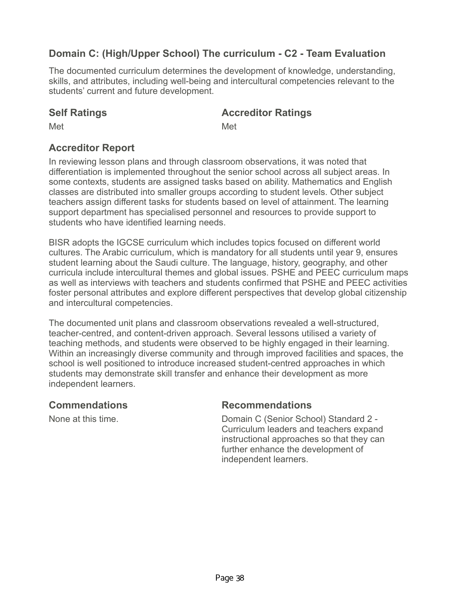# **Domain C: (High/Upper School) The curriculum - C2 - Team Evaluation**

The documented curriculum determines the development of knowledge, understanding, skills, and attributes, including well-being and intercultural competencies relevant to the students' current and future development.

### **Self Ratings Accreditor Ratings**

Met **Met** Met

## **Accreditor Report**

In reviewing lesson plans and through classroom observations, it was noted that differentiation is implemented throughout the senior school across all subject areas. In some contexts, students are assigned tasks based on ability. Mathematics and English classes are distributed into smaller groups according to student levels. Other subject teachers assign different tasks for students based on level of attainment. The learning support department has specialised personnel and resources to provide support to students who have identified learning needs.

BISR adopts the IGCSE curriculum which includes topics focused on different world cultures. The Arabic curriculum, which is mandatory for all students until year 9, ensures student learning about the Saudi culture. The language, history, geography, and other curricula include intercultural themes and global issues. PSHE and PEEC curriculum maps as well as interviews with teachers and students confirmed that PSHE and PEEC activities foster personal attributes and explore different perspectives that develop global citizenship and intercultural competencies.

The documented unit plans and classroom observations revealed a well-structured, teacher-centred, and content-driven approach. Several lessons utilised a variety of teaching methods, and students were observed to be highly engaged in their learning. Within an increasingly diverse community and through improved facilities and spaces, the school is well positioned to introduce increased student-centred approaches in which students may demonstrate skill transfer and enhance their development as more independent learners.

### **Commendations Recommendations**

None at this time. The Senior School Standard 2 -Curriculum leaders and teachers expand instructional approaches so that they can further enhance the development of independent learners.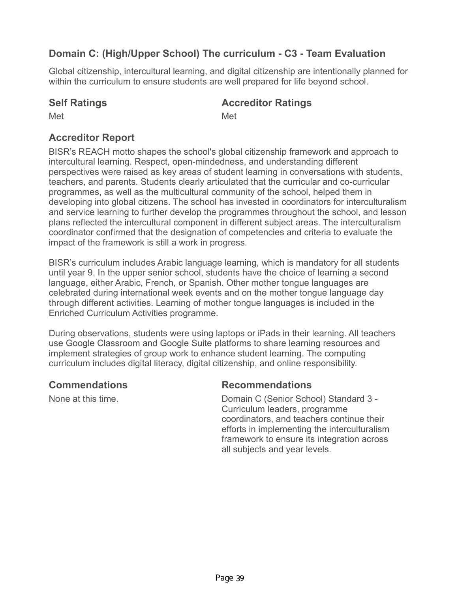# **Domain C: (High/Upper School) The curriculum - C3 - Team Evaluation**

Global citizenship, intercultural learning, and digital citizenship are intentionally planned for within the curriculum to ensure students are well prepared for life beyond school.

## **Self Ratings Accreditor Ratings**

Met **Met** Met

# **Accreditor Report**

BISR's REACH motto shapes the school's global citizenship framework and approach to intercultural learning. Respect, open-mindedness, and understanding different perspectives were raised as key areas of student learning in conversations with students, teachers, and parents. Students clearly articulated that the curricular and co-curricular programmes, as well as the multicultural community of the school, helped them in developing into global citizens. The school has invested in coordinators for interculturalism and service learning to further develop the programmes throughout the school, and lesson plans reflected the intercultural component in different subject areas. The interculturalism coordinator confirmed that the designation of competencies and criteria to evaluate the impact of the framework is still a work in progress.

BISR's curriculum includes Arabic language learning, which is mandatory for all students until year 9. In the upper senior school, students have the choice of learning a second language, either Arabic, French, or Spanish. Other mother tongue languages are celebrated during international week events and on the mother tongue language day through different activities. Learning of mother tongue languages is included in the Enriched Curriculum Activities programme.

During observations, students were using laptops or iPads in their learning. All teachers use Google Classroom and Google Suite platforms to share learning resources and implement strategies of group work to enhance student learning. The computing curriculum includes digital literacy, digital citizenship, and online responsibility.

## **Commendations Recommendations**

None at this time. Domain C (Senior School) Standard 3 - Curriculum leaders, programme coordinators, and teachers continue their efforts in implementing the interculturalism framework to ensure its integration across all subjects and year levels.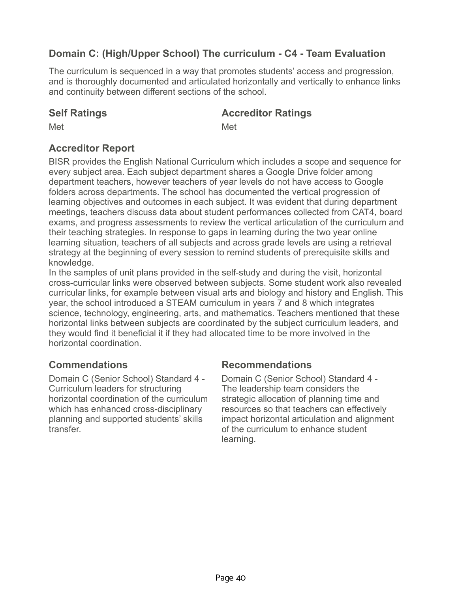# **Domain C: (High/Upper School) The curriculum - C4 - Team Evaluation**

The curriculum is sequenced in a way that promotes students' access and progression, and is thoroughly documented and articulated horizontally and vertically to enhance links and continuity between different sections of the school.

### **Self Ratings Accreditor Ratings**

Met **Met** Met

## **Accreditor Report**

BISR provides the English National Curriculum which includes a scope and sequence for every subject area. Each subject department shares a Google Drive folder among department teachers, however teachers of year levels do not have access to Google folders across departments. The school has documented the vertical progression of learning objectives and outcomes in each subject. It was evident that during department meetings, teachers discuss data about student performances collected from CAT4, board exams, and progress assessments to review the vertical articulation of the curriculum and their teaching strategies. In response to gaps in learning during the two year online learning situation, teachers of all subjects and across grade levels are using a retrieval strategy at the beginning of every session to remind students of prerequisite skills and knowledge.

In the samples of unit plans provided in the self-study and during the visit, horizontal cross-curricular links were observed between subjects. Some student work also revealed curricular links, for example between visual arts and biology and history and English. This year, the school introduced a STEAM curriculum in years 7 and 8 which integrates science, technology, engineering, arts, and mathematics. Teachers mentioned that these horizontal links between subjects are coordinated by the subject curriculum leaders, and they would find it beneficial it if they had allocated time to be more involved in the horizontal coordination.

Domain C (Senior School) Standard 4 - Curriculum leaders for structuring horizontal coordination of the curriculum which has enhanced cross-disciplinary planning and supported students' skills transfer.

### **Commendations Recommendations**

Domain C (Senior School) Standard 4 - The leadership team considers the strategic allocation of planning time and resources so that teachers can effectively impact horizontal articulation and alignment of the curriculum to enhance student learning.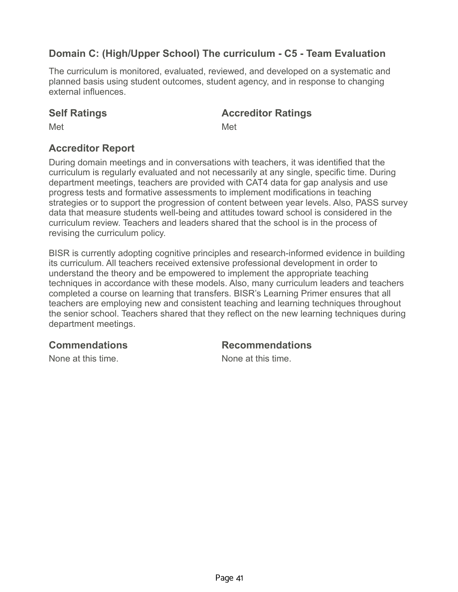# **Domain C: (High/Upper School) The curriculum - C5 - Team Evaluation**

The curriculum is monitored, evaluated, reviewed, and developed on a systematic and planned basis using student outcomes, student agency, and in response to changing external influences.

### **Self Ratings Accreditor Ratings**

Met **Met** Met

## **Accreditor Report**

During domain meetings and in conversations with teachers, it was identified that the curriculum is regularly evaluated and not necessarily at any single, specific time. During department meetings, teachers are provided with CAT4 data for gap analysis and use progress tests and formative assessments to implement modifications in teaching strategies or to support the progression of content between year levels. Also, PASS survey data that measure students well-being and attitudes toward school is considered in the curriculum review. Teachers and leaders shared that the school is in the process of revising the curriculum policy.

BISR is currently adopting cognitive principles and research-informed evidence in building its curriculum. All teachers received extensive professional development in order to understand the theory and be empowered to implement the appropriate teaching techniques in accordance with these models. Also, many curriculum leaders and teachers completed a course on learning that transfers. BISR's Learning Primer ensures that all teachers are employing new and consistent teaching and learning techniques throughout the senior school. Teachers shared that they reflect on the new learning techniques during department meetings.

### **Commendations Recommendations**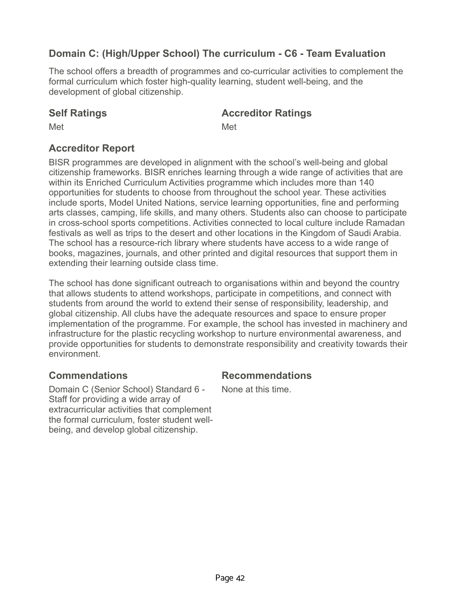# **Domain C: (High/Upper School) The curriculum - C6 - Team Evaluation**

The school offers a breadth of programmes and co-curricular activities to complement the formal curriculum which foster high-quality learning, student well-being, and the development of global citizenship.

### **Self Ratings Accreditor Ratings**

Met **Met** Met

## **Accreditor Report**

BISR programmes are developed in alignment with the school's well-being and global citizenship frameworks. BISR enriches learning through a wide range of activities that are within its Enriched Curriculum Activities programme which includes more than 140 opportunities for students to choose from throughout the school year. These activities include sports, Model United Nations, service learning opportunities, fine and performing arts classes, camping, life skills, and many others. Students also can choose to participate in cross-school sports competitions. Activities connected to local culture include Ramadan festivals as well as trips to the desert and other locations in the Kingdom of Saudi Arabia. The school has a resource-rich library where students have access to a wide range of books, magazines, journals, and other printed and digital resources that support them in extending their learning outside class time.

The school has done significant outreach to organisations within and beyond the country that allows students to attend workshops, participate in competitions, and connect with students from around the world to extend their sense of responsibility, leadership, and global citizenship. All clubs have the adequate resources and space to ensure proper implementation of the programme. For example, the school has invested in machinery and infrastructure for the plastic recycling workshop to nurture environmental awareness, and provide opportunities for students to demonstrate responsibility and creativity towards their environment.

Domain C (Senior School) Standard 6 - Staff for providing a wide array of extracurricular activities that complement the formal curriculum, foster student wellbeing, and develop global citizenship.

## **Commendations Recommendations**

None at this time.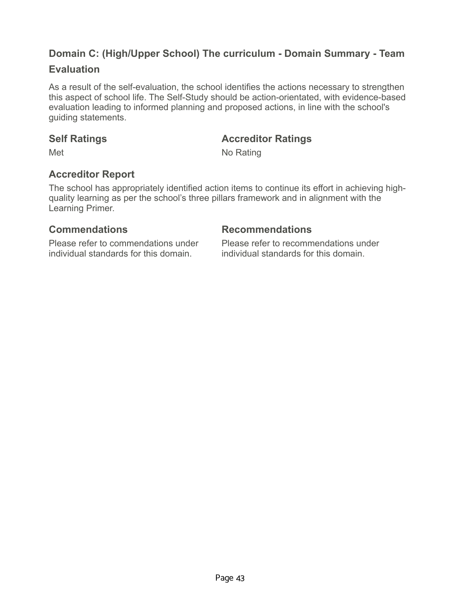# **Domain C: (High/Upper School) The curriculum - Domain Summary - Team**

## **Evaluation**

As a result of the self-evaluation, the school identifies the actions necessary to strengthen this aspect of school life. The Self-Study should be action-orientated, with evidence-based evaluation leading to informed planning and proposed actions, in line with the school's guiding statements.

## **Self Ratings Accreditor Ratings**

Met No Rating

# **Accreditor Report**

The school has appropriately identified action items to continue its effort in achieving highquality learning as per the school's three pillars framework and in alignment with the Learning Primer.

Please refer to commendations under individual standards for this domain.

### **Commendations Recommendations**

Please refer to recommendations under individual standards for this domain.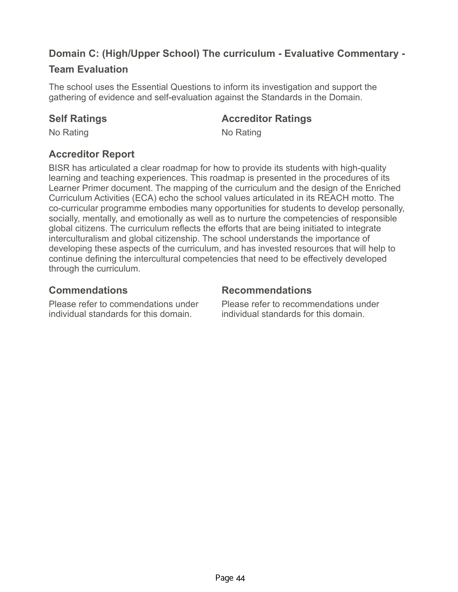# **Domain C: (High/Upper School) The curriculum - Evaluative Commentary -**

## **Team Evaluation**

The school uses the Essential Questions to inform its investigation and support the gathering of evidence and self-evaluation against the Standards in the Domain.

### **Self Ratings Accreditor Ratings**

No Rating No Rating No.

# **Accreditor Report**

BISR has articulated a clear roadmap for how to provide its students with high-quality learning and teaching experiences. This roadmap is presented in the procedures of its Learner Primer document. The mapping of the curriculum and the design of the Enriched Curriculum Activities (ECA) echo the school values articulated in its REACH motto. The co-curricular programme embodies many opportunities for students to develop personally, socially, mentally, and emotionally as well as to nurture the competencies of responsible global citizens. The curriculum reflects the efforts that are being initiated to integrate interculturalism and global citizenship. The school understands the importance of developing these aspects of the curriculum, and has invested resources that will help to continue defining the intercultural competencies that need to be effectively developed through the curriculum.

Please refer to commendations under individual standards for this domain.

### **Commendations Recommendations**

Please refer to recommendations under individual standards for this domain.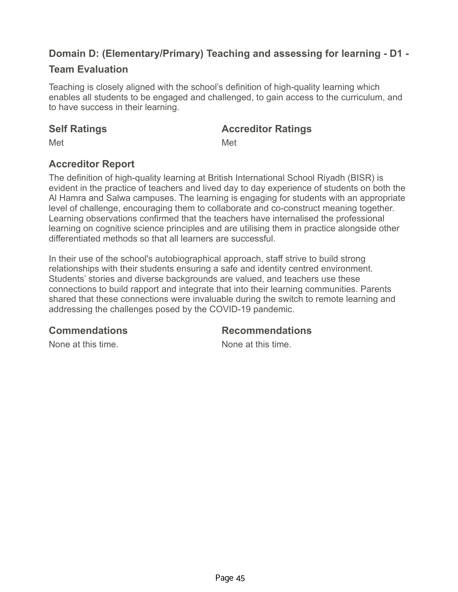# **Domain D: (Elementary/Primary) Teaching and assessing for learning - D1 -**

## **Team Evaluation**

Teaching is closely aligned with the school's definition of high-quality learning which enables all students to be engaged and challenged, to gain access to the curriculum, and to have success in their learning.

## **Self Ratings Accreditor Ratings**

Met **Met** Met

# **Accreditor Report**

The definition of high-quality learning at British International School Riyadh (BISR) is evident in the practice of teachers and lived day to day experience of students on both the Al Hamra and Salwa campuses. The learning is engaging for students with an appropriate level of challenge, encouraging them to collaborate and co-construct meaning together. Learning observations confirmed that the teachers have internalised the professional learning on cognitive science principles and are utilising them in practice alongside other differentiated methods so that all learners are successful.

In their use of the school's autobiographical approach, staff strive to build strong relationships with their students ensuring a safe and identity centred environment. Students' stories and diverse backgrounds are valued, and teachers use these connections to build rapport and integrate that into their learning communities. Parents shared that these connections were invaluable during the switch to remote learning and addressing the challenges posed by the COVID-19 pandemic.

## **Commendations Recommendations**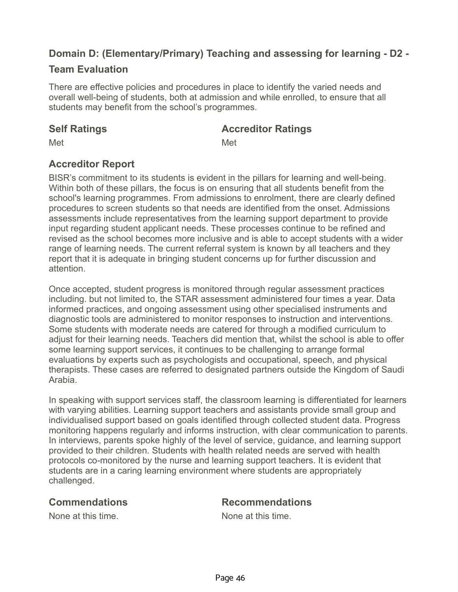# **Domain D: (Elementary/Primary) Teaching and assessing for learning - D2 -**

## **Team Evaluation**

There are effective policies and procedures in place to identify the varied needs and overall well-being of students, both at admission and while enrolled, to ensure that all students may benefit from the school's programmes.

### **Self Ratings Accreditor Ratings**

Met **Met** Met

# **Accreditor Report**

BISR's commitment to its students is evident in the pillars for learning and well-being. Within both of these pillars, the focus is on ensuring that all students benefit from the school's learning programmes. From admissions to enrolment, there are clearly defined procedures to screen students so that needs are identified from the onset. Admissions assessments include representatives from the learning support department to provide input regarding student applicant needs. These processes continue to be refined and revised as the school becomes more inclusive and is able to accept students with a wider range of learning needs. The current referral system is known by all teachers and they report that it is adequate in bringing student concerns up for further discussion and attention.

Once accepted, student progress is monitored through regular assessment practices including. but not limited to, the STAR assessment administered four times a year. Data informed practices, and ongoing assessment using other specialised instruments and diagnostic tools are administered to monitor responses to instruction and interventions. Some students with moderate needs are catered for through a modified curriculum to adjust for their learning needs. Teachers did mention that, whilst the school is able to offer some learning support services, it continues to be challenging to arrange formal evaluations by experts such as psychologists and occupational, speech, and physical therapists. These cases are referred to designated partners outside the Kingdom of Saudi Arabia.

In speaking with support services staff, the classroom learning is differentiated for learners with varying abilities. Learning support teachers and assistants provide small group and individualised support based on goals identified through collected student data. Progress monitoring happens regularly and informs instruction, with clear communication to parents. In interviews, parents spoke highly of the level of service, guidance, and learning support provided to their children. Students with health related needs are served with health protocols co-monitored by the nurse and learning support teachers. It is evident that students are in a caring learning environment where students are appropriately challenged.

## **Commendations Recommendations**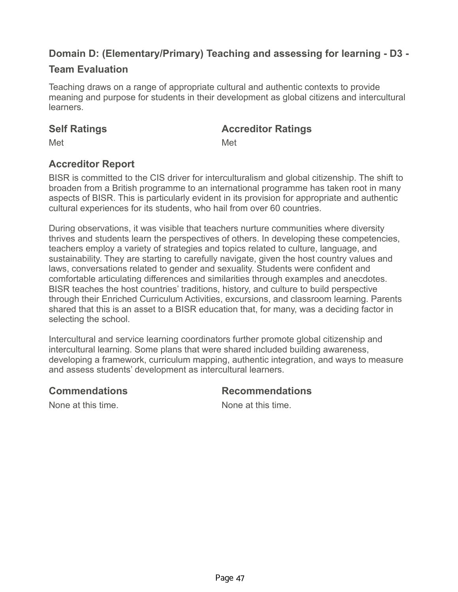# **Domain D: (Elementary/Primary) Teaching and assessing for learning - D3 -**

## **Team Evaluation**

Teaching draws on a range of appropriate cultural and authentic contexts to provide meaning and purpose for students in their development as global citizens and intercultural learners.

### **Self Ratings Accreditor Ratings**

Met **Met** Met

# **Accreditor Report**

BISR is committed to the CIS driver for interculturalism and global citizenship. The shift to broaden from a British programme to an international programme has taken root in many aspects of BISR. This is particularly evident in its provision for appropriate and authentic cultural experiences for its students, who hail from over 60 countries.

During observations, it was visible that teachers nurture communities where diversity thrives and students learn the perspectives of others. In developing these competencies, teachers employ a variety of strategies and topics related to culture, language, and sustainability. They are starting to carefully navigate, given the host country values and laws, conversations related to gender and sexuality. Students were confident and comfortable articulating differences and similarities through examples and anecdotes. BISR teaches the host countries' traditions, history, and culture to build perspective through their Enriched Curriculum Activities, excursions, and classroom learning. Parents shared that this is an asset to a BISR education that, for many, was a deciding factor in selecting the school.

Intercultural and service learning coordinators further promote global citizenship and intercultural learning. Some plans that were shared included building awareness, developing a framework, curriculum mapping, authentic integration, and ways to measure and assess students' development as intercultural learners.

## **Commendations Recommendations**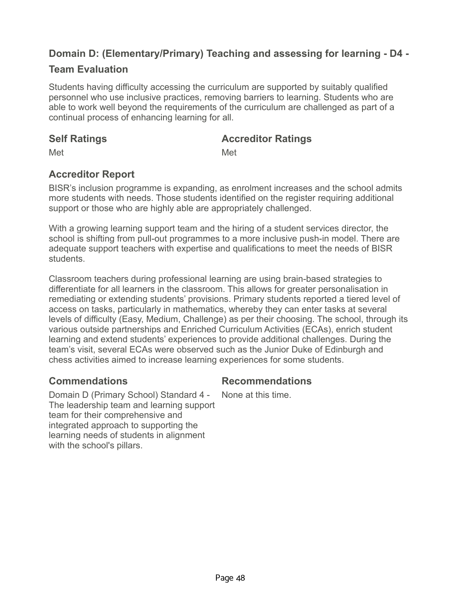# **Domain D: (Elementary/Primary) Teaching and assessing for learning - D4 -**

## **Team Evaluation**

Students having difficulty accessing the curriculum are supported by suitably qualified personnel who use inclusive practices, removing barriers to learning. Students who are able to work well beyond the requirements of the curriculum are challenged as part of a continual process of enhancing learning for all.

### **Self Ratings Accreditor Ratings**

Met **Met** Met

## **Accreditor Report**

BISR's inclusion programme is expanding, as enrolment increases and the school admits more students with needs. Those students identified on the register requiring additional support or those who are highly able are appropriately challenged.

With a growing learning support team and the hiring of a student services director, the school is shifting from pull-out programmes to a more inclusive push-in model. There are adequate support teachers with expertise and qualifications to meet the needs of BISR students.

Classroom teachers during professional learning are using brain-based strategies to differentiate for all learners in the classroom. This allows for greater personalisation in remediating or extending students' provisions. Primary students reported a tiered level of access on tasks, particularly in mathematics, whereby they can enter tasks at several levels of difficulty (Easy, Medium, Challenge) as per their choosing. The school, through its various outside partnerships and Enriched Curriculum Activities (ECAs), enrich student learning and extend students' experiences to provide additional challenges. During the team's visit, several ECAs were observed such as the Junior Duke of Edinburgh and chess activities aimed to increase learning experiences for some students.

## **Commendations Recommendations**

None at this time.

Domain D (Primary School) Standard 4 - The leadership team and learning support team for their comprehensive and integrated approach to supporting the learning needs of students in alignment with the school's pillars.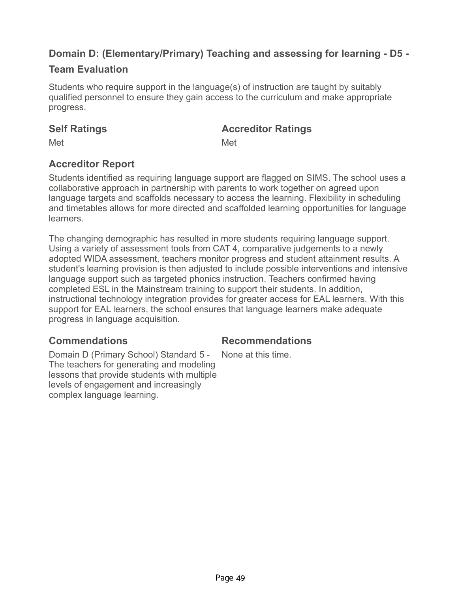# **Domain D: (Elementary/Primary) Teaching and assessing for learning - D5 -**

## **Team Evaluation**

Students who require support in the language(s) of instruction are taught by suitably qualified personnel to ensure they gain access to the curriculum and make appropriate progress.

### **Self Ratings Accreditor Ratings**

Met **Met** Met

# **Accreditor Report**

Students identified as requiring language support are flagged on SIMS. The school uses a collaborative approach in partnership with parents to work together on agreed upon language targets and scaffolds necessary to access the learning. Flexibility in scheduling and timetables allows for more directed and scaffolded learning opportunities for language learners.

The changing demographic has resulted in more students requiring language support. Using a variety of assessment tools from CAT 4, comparative judgements to a newly adopted WIDA assessment, teachers monitor progress and student attainment results. A student's learning provision is then adjusted to include possible interventions and intensive language support such as targeted phonics instruction. Teachers confirmed having completed ESL in the Mainstream training to support their students. In addition, instructional technology integration provides for greater access for EAL learners. With this support for EAL learners, the school ensures that language learners make adequate progress in language acquisition.

Domain D (Primary School) Standard 5 - The teachers for generating and modeling lessons that provide students with multiple levels of engagement and increasingly complex language learning.

## **Commendations Recommendations**

None at this time.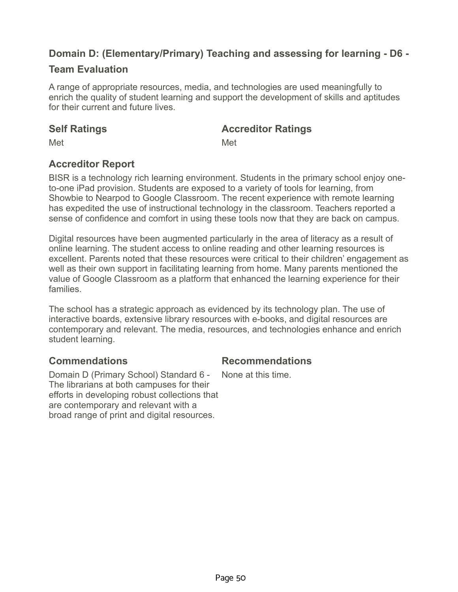# **Domain D: (Elementary/Primary) Teaching and assessing for learning - D6 -**

## **Team Evaluation**

A range of appropriate resources, media, and technologies are used meaningfully to enrich the quality of student learning and support the development of skills and aptitudes for their current and future lives.

### **Self Ratings Accreditor Ratings**

Met **Met** Met

# **Accreditor Report**

BISR is a technology rich learning environment. Students in the primary school enjoy oneto-one iPad provision. Students are exposed to a variety of tools for learning, from Showbie to Nearpod to Google Classroom. The recent experience with remote learning has expedited the use of instructional technology in the classroom. Teachers reported a sense of confidence and comfort in using these tools now that they are back on campus.

Digital resources have been augmented particularly in the area of literacy as a result of online learning. The student access to online reading and other learning resources is excellent. Parents noted that these resources were critical to their children' engagement as well as their own support in facilitating learning from home. Many parents mentioned the value of Google Classroom as a platform that enhanced the learning experience for their families.

The school has a strategic approach as evidenced by its technology plan. The use of interactive boards, extensive library resources with e-books, and digital resources are contemporary and relevant. The media, resources, and technologies enhance and enrich student learning.

## **Commendations Recommendations**

Domain D (Primary School) Standard 6 - The librarians at both campuses for their efforts in developing robust collections that are contemporary and relevant with a broad range of print and digital resources.

None at this time.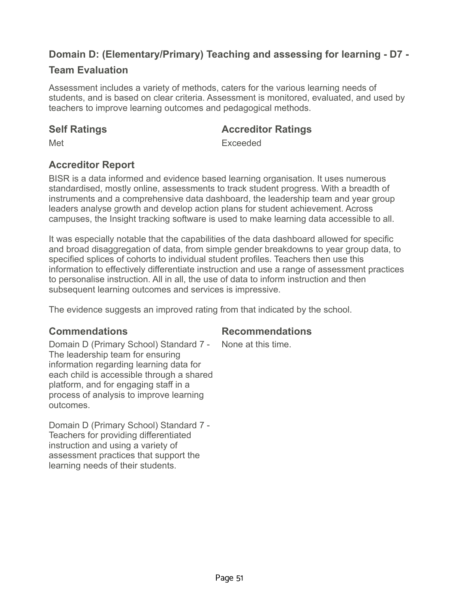# **Domain D: (Elementary/Primary) Teaching and assessing for learning - D7 -**

## **Team Evaluation**

Assessment includes a variety of methods, caters for the various learning needs of students, and is based on clear criteria. Assessment is monitored, evaluated, and used by teachers to improve learning outcomes and pedagogical methods.

### **Self Ratings Accreditor Ratings**

Met **Exceeded** 

# **Accreditor Report**

BISR is a data informed and evidence based learning organisation. It uses numerous standardised, mostly online, assessments to track student progress. With a breadth of instruments and a comprehensive data dashboard, the leadership team and year group leaders analyse growth and develop action plans for student achievement. Across campuses, the Insight tracking software is used to make learning data accessible to all.

It was especially notable that the capabilities of the data dashboard allowed for specific and broad disaggregation of data, from simple gender breakdowns to year group data, to specified splices of cohorts to individual student profiles. Teachers then use this information to effectively differentiate instruction and use a range of assessment practices to personalise instruction. All in all, the use of data to inform instruction and then subsequent learning outcomes and services is impressive.

The evidence suggests an improved rating from that indicated by the school.

## **Commendations Recommendations**

None at this time.

Domain D (Primary School) Standard 7 - The leadership team for ensuring information regarding learning data for each child is accessible through a shared platform, and for engaging staff in a process of analysis to improve learning outcomes.

Domain D (Primary School) Standard 7 - Teachers for providing differentiated instruction and using a variety of assessment practices that support the learning needs of their students.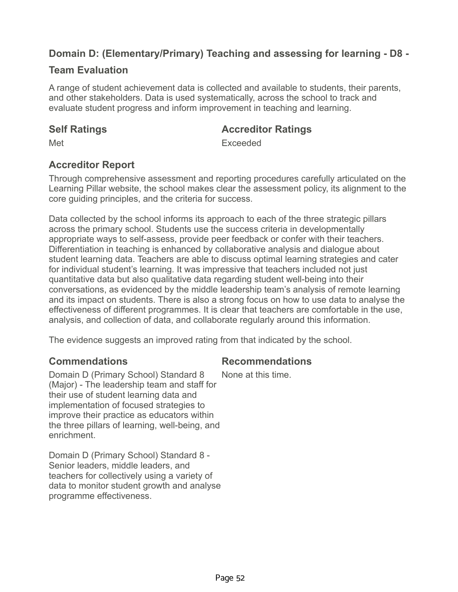# **Domain D: (Elementary/Primary) Teaching and assessing for learning - D8 -**

## **Team Evaluation**

A range of student achievement data is collected and available to students, their parents, and other stakeholders. Data is used systematically, across the school to track and evaluate student progress and inform improvement in teaching and learning.

### **Self Ratings Accreditor Ratings**

Met **Exceeded** 

## **Accreditor Report**

Through comprehensive assessment and reporting procedures carefully articulated on the Learning Pillar website, the school makes clear the assessment policy, its alignment to the core guiding principles, and the criteria for success.

Data collected by the school informs its approach to each of the three strategic pillars across the primary school. Students use the success criteria in developmentally appropriate ways to self-assess, provide peer feedback or confer with their teachers. Differentiation in teaching is enhanced by collaborative analysis and dialogue about student learning data. Teachers are able to discuss optimal learning strategies and cater for individual student's learning. It was impressive that teachers included not just quantitative data but also qualitative data regarding student well-being into their conversations, as evidenced by the middle leadership team's analysis of remote learning and its impact on students. There is also a strong focus on how to use data to analyse the effectiveness of different programmes. It is clear that teachers are comfortable in the use, analysis, and collection of data, and collaborate regularly around this information.

The evidence suggests an improved rating from that indicated by the school.

## **Commendations Recommendations**

Domain D (Primary School) Standard 8 (Major) - The leadership team and staff for their use of student learning data and implementation of focused strategies to improve their practice as educators within the three pillars of learning, well-being, and enrichment. None at this time.

Domain D (Primary School) Standard 8 - Senior leaders, middle leaders, and teachers for collectively using a variety of data to monitor student growth and analyse programme effectiveness.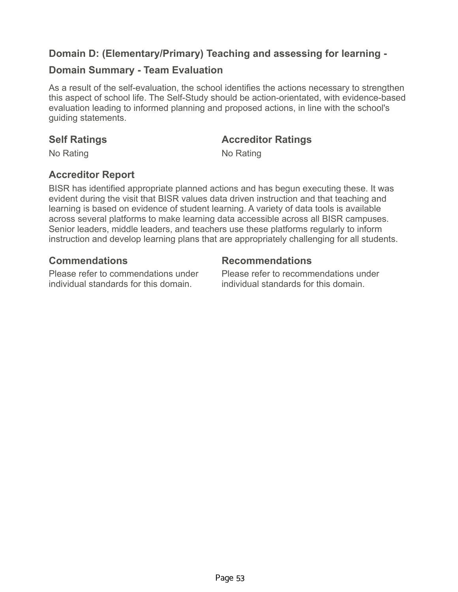## **Domain D: (Elementary/Primary) Teaching and assessing for learning -**

## **Domain Summary - Team Evaluation**

As a result of the self-evaluation, the school identifies the actions necessary to strengthen this aspect of school life. The Self-Study should be action-orientated, with evidence-based evaluation leading to informed planning and proposed actions, in line with the school's guiding statements.

### **Self Ratings Accreditor Ratings**

No Rating No Rating No.

## **Accreditor Report**

BISR has identified appropriate planned actions and has begun executing these. It was evident during the visit that BISR values data driven instruction and that teaching and learning is based on evidence of student learning. A variety of data tools is available across several platforms to make learning data accessible across all BISR campuses. Senior leaders, middle leaders, and teachers use these platforms regularly to inform instruction and develop learning plans that are appropriately challenging for all students.

### **Commendations Recommendations**

Please refer to commendations under individual standards for this domain.

Please refer to recommendations under individual standards for this domain.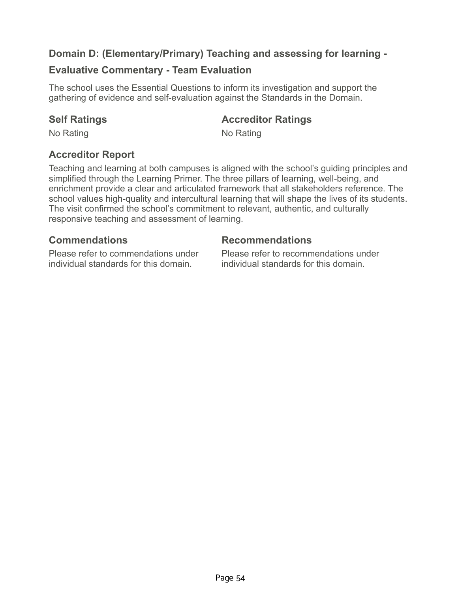## **Domain D: (Elementary/Primary) Teaching and assessing for learning -**

## **Evaluative Commentary - Team Evaluation**

The school uses the Essential Questions to inform its investigation and support the gathering of evidence and self-evaluation against the Standards in the Domain.

## **Self Ratings Accreditor Ratings**

No Rating No Rating No.

## **Accreditor Report**

Teaching and learning at both campuses is aligned with the school's guiding principles and simplified through the Learning Primer. The three pillars of learning, well-being, and enrichment provide a clear and articulated framework that all stakeholders reference. The school values high-quality and intercultural learning that will shape the lives of its students. The visit confirmed the school's commitment to relevant, authentic, and culturally responsive teaching and assessment of learning.

Please refer to commendations under individual standards for this domain.

### **Commendations Recommendations**

Please refer to recommendations under individual standards for this domain.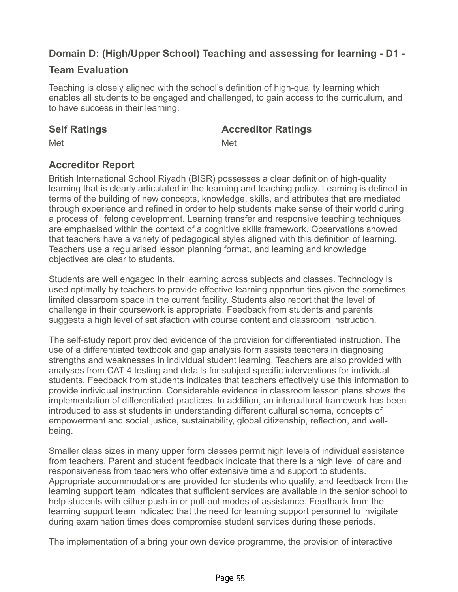# **Domain D: (High/Upper School) Teaching and assessing for learning - D1 -**

## **Team Evaluation**

Teaching is closely aligned with the school's definition of high-quality learning which enables all students to be engaged and challenged, to gain access to the curriculum, and to have success in their learning.

### **Self Ratings Accreditor Ratings**

Met **Met** Met

## **Accreditor Report**

British International School Riyadh (BISR) possesses a clear definition of high-quality learning that is clearly articulated in the learning and teaching policy. Learning is defined in terms of the building of new concepts, knowledge, skills, and attributes that are mediated through experience and refined in order to help students make sense of their world during a process of lifelong development. Learning transfer and responsive teaching techniques are emphasised within the context of a cognitive skills framework. Observations showed that teachers have a variety of pedagogical styles aligned with this definition of learning. Teachers use a regularised lesson planning format, and learning and knowledge objectives are clear to students.

Students are well engaged in their learning across subjects and classes. Technology is used optimally by teachers to provide effective learning opportunities given the sometimes limited classroom space in the current facility. Students also report that the level of challenge in their coursework is appropriate. Feedback from students and parents suggests a high level of satisfaction with course content and classroom instruction.

The self-study report provided evidence of the provision for differentiated instruction. The use of a differentiated textbook and gap analysis form assists teachers in diagnosing strengths and weaknesses in individual student learning. Teachers are also provided with analyses from CAT 4 testing and details for subject specific interventions for individual students. Feedback from students indicates that teachers effectively use this information to provide individual instruction. Considerable evidence in classroom lesson plans shows the implementation of differentiated practices. In addition, an intercultural framework has been introduced to assist students in understanding different cultural schema, concepts of empowerment and social justice, sustainability, global citizenship, reflection, and wellbeing.

Smaller class sizes in many upper form classes permit high levels of individual assistance from teachers. Parent and student feedback indicate that there is a high level of care and responsiveness from teachers who offer extensive time and support to students. Appropriate accommodations are provided for students who qualify, and feedback from the learning support team indicates that sufficient services are available in the senior school to help students with either push-in or pull-out modes of assistance. Feedback from the learning support team indicated that the need for learning support personnel to invigilate during examination times does compromise student services during these periods.

The implementation of a bring your own device programme, the provision of interactive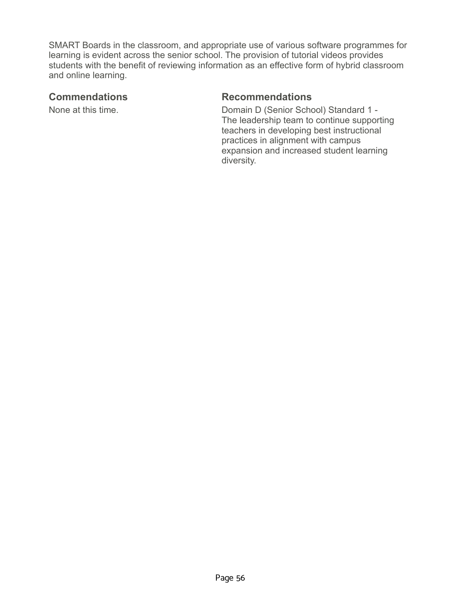SMART Boards in the classroom, and appropriate use of various software programmes for learning is evident across the senior school. The provision of tutorial videos provides students with the benefit of reviewing information as an effective form of hybrid classroom and online learning.

### **Commendations Recommendations**

None at this time. The Senior School Standard 1 - Domain D (Senior School) Standard 1 -The leadership team to continue supporting teachers in developing best instructional practices in alignment with campus expansion and increased student learning diversity.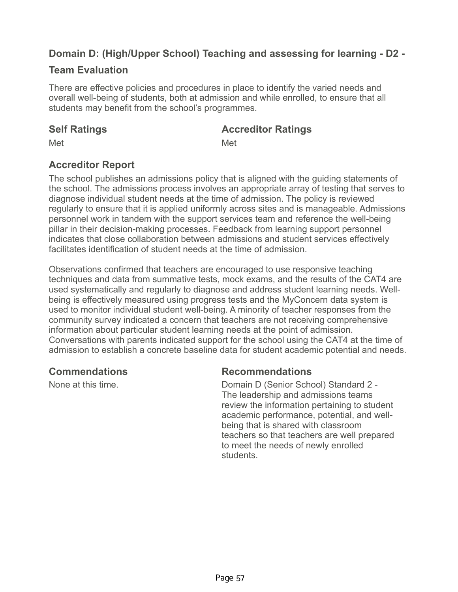# **Domain D: (High/Upper School) Teaching and assessing for learning - D2 -**

## **Team Evaluation**

There are effective policies and procedures in place to identify the varied needs and overall well-being of students, both at admission and while enrolled, to ensure that all students may benefit from the school's programmes.

### **Self Ratings Accreditor Ratings**

Met **Met** Met

## **Accreditor Report**

The school publishes an admissions policy that is aligned with the guiding statements of the school. The admissions process involves an appropriate array of testing that serves to diagnose individual student needs at the time of admission. The policy is reviewed regularly to ensure that it is applied uniformly across sites and is manageable. Admissions personnel work in tandem with the support services team and reference the well-being pillar in their decision-making processes. Feedback from learning support personnel indicates that close collaboration between admissions and student services effectively facilitates identification of student needs at the time of admission.

Observations confirmed that teachers are encouraged to use responsive teaching techniques and data from summative tests, mock exams, and the results of the CAT4 are used systematically and regularly to diagnose and address student learning needs. Wellbeing is effectively measured using progress tests and the MyConcern data system is used to monitor individual student well-being. A minority of teacher responses from the community survey indicated a concern that teachers are not receiving comprehensive information about particular student learning needs at the point of admission. Conversations with parents indicated support for the school using the CAT4 at the time of admission to establish a concrete baseline data for student academic potential and needs.

## **Commendations Recommendations**

None at this time. The Senior School Standard 2 - Domain D (Senior School) Standard 2 -The leadership and admissions teams review the information pertaining to student academic performance, potential, and wellbeing that is shared with classroom teachers so that teachers are well prepared to meet the needs of newly enrolled students.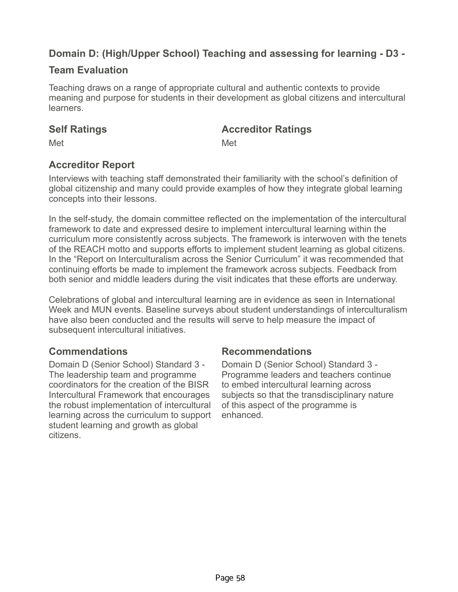# **Domain D: (High/Upper School) Teaching and assessing for learning - D3 -**

## **Team Evaluation**

Teaching draws on a range of appropriate cultural and authentic contexts to provide meaning and purpose for students in their development as global citizens and intercultural learners.

### **Self Ratings Accreditor Ratings**

Met **Met** Met

## **Accreditor Report**

Interviews with teaching staff demonstrated their familiarity with the school's definition of global citizenship and many could provide examples of how they integrate global learning concepts into their lessons.

In the self-study, the domain committee reflected on the implementation of the intercultural framework to date and expressed desire to implement intercultural learning within the curriculum more consistently across subjects. The framework is interwoven with the tenets of the REACH motto and supports efforts to implement student learning as global citizens. In the "Report on Interculturalism across the Senior Curriculum" it was recommended that continuing efforts be made to implement the framework across subjects. Feedback from both senior and middle leaders during the visit indicates that these efforts are underway.

Celebrations of global and intercultural learning are in evidence as seen in International Week and MUN events. Baseline surveys about student understandings of interculturalism have also been conducted and the results will serve to help measure the impact of subsequent intercultural initiatives.

Domain D (Senior School) Standard 3 - The leadership team and programme coordinators for the creation of the BISR Intercultural Framework that encourages the robust implementation of intercultural learning across the curriculum to support student learning and growth as global citizens.

### **Commendations Recommendations**

Domain D (Senior School) Standard 3 - Programme leaders and teachers continue to embed intercultural learning across subjects so that the transdisciplinary nature of this aspect of the programme is enhanced.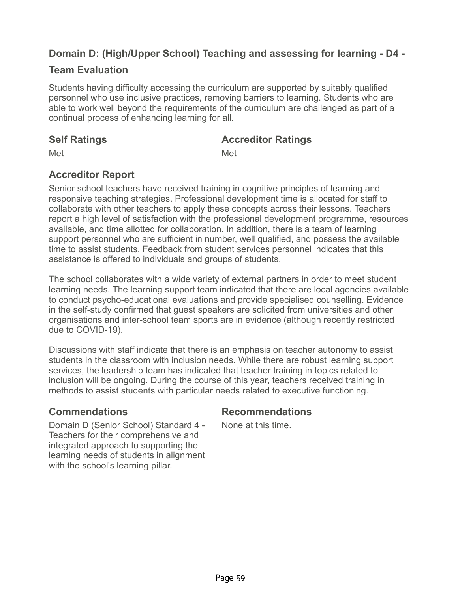# **Domain D: (High/Upper School) Teaching and assessing for learning - D4 -**

## **Team Evaluation**

Students having difficulty accessing the curriculum are supported by suitably qualified personnel who use inclusive practices, removing barriers to learning. Students who are able to work well beyond the requirements of the curriculum are challenged as part of a continual process of enhancing learning for all.

**Accreditor Report**

### **Self Ratings Accreditor Ratings**

Met **Met** Met

Senior school teachers have received training in cognitive principles of learning and responsive teaching strategies. Professional development time is allocated for staff to collaborate with other teachers to apply these concepts across their lessons. Teachers report a high level of satisfaction with the professional development programme, resources available, and time allotted for collaboration. In addition, there is a team of learning support personnel who are sufficient in number, well qualified, and possess the available time to assist students. Feedback from student services personnel indicates that this assistance is offered to individuals and groups of students.

The school collaborates with a wide variety of external partners in order to meet student learning needs. The learning support team indicated that there are local agencies available to conduct psycho-educational evaluations and provide specialised counselling. Evidence in the self-study confirmed that guest speakers are solicited from universities and other organisations and inter-school team sports are in evidence (although recently restricted due to COVID-19).

Discussions with staff indicate that there is an emphasis on teacher autonomy to assist students in the classroom with inclusion needs. While there are robust learning support services, the leadership team has indicated that teacher training in topics related to inclusion will be ongoing. During the course of this year, teachers received training in methods to assist students with particular needs related to executive functioning.

### **Commendations Recommendations**

Domain D (Senior School) Standard 4 - Teachers for their comprehensive and integrated approach to supporting the learning needs of students in alignment with the school's learning pillar.

None at this time.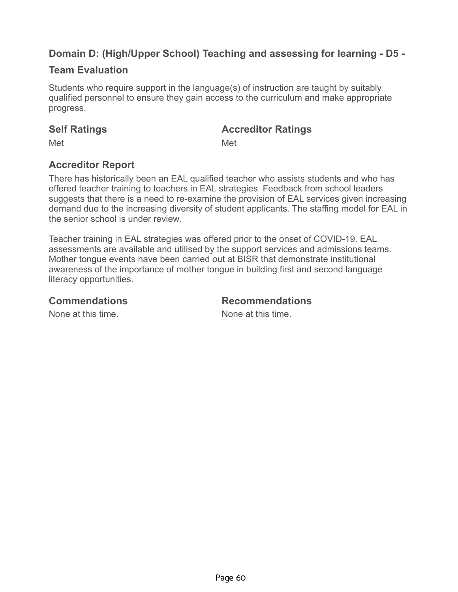# **Domain D: (High/Upper School) Teaching and assessing for learning - D5 -**

## **Team Evaluation**

Students who require support in the language(s) of instruction are taught by suitably qualified personnel to ensure they gain access to the curriculum and make appropriate progress.

### **Self Ratings Accreditor Ratings**

Met **Met** Met

## **Accreditor Report**

There has historically been an EAL qualified teacher who assists students and who has offered teacher training to teachers in EAL strategies. Feedback from school leaders suggests that there is a need to re-examine the provision of EAL services given increasing demand due to the increasing diversity of student applicants. The staffing model for EAL in the senior school is under review.

Teacher training in EAL strategies was offered prior to the onset of COVID-19. EAL assessments are available and utilised by the support services and admissions teams. Mother tongue events have been carried out at BISR that demonstrate institutional awareness of the importance of mother tongue in building first and second language literacy opportunities.

**Commendations Recommendations**

None at this time. The same is no worker when the None at this time.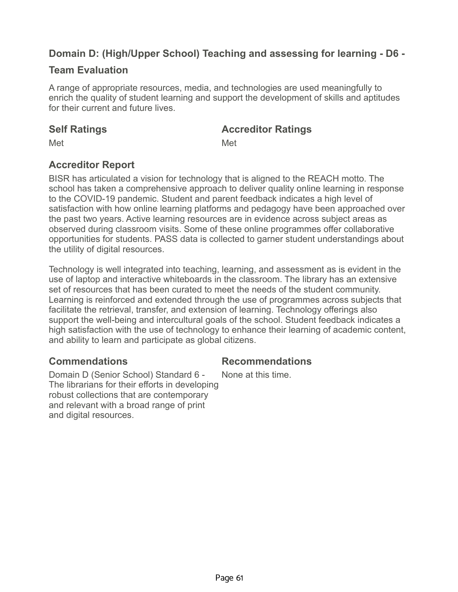# **Domain D: (High/Upper School) Teaching and assessing for learning - D6 -**

## **Team Evaluation**

A range of appropriate resources, media, and technologies are used meaningfully to enrich the quality of student learning and support the development of skills and aptitudes for their current and future lives.

### **Self Ratings Accreditor Ratings**

Met **Met** Met

## **Accreditor Report**

BISR has articulated a vision for technology that is aligned to the REACH motto. The school has taken a comprehensive approach to deliver quality online learning in response to the COVID-19 pandemic. Student and parent feedback indicates a high level of satisfaction with how online learning platforms and pedagogy have been approached over the past two years. Active learning resources are in evidence across subject areas as observed during classroom visits. Some of these online programmes offer collaborative opportunities for students. PASS data is collected to garner student understandings about the utility of digital resources.

Technology is well integrated into teaching, learning, and assessment as is evident in the use of laptop and interactive whiteboards in the classroom. The library has an extensive set of resources that has been curated to meet the needs of the student community. Learning is reinforced and extended through the use of programmes across subjects that facilitate the retrieval, transfer, and extension of learning. Technology offerings also support the well-being and intercultural goals of the school. Student feedback indicates a high satisfaction with the use of technology to enhance their learning of academic content, and ability to learn and participate as global citizens.

## **Commendations Recommendations**

Domain D (Senior School) Standard 6 - The librarians for their efforts in developing robust collections that are contemporary and relevant with a broad range of print and digital resources.

None at this time.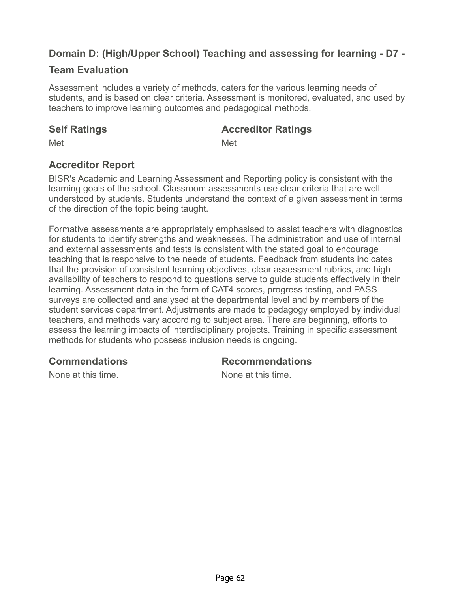# **Domain D: (High/Upper School) Teaching and assessing for learning - D7 -**

## **Team Evaluation**

Assessment includes a variety of methods, caters for the various learning needs of students, and is based on clear criteria. Assessment is monitored, evaluated, and used by teachers to improve learning outcomes and pedagogical methods.

### **Self Ratings Accreditor Ratings**

Met **Met** Met

## **Accreditor Report**

BISR's Academic and Learning Assessment and Reporting policy is consistent with the learning goals of the school. Classroom assessments use clear criteria that are well understood by students. Students understand the context of a given assessment in terms of the direction of the topic being taught.

Formative assessments are appropriately emphasised to assist teachers with diagnostics for students to identify strengths and weaknesses. The administration and use of internal and external assessments and tests is consistent with the stated goal to encourage teaching that is responsive to the needs of students. Feedback from students indicates that the provision of consistent learning objectives, clear assessment rubrics, and high availability of teachers to respond to questions serve to guide students effectively in their learning. Assessment data in the form of CAT4 scores, progress testing, and PASS surveys are collected and analysed at the departmental level and by members of the student services department. Adjustments are made to pedagogy employed by individual teachers, and methods vary according to subject area. There are beginning, efforts to assess the learning impacts of interdisciplinary projects. Training in specific assessment methods for students who possess inclusion needs is ongoing.

**Commendations Recommendations**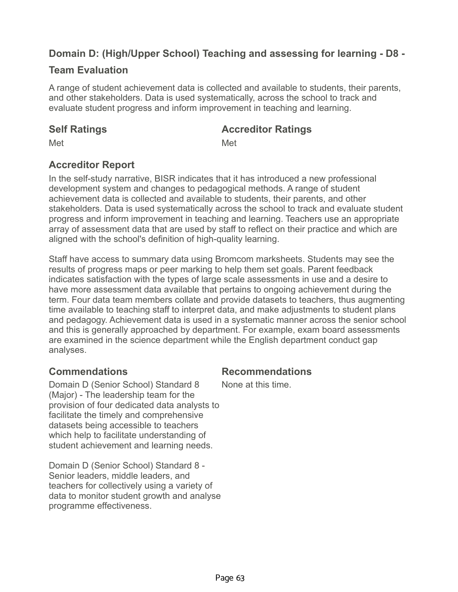# **Domain D: (High/Upper School) Teaching and assessing for learning - D8 -**

## **Team Evaluation**

A range of student achievement data is collected and available to students, their parents, and other stakeholders. Data is used systematically, across the school to track and evaluate student progress and inform improvement in teaching and learning.

### **Self Ratings Accreditor Ratings**

Met **Met** Met

## **Accreditor Report**

In the self-study narrative, BISR indicates that it has introduced a new professional development system and changes to pedagogical methods. A range of student achievement data is collected and available to students, their parents, and other stakeholders. Data is used systematically across the school to track and evaluate student progress and inform improvement in teaching and learning. Teachers use an appropriate array of assessment data that are used by staff to reflect on their practice and which are aligned with the school's definition of high-quality learning.

Staff have access to summary data using Bromcom marksheets. Students may see the results of progress maps or peer marking to help them set goals. Parent feedback indicates satisfaction with the types of large scale assessments in use and a desire to have more assessment data available that pertains to ongoing achievement during the term. Four data team members collate and provide datasets to teachers, thus augmenting time available to teaching staff to interpret data, and make adjustments to student plans and pedagogy. Achievement data is used in a systematic manner across the senior school and this is generally approached by department. For example, exam board assessments are examined in the science department while the English department conduct gap analyses.

Domain D (Senior School) Standard 8 (Major) - The leadership team for the provision of four dedicated data analysts to facilitate the timely and comprehensive datasets being accessible to teachers which help to facilitate understanding of student achievement and learning needs.

Domain D (Senior School) Standard 8 - Senior leaders, middle leaders, and teachers for collectively using a variety of data to monitor student growth and analyse programme effectiveness.

## **Commendations Recommendations**

None at this time.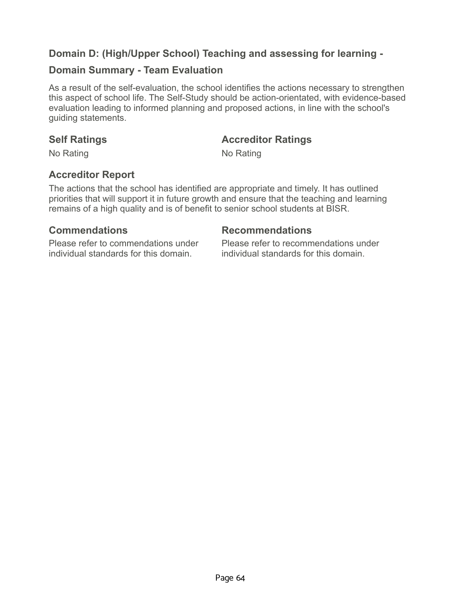## **Domain D: (High/Upper School) Teaching and assessing for learning -**

### **Domain Summary - Team Evaluation**

As a result of the self-evaluation, the school identifies the actions necessary to strengthen this aspect of school life. The Self-Study should be action-orientated, with evidence-based evaluation leading to informed planning and proposed actions, in line with the school's guiding statements.

### **Self Ratings Accreditor Ratings**

No Rating No Rating No.

## **Accreditor Report**

The actions that the school has identified are appropriate and timely. It has outlined priorities that will support it in future growth and ensure that the teaching and learning remains of a high quality and is of benefit to senior school students at BISR.

### **Commendations Recommendations**

Please refer to commendations under individual standards for this domain.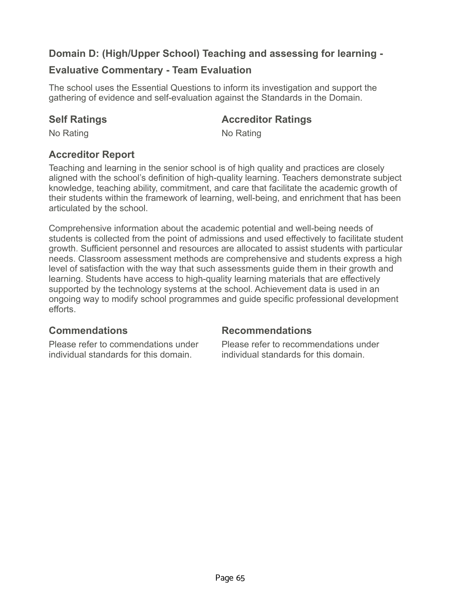# **Domain D: (High/Upper School) Teaching and assessing for learning -**

## **Evaluative Commentary - Team Evaluation**

The school uses the Essential Questions to inform its investigation and support the gathering of evidence and self-evaluation against the Standards in the Domain.

### **Self Ratings Accreditor Ratings**

No Rating No Rating No.

# **Accreditor Report**

Teaching and learning in the senior school is of high quality and practices are closely aligned with the school's definition of high-quality learning. Teachers demonstrate subject knowledge, teaching ability, commitment, and care that facilitate the academic growth of their students within the framework of learning, well-being, and enrichment that has been articulated by the school.

Comprehensive information about the academic potential and well-being needs of students is collected from the point of admissions and used effectively to facilitate student growth. Sufficient personnel and resources are allocated to assist students with particular needs. Classroom assessment methods are comprehensive and students express a high level of satisfaction with the way that such assessments guide them in their growth and learning. Students have access to high-quality learning materials that are effectively supported by the technology systems at the school. Achievement data is used in an ongoing way to modify school programmes and guide specific professional development efforts.

# **Commendations Recommendations**

Please refer to commendations under individual standards for this domain.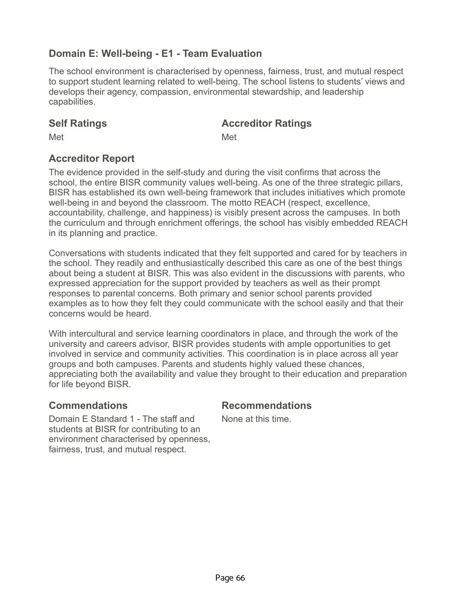# **Domain E: Well-being - E1 - Team Evaluation**

The school environment is characterised by openness, fairness, trust, and mutual respect to support student learning related to well-being. The school listens to students' views and develops their agency, compassion, environmental stewardship, and leadership capabilities.

### **Self Ratings Accreditor Ratings**

Met **Met** Met

## **Accreditor Report**

The evidence provided in the self-study and during the visit confirms that across the school, the entire BISR community values well-being. As one of the three strategic pillars, BISR has established its own well-being framework that includes initiatives which promote well-being in and beyond the classroom. The motto REACH (respect, excellence, accountability, challenge, and happiness) is visibly present across the campuses. In both the curriculum and through enrichment offerings, the school has visibly embedded REACH in its planning and practice.

Conversations with students indicated that they felt supported and cared for by teachers in the school. They readily and enthusiastically described this care as one of the best things about being a student at BISR. This was also evident in the discussions with parents, who expressed appreciation for the support provided by teachers as well as their prompt responses to parental concerns. Both primary and senior school parents provided examples as to how they felt they could communicate with the school easily and that their concerns would be heard.

With intercultural and service learning coordinators in place, and through the work of the university and careers advisor, BISR provides students with ample opportunities to get involved in service and community activities. This coordination is in place across all year groups and both campuses. Parents and students highly valued these chances, appreciating both the availability and value they brought to their education and preparation for life beyond BISR.

## **Commendations Recommendations**

None at this time.

Domain E Standard 1 - The staff and students at BISR for contributing to an environment characterised by openness, fairness, trust, and mutual respect.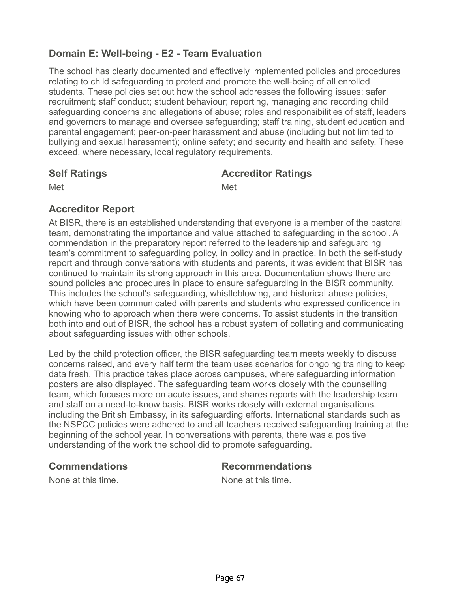# **Domain E: Well-being - E2 - Team Evaluation**

The school has clearly documented and effectively implemented policies and procedures relating to child safeguarding to protect and promote the well-being of all enrolled students. These policies set out how the school addresses the following issues: safer recruitment; staff conduct; student behaviour; reporting, managing and recording child safeguarding concerns and allegations of abuse; roles and responsibilities of staff, leaders and governors to manage and oversee safeguarding; staff training, student education and parental engagement; peer-on-peer harassment and abuse (including but not limited to bullying and sexual harassment); online safety; and security and health and safety. These exceed, where necessary, local regulatory requirements.

## **Self Ratings Accreditor Ratings**

Met **Met** Met

# **Accreditor Report**

At BISR, there is an established understanding that everyone is a member of the pastoral team, demonstrating the importance and value attached to safeguarding in the school. A commendation in the preparatory report referred to the leadership and safeguarding team's commitment to safeguarding policy, in policy and in practice. In both the self-study report and through conversations with students and parents, it was evident that BISR has continued to maintain its strong approach in this area. Documentation shows there are sound policies and procedures in place to ensure safeguarding in the BISR community. This includes the school's safeguarding, whistleblowing, and historical abuse policies, which have been communicated with parents and students who expressed confidence in knowing who to approach when there were concerns. To assist students in the transition both into and out of BISR, the school has a robust system of collating and communicating about safeguarding issues with other schools.

Led by the child protection officer, the BISR safeguarding team meets weekly to discuss concerns raised, and every half term the team uses scenarios for ongoing training to keep data fresh. This practice takes place across campuses, where safeguarding information posters are also displayed. The safeguarding team works closely with the counselling team, which focuses more on acute issues, and shares reports with the leadership team and staff on a need-to-know basis. BISR works closely with external organisations, including the British Embassy, in its safeguarding efforts. International standards such as the NSPCC policies were adhered to and all teachers received safeguarding training at the beginning of the school year. In conversations with parents, there was a positive understanding of the work the school did to promote safeguarding.

### **Commendations Recommendations**

None at this time. None at this time.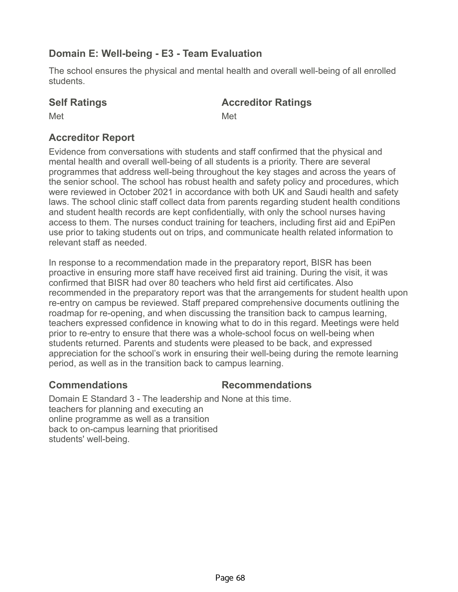# **Domain E: Well-being - E3 - Team Evaluation**

The school ensures the physical and mental health and overall well-being of all enrolled students.

# **Self Ratings Accreditor Ratings**

Met **Met** Met

# **Accreditor Report**

Evidence from conversations with students and staff confirmed that the physical and mental health and overall well-being of all students is a priority. There are several programmes that address well-being throughout the key stages and across the years of the senior school. The school has robust health and safety policy and procedures, which were reviewed in October 2021 in accordance with both UK and Saudi health and safety laws. The school clinic staff collect data from parents regarding student health conditions and student health records are kept confidentially, with only the school nurses having access to them. The nurses conduct training for teachers, including first aid and EpiPen use prior to taking students out on trips, and communicate health related information to relevant staff as needed.

In response to a recommendation made in the preparatory report, BISR has been proactive in ensuring more staff have received first aid training. During the visit, it was confirmed that BISR had over 80 teachers who held first aid certificates. Also recommended in the preparatory report was that the arrangements for student health upon re-entry on campus be reviewed. Staff prepared comprehensive documents outlining the roadmap for re-opening, and when discussing the transition back to campus learning, teachers expressed confidence in knowing what to do in this regard. Meetings were held prior to re-entry to ensure that there was a whole-school focus on well-being when students returned. Parents and students were pleased to be back, and expressed appreciation for the school's work in ensuring their well-being during the remote learning period, as well as in the transition back to campus learning.

# **Commendations Recommendations**

Domain E Standard 3 - The leadership and None at this time. teachers for planning and executing an online programme as well as a transition back to on-campus learning that prioritised students' well-being.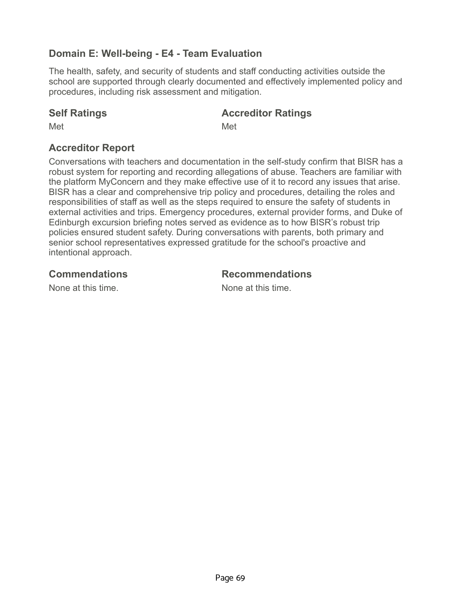# **Domain E: Well-being - E4 - Team Evaluation**

The health, safety, and security of students and staff conducting activities outside the school are supported through clearly documented and effectively implemented policy and procedures, including risk assessment and mitigation.

### **Self Ratings Accreditor Ratings**

Met **Met** Met

## **Accreditor Report**

Conversations with teachers and documentation in the self-study confirm that BISR has a robust system for reporting and recording allegations of abuse. Teachers are familiar with the platform MyConcern and they make effective use of it to record any issues that arise. BISR has a clear and comprehensive trip policy and procedures, detailing the roles and responsibilities of staff as well as the steps required to ensure the safety of students in external activities and trips. Emergency procedures, external provider forms, and Duke of Edinburgh excursion briefing notes served as evidence as to how BISR's robust trip policies ensured student safety. During conversations with parents, both primary and senior school representatives expressed gratitude for the school's proactive and intentional approach.

### **Commendations Recommendations**

None at this time. None at this time.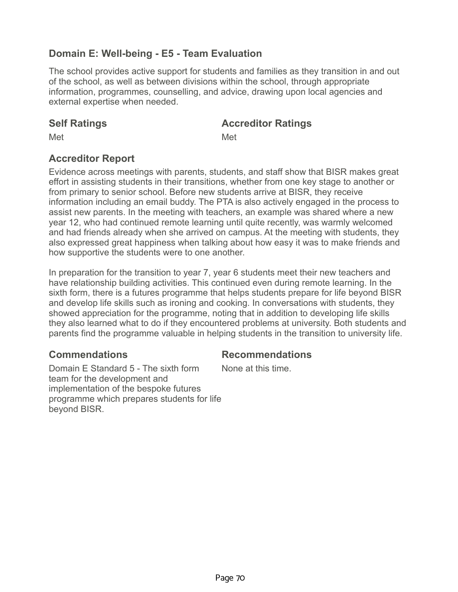# **Domain E: Well-being - E5 - Team Evaluation**

The school provides active support for students and families as they transition in and out of the school, as well as between divisions within the school, through appropriate information, programmes, counselling, and advice, drawing upon local agencies and external expertise when needed.

### **Self Ratings Accreditor Ratings**

Met **Met** Met

## **Accreditor Report**

Evidence across meetings with parents, students, and staff show that BISR makes great effort in assisting students in their transitions, whether from one key stage to another or from primary to senior school. Before new students arrive at BISR, they receive information including an email buddy. The PTA is also actively engaged in the process to assist new parents. In the meeting with teachers, an example was shared where a new year 12, who had continued remote learning until quite recently, was warmly welcomed and had friends already when she arrived on campus. At the meeting with students, they also expressed great happiness when talking about how easy it was to make friends and how supportive the students were to one another.

In preparation for the transition to year 7, year 6 students meet their new teachers and have relationship building activities. This continued even during remote learning. In the sixth form, there is a futures programme that helps students prepare for life beyond BISR and develop life skills such as ironing and cooking. In conversations with students, they showed appreciation for the programme, noting that in addition to developing life skills they also learned what to do if they encountered problems at university. Both students and parents find the programme valuable in helping students in the transition to university life.

# **Commendations Recommendations**

Domain E Standard 5 - The sixth form team for the development and implementation of the bespoke futures programme which prepares students for life beyond BISR.

None at this time.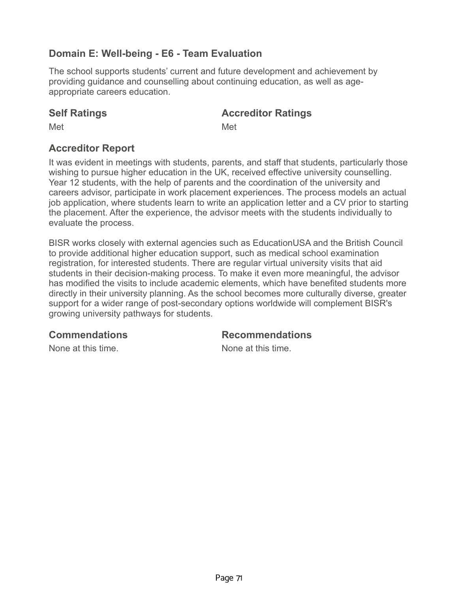# **Domain E: Well-being - E6 - Team Evaluation**

The school supports students' current and future development and achievement by providing guidance and counselling about continuing education, as well as ageappropriate careers education.

### **Self Ratings Accreditor Ratings**

Met **Met** Met

# **Accreditor Report**

It was evident in meetings with students, parents, and staff that students, particularly those wishing to pursue higher education in the UK, received effective university counselling. Year 12 students, with the help of parents and the coordination of the university and careers advisor, participate in work placement experiences. The process models an actual job application, where students learn to write an application letter and a CV prior to starting the placement. After the experience, the advisor meets with the students individually to evaluate the process.

BISR works closely with external agencies such as EducationUSA and the British Council to provide additional higher education support, such as medical school examination registration, for interested students. There are regular virtual university visits that aid students in their decision-making process. To make it even more meaningful, the advisor has modified the visits to include academic elements, which have benefited students more directly in their university planning. As the school becomes more culturally diverse, greater support for a wider range of post-secondary options worldwide will complement BISR's growing university pathways for students.

**Commendations Recommendations**

None at this time. None at this time.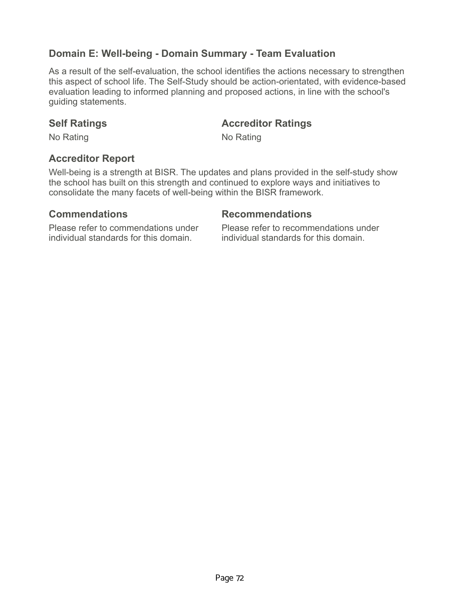## **Domain E: Well-being - Domain Summary - Team Evaluation**

As a result of the self-evaluation, the school identifies the actions necessary to strengthen this aspect of school life. The Self-Study should be action-orientated, with evidence-based evaluation leading to informed planning and proposed actions, in line with the school's guiding statements.

### **Self Ratings <b>Accreditor Ratings Accredition Accredition Ratings**

No Rating No Rating No.

### **Accreditor Report**

Well-being is a strength at BISR. The updates and plans provided in the self-study show the school has built on this strength and continued to explore ways and initiatives to consolidate the many facets of well-being within the BISR framework.

### **Commendations Recommendations**

Please refer to commendations under individual standards for this domain.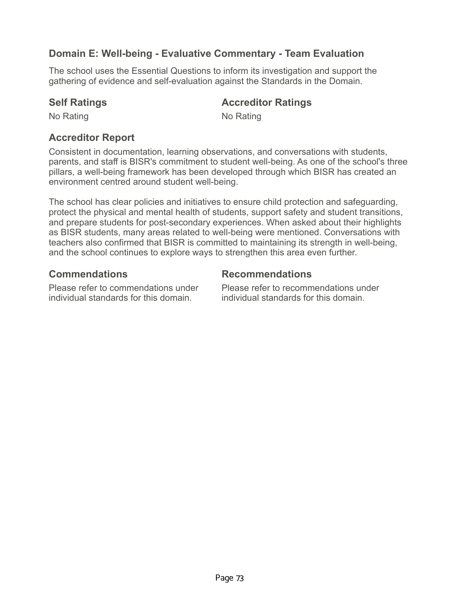# **Domain E: Well-being - Evaluative Commentary - Team Evaluation**

The school uses the Essential Questions to inform its investigation and support the gathering of evidence and self-evaluation against the Standards in the Domain.

### **Self Ratings Accreditor Ratings**

No Rating No Rating No Rating

## **Accreditor Report**

Consistent in documentation, learning observations, and conversations with students, parents, and staff is BISR's commitment to student well-being. As one of the school's three pillars, a well-being framework has been developed through which BISR has created an environment centred around student well-being.

The school has clear policies and initiatives to ensure child protection and safeguarding, protect the physical and mental health of students, support safety and student transitions, and prepare students for post-secondary experiences. When asked about their highlights as BISR students, many areas related to well-being were mentioned. Conversations with teachers also confirmed that BISR is committed to maintaining its strength in well-being, and the school continues to explore ways to strengthen this area even further.

### **Commendations Recommendations**

Please refer to commendations under individual standards for this domain.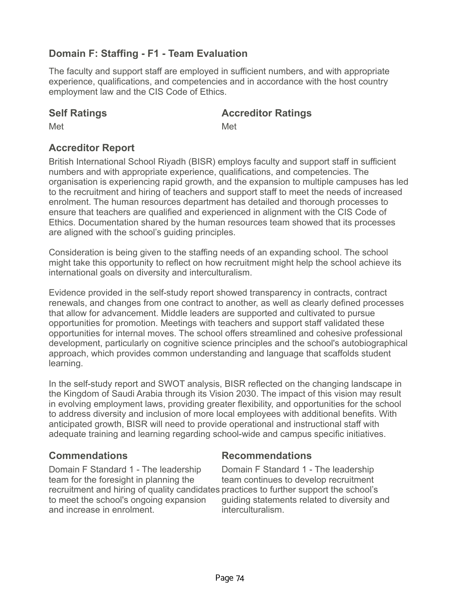# **Domain F: Staffing - F1 - Team Evaluation**

The faculty and support staff are employed in sufficient numbers, and with appropriate experience, qualifications, and competencies and in accordance with the host country employment law and the CIS Code of Ethics.

### **Self Ratings Accreditor Ratings**

Met **Met** Met

# **Accreditor Report**

British International School Riyadh (BISR) employs faculty and support staff in sufficient numbers and with appropriate experience, qualifications, and competencies. The organisation is experiencing rapid growth, and the expansion to multiple campuses has led to the recruitment and hiring of teachers and support staff to meet the needs of increased enrolment. The human resources department has detailed and thorough processes to ensure that teachers are qualified and experienced in alignment with the CIS Code of Ethics. Documentation shared by the human resources team showed that its processes are aligned with the school's guiding principles.

Consideration is being given to the staffing needs of an expanding school. The school might take this opportunity to reflect on how recruitment might help the school achieve its international goals on diversity and interculturalism.

Evidence provided in the self-study report showed transparency in contracts, contract renewals, and changes from one contract to another, as well as clearly defined processes that allow for advancement. Middle leaders are supported and cultivated to pursue opportunities for promotion. Meetings with teachers and support staff validated these opportunities for internal moves. The school offers streamlined and cohesive professional development, particularly on cognitive science principles and the school's autobiographical approach, which provides common understanding and language that scaffolds student learning.

In the self-study report and SWOT analysis, BISR reflected on the changing landscape in the Kingdom of Saudi Arabia through its Vision 2030. The impact of this vision may result in evolving employment laws, providing greater flexibility, and opportunities for the school to address diversity and inclusion of more local employees with additional benefits. With anticipated growth, BISR will need to provide operational and instructional staff with adequate training and learning regarding school-wide and campus specific initiatives.

## **Commendations Recommendations**

Domain F Standard 1 - The leadership team for the foresight in planning the recruitment and hiring of quality candidates practices to further support the school's to meet the school's ongoing expansion and increase in enrolment.

Domain F Standard 1 - The leadership team continues to develop recruitment guiding statements related to diversity and interculturalism.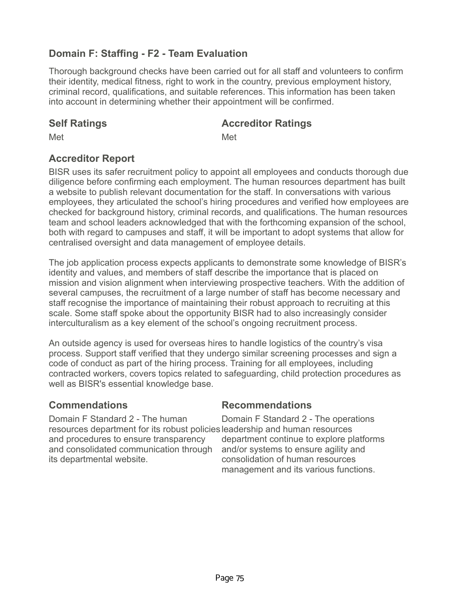# **Domain F: Staffing - F2 - Team Evaluation**

Thorough background checks have been carried out for all staff and volunteers to confirm their identity, medical fitness, right to work in the country, previous employment history, criminal record, qualifications, and suitable references. This information has been taken into account in determining whether their appointment will be confirmed.

### **Self Ratings Accreditor Ratings**

Met **Met** Met

## **Accreditor Report**

BISR uses its safer recruitment policy to appoint all employees and conducts thorough due diligence before confirming each employment. The human resources department has built a website to publish relevant documentation for the staff. In conversations with various employees, they articulated the school's hiring procedures and verified how employees are checked for background history, criminal records, and qualifications. The human resources team and school leaders acknowledged that with the forthcoming expansion of the school, both with regard to campuses and staff, it will be important to adopt systems that allow for centralised oversight and data management of employee details.

The job application process expects applicants to demonstrate some knowledge of BISR's identity and values, and members of staff describe the importance that is placed on mission and vision alignment when interviewing prospective teachers. With the addition of several campuses, the recruitment of a large number of staff has become necessary and staff recognise the importance of maintaining their robust approach to recruiting at this scale. Some staff spoke about the opportunity BISR had to also increasingly consider interculturalism as a key element of the school's ongoing recruitment process.

An outside agency is used for overseas hires to handle logistics of the country's visa process. Support staff verified that they undergo similar screening processes and sign a code of conduct as part of the hiring process. Training for all employees, including contracted workers, covers topics related to safeguarding, child protection procedures as well as BISR's essential knowledge base.

## **Commendations Recommendations**

Domain F Standard 2 - The human resources department for its robust policies leadership and human resources and procedures to ensure transparency and consolidated communication through its departmental website.

Domain F Standard 2 - The operations department continue to explore platforms and/or systems to ensure agility and consolidation of human resources management and its various functions.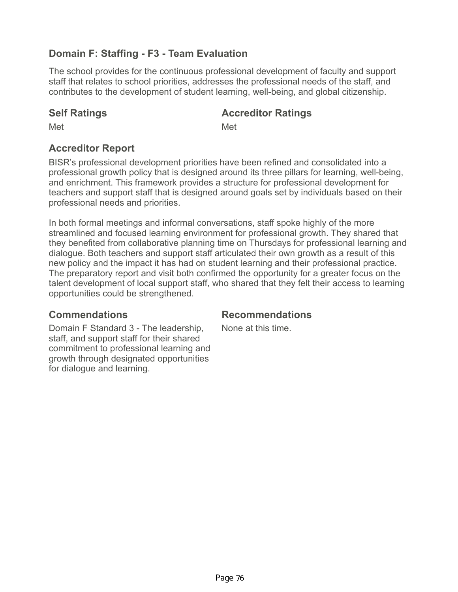# **Domain F: Staffing - F3 - Team Evaluation**

The school provides for the continuous professional development of faculty and support staff that relates to school priorities, addresses the professional needs of the staff, and contributes to the development of student learning, well-being, and global citizenship.

### **Self Ratings Accreditor Ratings**

Met **Met** Met

# **Accreditor Report**

BISR's professional development priorities have been refined and consolidated into a professional growth policy that is designed around its three pillars for learning, well-being, and enrichment. This framework provides a structure for professional development for teachers and support staff that is designed around goals set by individuals based on their professional needs and priorities.

In both formal meetings and informal conversations, staff spoke highly of the more streamlined and focused learning environment for professional growth. They shared that they benefited from collaborative planning time on Thursdays for professional learning and dialogue. Both teachers and support staff articulated their own growth as a result of this new policy and the impact it has had on student learning and their professional practice. The preparatory report and visit both confirmed the opportunity for a greater focus on the talent development of local support staff, who shared that they felt their access to learning opportunities could be strengthened.

## **Commendations Recommendations**

Domain F Standard 3 - The leadership, staff, and support staff for their shared commitment to professional learning and growth through designated opportunities for dialogue and learning.

None at this time.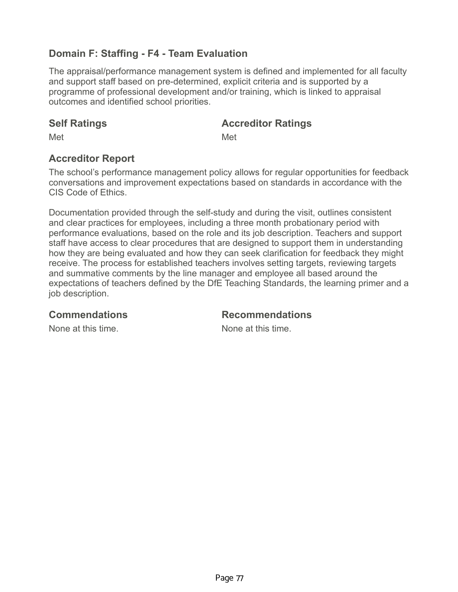# **Domain F: Staffing - F4 - Team Evaluation**

The appraisal/performance management system is defined and implemented for all faculty and support staff based on pre-determined, explicit criteria and is supported by a programme of professional development and/or training, which is linked to appraisal outcomes and identified school priorities.

### **Self Ratings Accreditor Ratings**

Met **Met** Met

## **Accreditor Report**

The school's performance management policy allows for regular opportunities for feedback conversations and improvement expectations based on standards in accordance with the CIS Code of Ethics.

Documentation provided through the self-study and during the visit, outlines consistent and clear practices for employees, including a three month probationary period with performance evaluations, based on the role and its job description. Teachers and support staff have access to clear procedures that are designed to support them in understanding how they are being evaluated and how they can seek clarification for feedback they might receive. The process for established teachers involves setting targets, reviewing targets and summative comments by the line manager and employee all based around the expectations of teachers defined by the DfE Teaching Standards, the learning primer and a job description.

### **Commendations Recommendations**

None at this time. None at this time.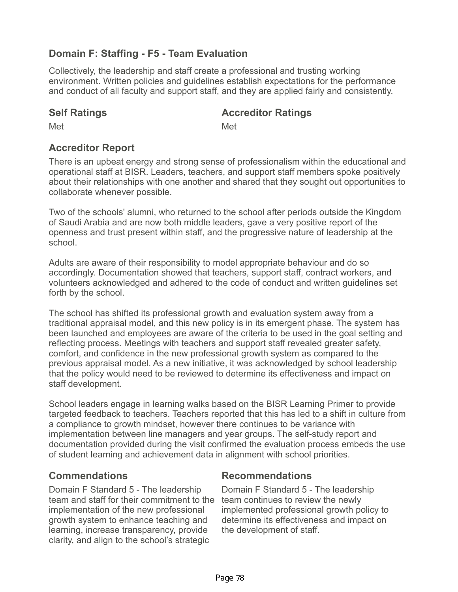# **Domain F: Staffing - F5 - Team Evaluation**

Collectively, the leadership and staff create a professional and trusting working environment. Written policies and guidelines establish expectations for the performance and conduct of all faculty and support staff, and they are applied fairly and consistently.

### **Self Ratings Accreditor Ratings**

Met **Met** Met

# **Accreditor Report**

There is an upbeat energy and strong sense of professionalism within the educational and operational staff at BISR. Leaders, teachers, and support staff members spoke positively about their relationships with one another and shared that they sought out opportunities to collaborate whenever possible.

Two of the schools' alumni, who returned to the school after periods outside the Kingdom of Saudi Arabia and are now both middle leaders, gave a very positive report of the openness and trust present within staff, and the progressive nature of leadership at the school.

Adults are aware of their responsibility to model appropriate behaviour and do so accordingly. Documentation showed that teachers, support staff, contract workers, and volunteers acknowledged and adhered to the code of conduct and written guidelines set forth by the school.

The school has shifted its professional growth and evaluation system away from a traditional appraisal model, and this new policy is in its emergent phase. The system has been launched and employees are aware of the criteria to be used in the goal setting and reflecting process. Meetings with teachers and support staff revealed greater safety, comfort, and confidence in the new professional growth system as compared to the previous appraisal model. As a new initiative, it was acknowledged by school leadership that the policy would need to be reviewed to determine its effectiveness and impact on staff development.

School leaders engage in learning walks based on the BISR Learning Primer to provide targeted feedback to teachers. Teachers reported that this has led to a shift in culture from a compliance to growth mindset, however there continues to be variance with implementation between line managers and year groups. The self-study report and documentation provided during the visit confirmed the evaluation process embeds the use of student learning and achievement data in alignment with school priorities.

Domain F Standard 5 - The leadership team and staff for their commitment to the implementation of the new professional growth system to enhance teaching and learning, increase transparency, provide clarity, and align to the school's strategic

## **Commendations Recommendations**

Domain F Standard 5 - The leadership team continues to review the newly implemented professional growth policy to determine its effectiveness and impact on the development of staff.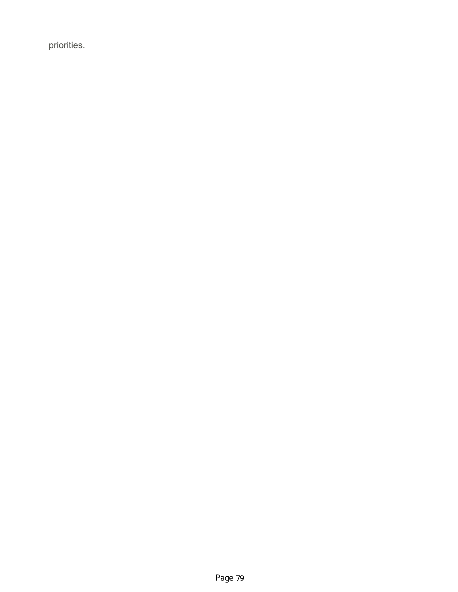priorities.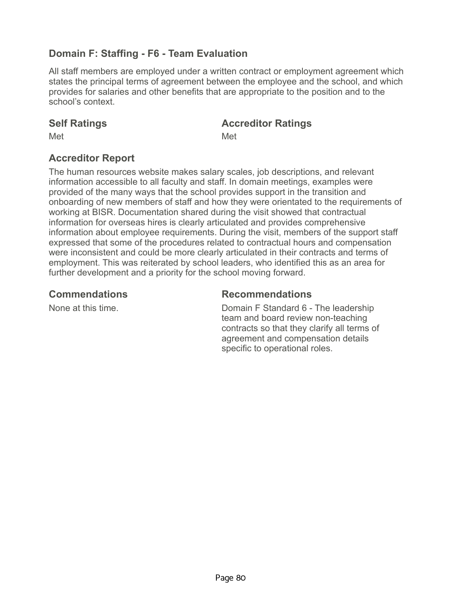# **Domain F: Staffing - F6 - Team Evaluation**

All staff members are employed under a written contract or employment agreement which states the principal terms of agreement between the employee and the school, and which provides for salaries and other benefits that are appropriate to the position and to the school's context.

### **Self Ratings Accreditor Ratings**

Met **Met** Met

## **Accreditor Report**

The human resources website makes salary scales, job descriptions, and relevant information accessible to all faculty and staff. In domain meetings, examples were provided of the many ways that the school provides support in the transition and onboarding of new members of staff and how they were orientated to the requirements of working at BISR. Documentation shared during the visit showed that contractual information for overseas hires is clearly articulated and provides comprehensive information about employee requirements. During the visit, members of the support staff expressed that some of the procedures related to contractual hours and compensation were inconsistent and could be more clearly articulated in their contracts and terms of employment. This was reiterated by school leaders, who identified this as an area for further development and a priority for the school moving forward.

### **Commendations Recommendations**

None at this time. Domain F Standard 6 - The leadership team and board review non-teaching contracts so that they clarify all terms of agreement and compensation details specific to operational roles.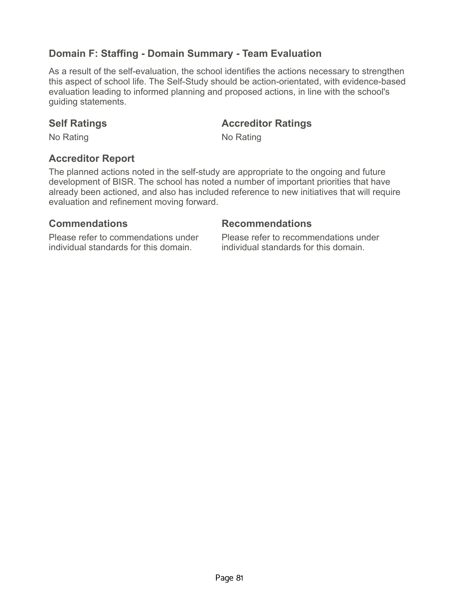# **Domain F: Staffing - Domain Summary - Team Evaluation**

As a result of the self-evaluation, the school identifies the actions necessary to strengthen this aspect of school life. The Self-Study should be action-orientated, with evidence-based evaluation leading to informed planning and proposed actions, in line with the school's guiding statements.

### **Self Ratings <b>Accreditor Ratings Accredition Accredition Ratings**

No Rating No Rating No.

### **Accreditor Report**

The planned actions noted in the self-study are appropriate to the ongoing and future development of BISR. The school has noted a number of important priorities that have already been actioned, and also has included reference to new initiatives that will require evaluation and refinement moving forward.

Please refer to commendations under individual standards for this domain.

### **Commendations Recommendations**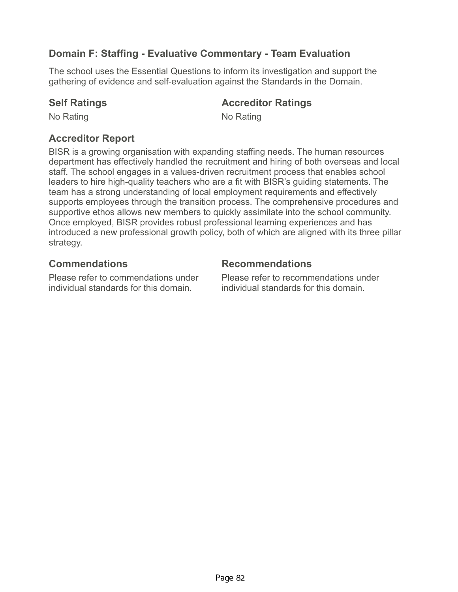# **Domain F: Staffing - Evaluative Commentary - Team Evaluation**

The school uses the Essential Questions to inform its investigation and support the gathering of evidence and self-evaluation against the Standards in the Domain.

### **Self Ratings Accreditor Ratings**

No Rating No Rating No.

## **Accreditor Report**

BISR is a growing organisation with expanding staffing needs. The human resources department has effectively handled the recruitment and hiring of both overseas and local staff. The school engages in a values-driven recruitment process that enables school leaders to hire high-quality teachers who are a fit with BISR's guiding statements. The team has a strong understanding of local employment requirements and effectively supports employees through the transition process. The comprehensive procedures and supportive ethos allows new members to quickly assimilate into the school community. Once employed, BISR provides robust professional learning experiences and has introduced a new professional growth policy, both of which are aligned with its three pillar strategy.

Please refer to commendations under individual standards for this domain.

## **Commendations Recommendations**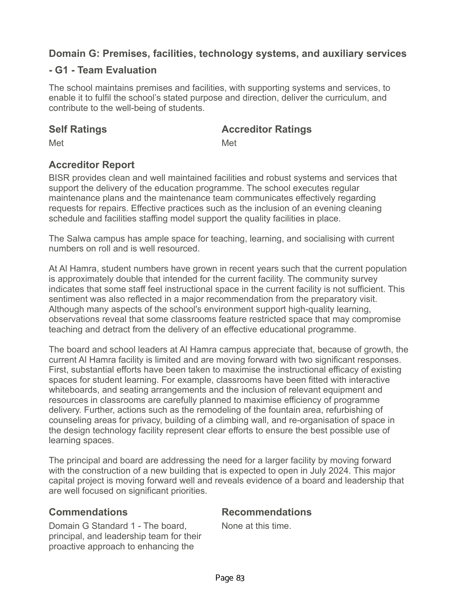### **- G1 - Team Evaluation**

The school maintains premises and facilities, with supporting systems and services, to enable it to fulfil the school's stated purpose and direction, deliver the curriculum, and contribute to the well-being of students.

### **Self Ratings Accreditor Ratings**

Met **Met** Met

# **Accreditor Report**

BISR provides clean and well maintained facilities and robust systems and services that support the delivery of the education programme. The school executes regular maintenance plans and the maintenance team communicates effectively regarding requests for repairs. Effective practices such as the inclusion of an evening cleaning schedule and facilities staffing model support the quality facilities in place.

The Salwa campus has ample space for teaching, learning, and socialising with current numbers on roll and is well resourced.

At Al Hamra, student numbers have grown in recent years such that the current population is approximately double that intended for the current facility. The community survey indicates that some staff feel instructional space in the current facility is not sufficient. This sentiment was also reflected in a major recommendation from the preparatory visit. Although many aspects of the school's environment support high-quality learning, observations reveal that some classrooms feature restricted space that may compromise teaching and detract from the delivery of an effective educational programme.

The board and school leaders at Al Hamra campus appreciate that, because of growth, the current Al Hamra facility is limited and are moving forward with two significant responses. First, substantial efforts have been taken to maximise the instructional efficacy of existing spaces for student learning. For example, classrooms have been fitted with interactive whiteboards, and seating arrangements and the inclusion of relevant equipment and resources in classrooms are carefully planned to maximise efficiency of programme delivery. Further, actions such as the remodeling of the fountain area, refurbishing of counseling areas for privacy, building of a climbing wall, and re-organisation of space in the design technology facility represent clear efforts to ensure the best possible use of learning spaces.

The principal and board are addressing the need for a larger facility by moving forward with the construction of a new building that is expected to open in July 2024. This major capital project is moving forward well and reveals evidence of a board and leadership that are well focused on significant priorities.

Domain G Standard 1 - The board, principal, and leadership team for their proactive approach to enhancing the

### **Commendations Recommendations**

None at this time.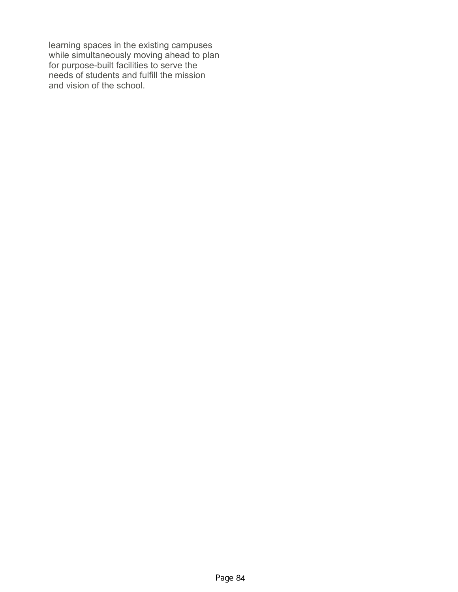learning spaces in the existing campuses while simultaneously moving ahead to plan for purpose-built facilities to serve the needs of students and fulfill the mission and vision of the school.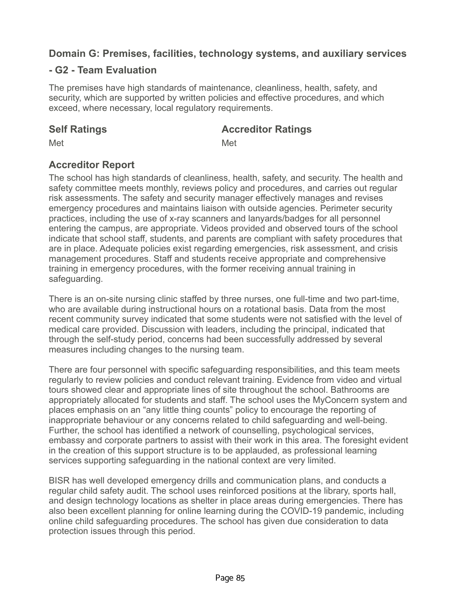## **- G2 - Team Evaluation**

The premises have high standards of maintenance, cleanliness, health, safety, and security, which are supported by written policies and effective procedures, and which exceed, where necessary, local regulatory requirements.

### **Self Ratings Accreditor Ratings**

Met **Met** Met

# **Accreditor Report**

The school has high standards of cleanliness, health, safety, and security. The health and safety committee meets monthly, reviews policy and procedures, and carries out regular risk assessments. The safety and security manager effectively manages and revises emergency procedures and maintains liaison with outside agencies. Perimeter security practices, including the use of x-ray scanners and lanyards/badges for all personnel entering the campus, are appropriate. Videos provided and observed tours of the school indicate that school staff, students, and parents are compliant with safety procedures that are in place. Adequate policies exist regarding emergencies, risk assessment, and crisis management procedures. Staff and students receive appropriate and comprehensive training in emergency procedures, with the former receiving annual training in safeguarding.

There is an on-site nursing clinic staffed by three nurses, one full-time and two part-time, who are available during instructional hours on a rotational basis. Data from the most recent community survey indicated that some students were not satisfied with the level of medical care provided. Discussion with leaders, including the principal, indicated that through the self-study period, concerns had been successfully addressed by several measures including changes to the nursing team.

There are four personnel with specific safeguarding responsibilities, and this team meets regularly to review policies and conduct relevant training. Evidence from video and virtual tours showed clear and appropriate lines of site throughout the school. Bathrooms are appropriately allocated for students and staff. The school uses the MyConcern system and places emphasis on an "any little thing counts" policy to encourage the reporting of inappropriate behaviour or any concerns related to child safeguarding and well-being. Further, the school has identified a network of counselling, psychological services, embassy and corporate partners to assist with their work in this area. The foresight evident in the creation of this support structure is to be applauded, as professional learning services supporting safeguarding in the national context are very limited.

BISR has well developed emergency drills and communication plans, and conducts a regular child safety audit. The school uses reinforced positions at the library, sports hall, and design technology locations as shelter in place areas during emergencies. There has also been excellent planning for online learning during the COVID-19 pandemic, including online child safeguarding procedures. The school has given due consideration to data protection issues through this period.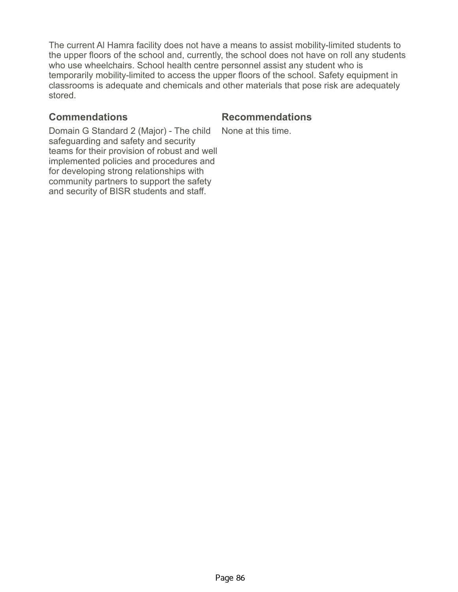The current Al Hamra facility does not have a means to assist mobility-limited students to the upper floors of the school and, currently, the school does not have on roll any students who use wheelchairs. School health centre personnel assist any student who is temporarily mobility-limited to access the upper floors of the school. Safety equipment in classrooms is adequate and chemicals and other materials that pose risk are adequately stored.

### **Commendations Recommendations**

Domain G Standard 2 (Major) - The child safeguarding and safety and security teams for their provision of robust and well implemented policies and procedures and for developing strong relationships with community partners to support the safety and security of BISR students and staff.

None at this time.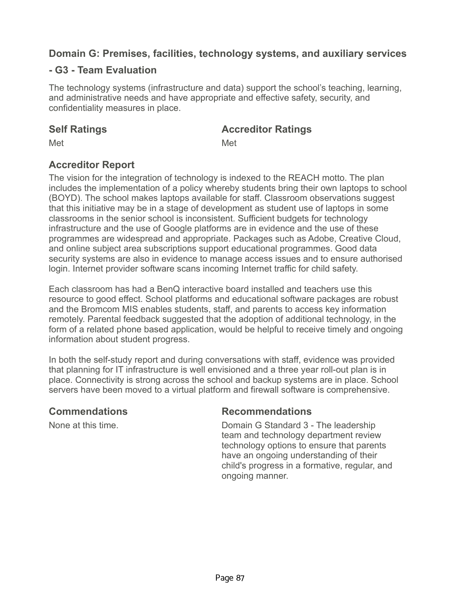### **- G3 - Team Evaluation**

The technology systems (infrastructure and data) support the school's teaching, learning, and administrative needs and have appropriate and effective safety, security, and confidentiality measures in place.

### **Self Ratings Accreditor Ratings**

Met **Met** Met

## **Accreditor Report**

The vision for the integration of technology is indexed to the REACH motto. The plan includes the implementation of a policy whereby students bring their own laptops to school (BOYD). The school makes laptops available for staff. Classroom observations suggest that this initiative may be in a stage of development as student use of laptops in some classrooms in the senior school is inconsistent. Sufficient budgets for technology infrastructure and the use of Google platforms are in evidence and the use of these programmes are widespread and appropriate. Packages such as Adobe, Creative Cloud, and online subject area subscriptions support educational programmes. Good data security systems are also in evidence to manage access issues and to ensure authorised login. Internet provider software scans incoming Internet traffic for child safety.

Each classroom has had a BenQ interactive board installed and teachers use this resource to good effect. School platforms and educational software packages are robust and the Bromcom MIS enables students, staff, and parents to access key information remotely. Parental feedback suggested that the adoption of additional technology, in the form of a related phone based application, would be helpful to receive timely and ongoing information about student progress.

In both the self-study report and during conversations with staff, evidence was provided that planning for IT infrastructure is well envisioned and a three year roll-out plan is in place. Connectivity is strong across the school and backup systems are in place. School servers have been moved to a virtual platform and firewall software is comprehensive.

### **Commendations Recommendations**

None at this time. Domain G Standard 3 - The leadership team and technology department review technology options to ensure that parents have an ongoing understanding of their child's progress in a formative, regular, and ongoing manner.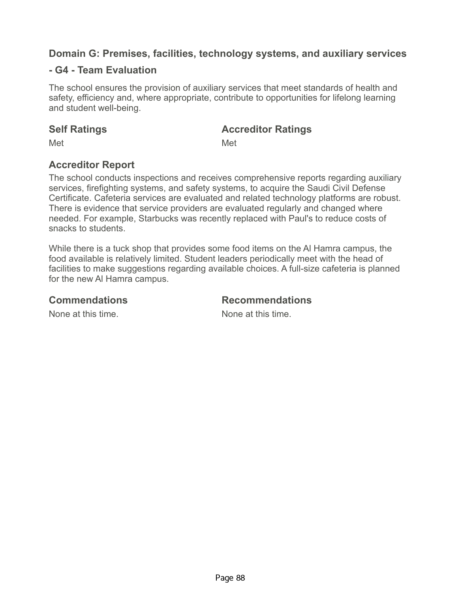### **- G4 - Team Evaluation**

The school ensures the provision of auxiliary services that meet standards of health and safety, efficiency and, where appropriate, contribute to opportunities for lifelong learning and student well-being.

### **Self Ratings Accreditor Ratings**

Met **Met** Met

# **Accreditor Report**

The school conducts inspections and receives comprehensive reports regarding auxiliary services, firefighting systems, and safety systems, to acquire the Saudi Civil Defense Certificate. Cafeteria services are evaluated and related technology platforms are robust. There is evidence that service providers are evaluated regularly and changed where needed. For example, Starbucks was recently replaced with Paul's to reduce costs of snacks to students.

While there is a tuck shop that provides some food items on the Al Hamra campus, the food available is relatively limited. Student leaders periodically meet with the head of facilities to make suggestions regarding available choices. A full-size cafeteria is planned for the new Al Hamra campus.

### **Commendations Recommendations**

None at this time. The same is no worker when the None at this time.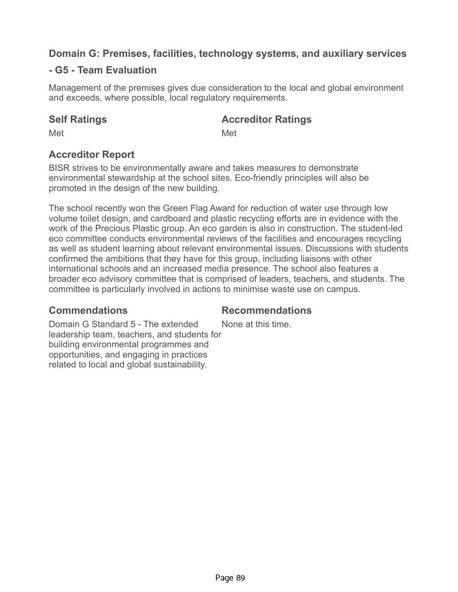## **- G5 - Team Evaluation**

Management of the premises gives due consideration to the local and global environment and exceeds, where possible, local regulatory requirements.

**Self Ratings Accreditor Ratings**

Met **Met** Met

# **Accreditor Report**

BISR strives to be environmentally aware and takes measures to demonstrate environmental stewardship at the school sites. Eco-friendly principles will also be promoted in the design of the new building.

The school recently won the Green Flag Award for reduction of water use through low volume toilet design, and cardboard and plastic recycling efforts are in evidence with the work of the Precious Plastic group. An eco garden is also in construction. The student-led eco committee conducts environmental reviews of the facilities and encourages recycling as well as student learning about relevant environmental issues. Discussions with students confirmed the ambitions that they have for this group, including liaisons with other international schools and an increased media presence. The school also features a broader eco advisory committee that is comprised of leaders, teachers, and students. The committee is particularly involved in actions to minimise waste use on campus.

## **Commendations Recommendations**

None at this time.

Domain G Standard 5 - The extended leadership team, teachers, and students for building environmental programmes and opportunities, and engaging in practices related to local and global sustainability.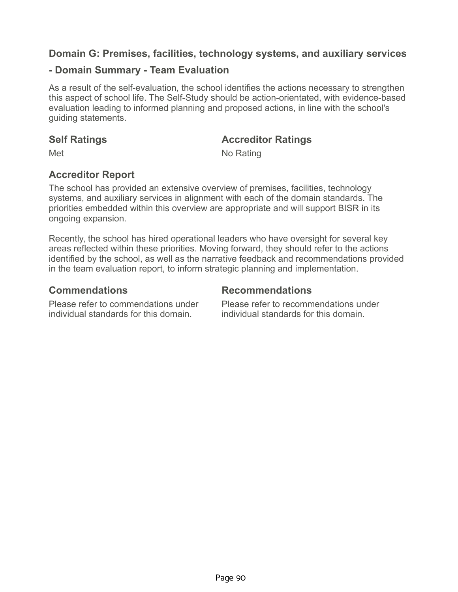### **- Domain Summary - Team Evaluation**

As a result of the self-evaluation, the school identifies the actions necessary to strengthen this aspect of school life. The Self-Study should be action-orientated, with evidence-based evaluation leading to informed planning and proposed actions, in line with the school's guiding statements.

### **Self Ratings Accreditor Ratings**

Met No Rating

## **Accreditor Report**

The school has provided an extensive overview of premises, facilities, technology systems, and auxiliary services in alignment with each of the domain standards. The priorities embedded within this overview are appropriate and will support BISR in its ongoing expansion.

Recently, the school has hired operational leaders who have oversight for several key areas reflected within these priorities. Moving forward, they should refer to the actions identified by the school, as well as the narrative feedback and recommendations provided in the team evaluation report, to inform strategic planning and implementation.

Please refer to commendations under individual standards for this domain.

### **Commendations Recommendations**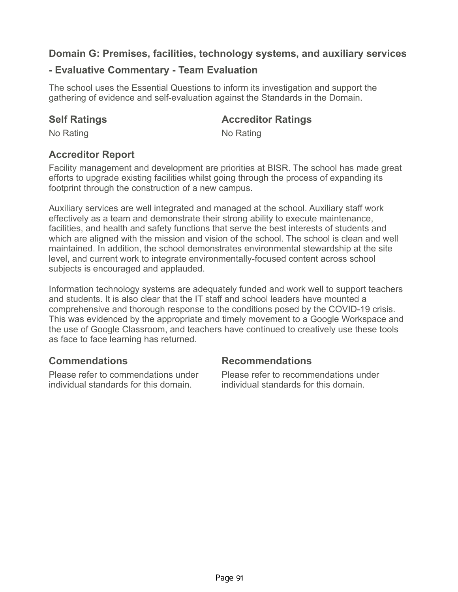## **- Evaluative Commentary - Team Evaluation**

The school uses the Essential Questions to inform its investigation and support the gathering of evidence and self-evaluation against the Standards in the Domain.

### **Self Ratings Accreditor Ratings**

No Rating No Rating No.

# **Accreditor Report**

Facility management and development are priorities at BISR. The school has made great efforts to upgrade existing facilities whilst going through the process of expanding its footprint through the construction of a new campus.

Auxiliary services are well integrated and managed at the school. Auxiliary staff work effectively as a team and demonstrate their strong ability to execute maintenance, facilities, and health and safety functions that serve the best interests of students and which are aligned with the mission and vision of the school. The school is clean and well maintained. In addition, the school demonstrates environmental stewardship at the site level, and current work to integrate environmentally-focused content across school subjects is encouraged and applauded.

Information technology systems are adequately funded and work well to support teachers and students. It is also clear that the IT staff and school leaders have mounted a comprehensive and thorough response to the conditions posed by the COVID-19 crisis. This was evidenced by the appropriate and timely movement to a Google Workspace and the use of Google Classroom, and teachers have continued to creatively use these tools as face to face learning has returned.

Please refer to commendations under individual standards for this domain.

## **Commendations Recommendations**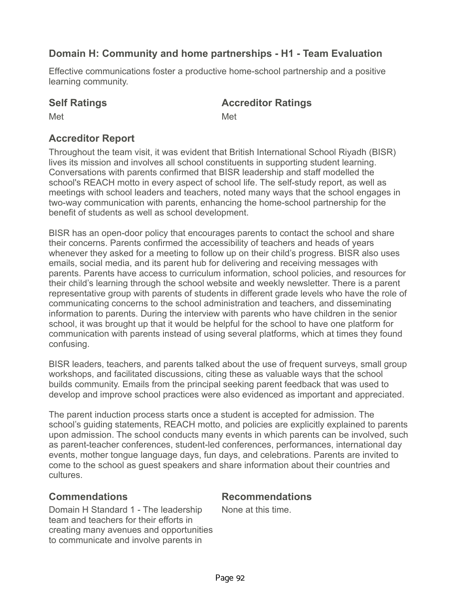# **Domain H: Community and home partnerships - H1 - Team Evaluation**

Effective communications foster a productive home-school partnership and a positive learning community.

## **Self Ratings Accreditor Ratings**

Met **Met** Met

# **Accreditor Report**

Throughout the team visit, it was evident that British International School Riyadh (BISR) lives its mission and involves all school constituents in supporting student learning. Conversations with parents confirmed that BISR leadership and staff modelled the school's REACH motto in every aspect of school life. The self-study report, as well as meetings with school leaders and teachers, noted many ways that the school engages in two-way communication with parents, enhancing the home-school partnership for the benefit of students as well as school development.

BISR has an open-door policy that encourages parents to contact the school and share their concerns. Parents confirmed the accessibility of teachers and heads of years whenever they asked for a meeting to follow up on their child's progress. BISR also uses emails, social media, and its parent hub for delivering and receiving messages with parents. Parents have access to curriculum information, school policies, and resources for their child's learning through the school website and weekly newsletter. There is a parent representative group with parents of students in different grade levels who have the role of communicating concerns to the school administration and teachers, and disseminating information to parents. During the interview with parents who have children in the senior school, it was brought up that it would be helpful for the school to have one platform for communication with parents instead of using several platforms, which at times they found confusing.

BISR leaders, teachers, and parents talked about the use of frequent surveys, small group workshops, and facilitated discussions, citing these as valuable ways that the school builds community. Emails from the principal seeking parent feedback that was used to develop and improve school practices were also evidenced as important and appreciated.

The parent induction process starts once a student is accepted for admission. The school's guiding statements, REACH motto, and policies are explicitly explained to parents upon admission. The school conducts many events in which parents can be involved, such as parent-teacher conferences, student-led conferences, performances, international day events, mother tongue language days, fun days, and celebrations. Parents are invited to come to the school as guest speakers and share information about their countries and cultures.

Domain H Standard 1 - The leadership team and teachers for their efforts in creating many avenues and opportunities to communicate and involve parents in

**Commendations Recommendations**

None at this time.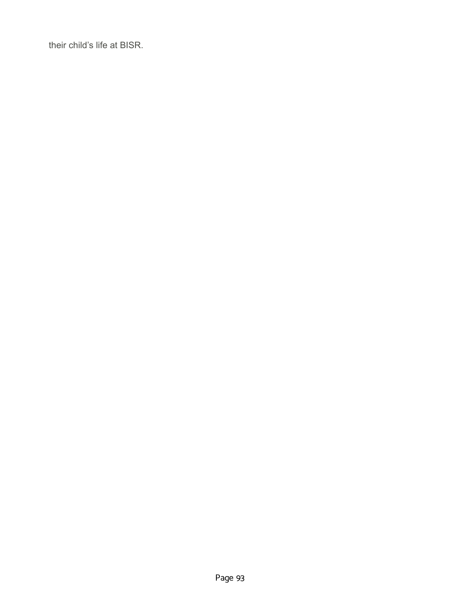their child's life at BISR.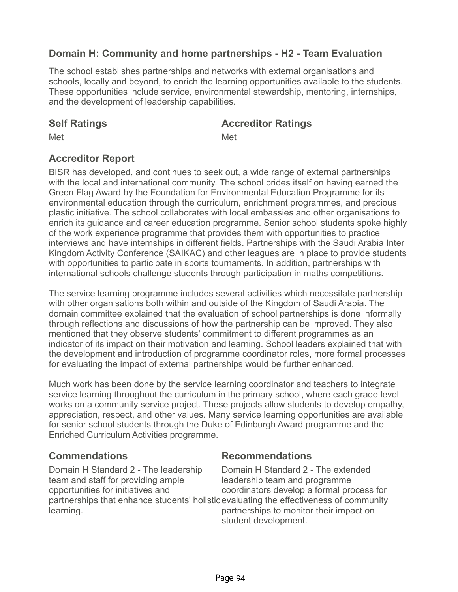# **Domain H: Community and home partnerships - H2 - Team Evaluation**

The school establishes partnerships and networks with external organisations and schools, locally and beyond, to enrich the learning opportunities available to the students. These opportunities include service, environmental stewardship, mentoring, internships, and the development of leadership capabilities.

### **Self Ratings Accreditor Ratings**

Met **Met** Met

## **Accreditor Report**

BISR has developed, and continues to seek out, a wide range of external partnerships with the local and international community. The school prides itself on having earned the Green Flag Award by the Foundation for Environmental Education Programme for its environmental education through the curriculum, enrichment programmes, and precious plastic initiative. The school collaborates with local embassies and other organisations to enrich its guidance and career education programme. Senior school students spoke highly of the work experience programme that provides them with opportunities to practice interviews and have internships in different fields. Partnerships with the Saudi Arabia Inter Kingdom Activity Conference (SAIKAC) and other leagues are in place to provide students with opportunities to participate in sports tournaments. In addition, partnerships with international schools challenge students through participation in maths competitions.

The service learning programme includes several activities which necessitate partnership with other organisations both within and outside of the Kingdom of Saudi Arabia. The domain committee explained that the evaluation of school partnerships is done informally through reflections and discussions of how the partnership can be improved. They also mentioned that they observe students' commitment to different programmes as an indicator of its impact on their motivation and learning. School leaders explained that with the development and introduction of programme coordinator roles, more formal processes for evaluating the impact of external partnerships would be further enhanced.

Much work has been done by the service learning coordinator and teachers to integrate service learning throughout the curriculum in the primary school, where each grade level works on a community service project. These projects allow students to develop empathy, appreciation, respect, and other values. Many service learning opportunities are available for senior school students through the Duke of Edinburgh Award programme and the Enriched Curriculum Activities programme.

### **Commendations Recommendations**

Domain H Standard 2 - The leadership team and staff for providing ample opportunities for initiatives and learning.

partnerships that enhance students' holistic evaluating the effectiveness of community Domain H Standard 2 - The extended leadership team and programme coordinators develop a formal process for partnerships to monitor their impact on student development.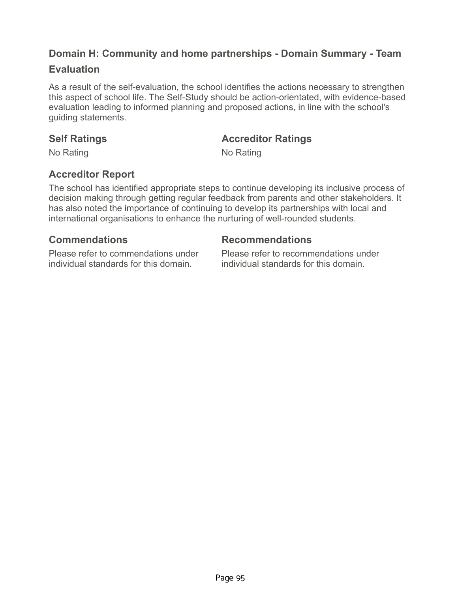# **Domain H: Community and home partnerships - Domain Summary - Team**

## **Evaluation**

As a result of the self-evaluation, the school identifies the actions necessary to strengthen this aspect of school life. The Self-Study should be action-orientated, with evidence-based evaluation leading to informed planning and proposed actions, in line with the school's guiding statements.

## **Self Ratings Accreditor Ratings**

No Rating No Rating No.

# **Accreditor Report**

The school has identified appropriate steps to continue developing its inclusive process of decision making through getting regular feedback from parents and other stakeholders. It has also noted the importance of continuing to develop its partnerships with local and international organisations to enhance the nurturing of well-rounded students.

Please refer to commendations under individual standards for this domain.

### **Commendations Recommendations**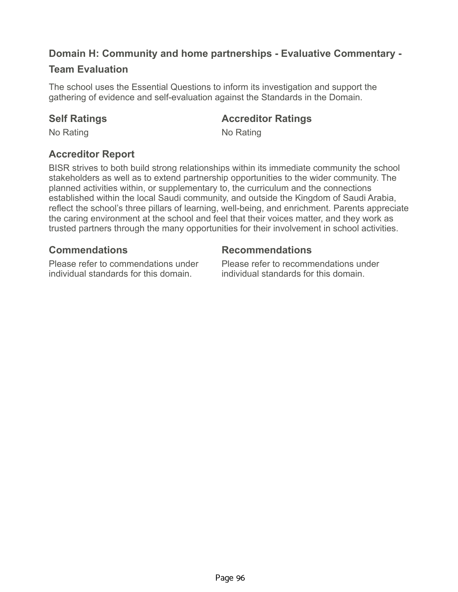# **Domain H: Community and home partnerships - Evaluative Commentary -**

## **Team Evaluation**

The school uses the Essential Questions to inform its investigation and support the gathering of evidence and self-evaluation against the Standards in the Domain.

### **Self Ratings Accreditor Ratings**

No Rating No Rating No.

# **Accreditor Report**

BISR strives to both build strong relationships within its immediate community the school stakeholders as well as to extend partnership opportunities to the wider community. The planned activities within, or supplementary to, the curriculum and the connections established within the local Saudi community, and outside the Kingdom of Saudi Arabia, reflect the school's three pillars of learning, well-being, and enrichment. Parents appreciate the caring environment at the school and feel that their voices matter, and they work as trusted partners through the many opportunities for their involvement in school activities.

## **Commendations Recommendations**

Please refer to commendations under individual standards for this domain.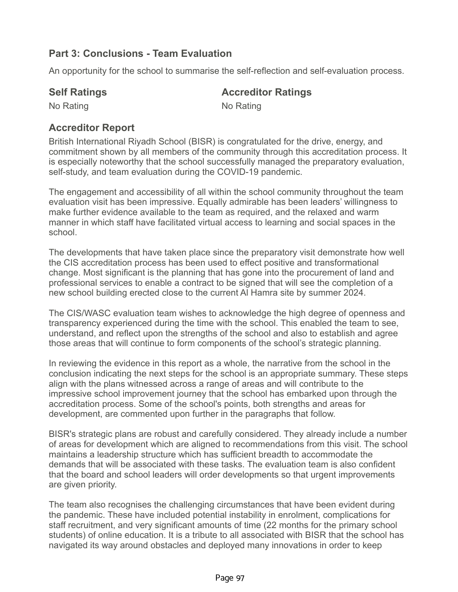## **Part 3: Conclusions - Team Evaluation**

An opportunity for the school to summarise the self-reflection and self-evaluation process.

### **Self Ratings Accreditor Ratings**

No Rating No Rating No.

## **Accreditor Report**

British International Riyadh School (BISR) is congratulated for the drive, energy, and commitment shown by all members of the community through this accreditation process. It is especially noteworthy that the school successfully managed the preparatory evaluation, self-study, and team evaluation during the COVID-19 pandemic.

The engagement and accessibility of all within the school community throughout the team evaluation visit has been impressive. Equally admirable has been leaders' willingness to make further evidence available to the team as required, and the relaxed and warm manner in which staff have facilitated virtual access to learning and social spaces in the school.

The developments that have taken place since the preparatory visit demonstrate how well the CIS accreditation process has been used to effect positive and transformational change. Most significant is the planning that has gone into the procurement of land and professional services to enable a contract to be signed that will see the completion of a new school building erected close to the current Al Hamra site by summer 2024.

The CIS/WASC evaluation team wishes to acknowledge the high degree of openness and transparency experienced during the time with the school. This enabled the team to see, understand, and reflect upon the strengths of the school and also to establish and agree those areas that will continue to form components of the school's strategic planning.

In reviewing the evidence in this report as a whole, the narrative from the school in the conclusion indicating the next steps for the school is an appropriate summary. These steps align with the plans witnessed across a range of areas and will contribute to the impressive school improvement journey that the school has embarked upon through the accreditation process. Some of the school's points, both strengths and areas for development, are commented upon further in the paragraphs that follow.

BISR's strategic plans are robust and carefully considered. They already include a number of areas for development which are aligned to recommendations from this visit. The school maintains a leadership structure which has sufficient breadth to accommodate the demands that will be associated with these tasks. The evaluation team is also confident that the board and school leaders will order developments so that urgent improvements are given priority.

The team also recognises the challenging circumstances that have been evident during the pandemic. These have included potential instability in enrolment, complications for staff recruitment, and very significant amounts of time (22 months for the primary school students) of online education. It is a tribute to all associated with BISR that the school has navigated its way around obstacles and deployed many innovations in order to keep